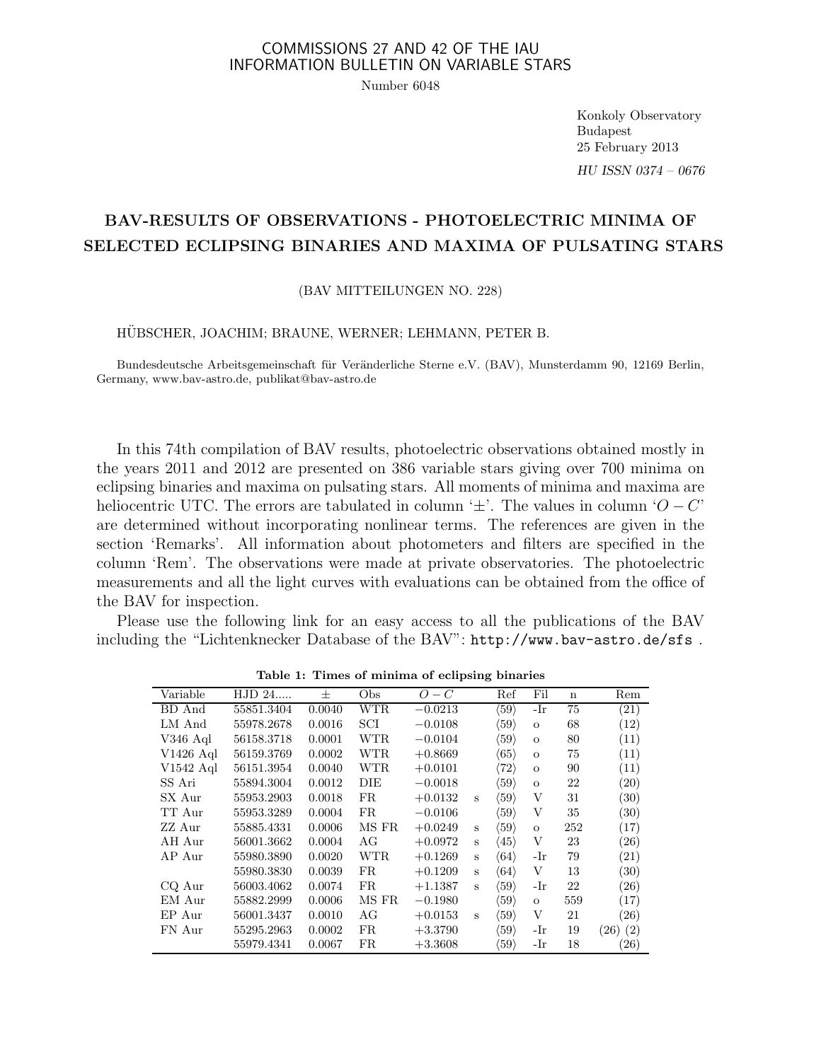# COMMISSIONS 27 AND 42 OF THE IAU INFORMATION BULLETIN ON VARIABLE STARS

Number 6048

Konkoly Observatory Budapest 25 February 2013 HU ISSN 0374 – 0676

# BAV-RESULTS OF OBSERVATIONS - PHOTOELECTRIC MINIMA OF SELECTED ECLIPSING BINARIES AND MAXIMA OF PULSATING STARS

### (BAV MITTEILUNGEN NO. 228)

## HÜBSCHER, JOACHIM; BRAUNE, WERNER; LEHMANN, PETER B.

Bundesdeutsche Arbeitsgemeinschaft für Veränderliche Sterne e.V. (BAV), Munsterdamm 90, 12169 Berlin, Germany, www.bav-astro.de, publikat@bav-astro.de

In this 74th compilation of BAV results, photoelectric observations obtained mostly in the years 2011 and 2012 are presented on 386 variable stars giving over 700 minima on eclipsing binaries and maxima on pulsating stars. All moments of minima and maxima are heliocentric UTC. The errors are tabulated in column ' $\pm$ '. The values in column ' $O - C$ ' are determined without incorporating nonlinear terms. The references are given in the section 'Remarks'. All information about photometers and filters are specified in the column 'Rem'. The observations were made at private observatories. The photoelectric measurements and all the light curves with evaluations can be obtained from the office of the BAV for inspection.

Please use the following link for an easy access to all the publications of the BAV including the "Lichtenknecker Database of the BAV": http://www.bav-astro.de/sfs .

|             | rable 1: Thines of minima of eclipsing binaries |        |       |           |              |                      |              |             |              |  |  |  |  |  |
|-------------|-------------------------------------------------|--------|-------|-----------|--------------|----------------------|--------------|-------------|--------------|--|--|--|--|--|
| Variable    | HJD 24                                          | 士      | Obs   | $O-C$     |              | Ref                  | Fil          | $\mathbf n$ | Rem          |  |  |  |  |  |
| BD And      | 55851.3404                                      | 0.0040 | WTR   | $-0.0213$ |              | $\langle 59 \rangle$ | -Ir          | 75          | (21)         |  |  |  |  |  |
| LM And      | 55978.2678                                      | 0.0016 | SCI   | $-0.0108$ |              | $\langle 59 \rangle$ | $\mathbf{O}$ | 68          | (12)         |  |  |  |  |  |
| V346 Aql    | 56158.3718                                      | 0.0001 | WTR   | $-0.0104$ |              | $\langle 59 \rangle$ | $\mathbf{O}$ | 80          | (11)         |  |  |  |  |  |
| $V1426$ Aql | 56159.3769                                      | 0.0002 | WTR   | $+0.8669$ |              | $\langle 65 \rangle$ | $\mathbf{O}$ | 75          | (11)         |  |  |  |  |  |
| $V1542$ Aql | 56151.3954                                      | 0.0040 | WTR   | $+0.0101$ |              | $\langle 72 \rangle$ | $\mathbf{O}$ | 90          | (11)         |  |  |  |  |  |
| SS Ari      | 55894.3004                                      | 0.0012 | DIE   | $-0.0018$ |              | $\langle 59 \rangle$ | $\mathbf{O}$ | 22          | (20)         |  |  |  |  |  |
| SX Aur      | 55953.2903                                      | 0.0018 | FR.   | $+0.0132$ | $\mathbf{s}$ | $\langle 59 \rangle$ | V            | 31          | (30)         |  |  |  |  |  |
| TT Aur      | 55953.3289                                      | 0.0004 | FR    | $-0.0106$ |              | $\langle 59 \rangle$ | V            | 35          | (30)         |  |  |  |  |  |
| ZZ Aur      | 55885.4331                                      | 0.0006 | MS FR | $+0.0249$ | S            | $\langle 59 \rangle$ | $\mathbf O$  | 252         | (17)         |  |  |  |  |  |
| AH Aur      | 56001.3662                                      | 0.0004 | AG    | $+0.0972$ | $\mathbf{s}$ | $\langle 45 \rangle$ | V            | 23          | (26)         |  |  |  |  |  |
| AP Aur      | 55980.3890                                      | 0.0020 | WTR   | $+0.1269$ | S            | $\langle 64 \rangle$ | -Ir          | 79          | (21)         |  |  |  |  |  |
|             | 55980.3830                                      | 0.0039 | FR.   | $+0.1209$ | S            | $\langle 64 \rangle$ | V            | 13          | (30)         |  |  |  |  |  |
| CQ Aur      | 56003.4062                                      | 0.0074 | FR.   | $+1.1387$ | S            | $\langle 59 \rangle$ | -Ir          | 22          | (26)         |  |  |  |  |  |
| EM Aur      | 55882.2999                                      | 0.0006 | MS FR | $-0.1980$ |              | $\langle 59 \rangle$ | $\mathbf{O}$ | 559         | (17)         |  |  |  |  |  |
| EP Aur      | 56001.3437                                      | 0.0010 | AG    | $+0.0153$ | S            | $\langle 59 \rangle$ | V            | 21          | (26)         |  |  |  |  |  |
| FN Aur      | 55295.2963                                      | 0.0002 | FR.   | $+3.3790$ |              | $\langle 59 \rangle$ | -Ir          | 19          | $(26)$ $(2)$ |  |  |  |  |  |
|             | 55979.4341                                      | 0.0067 | FR    | $+3.3608$ |              | $\langle 59 \rangle$ | -Ir          | 18          | (26)         |  |  |  |  |  |

Table 1: Times of minima of eclipsing binaries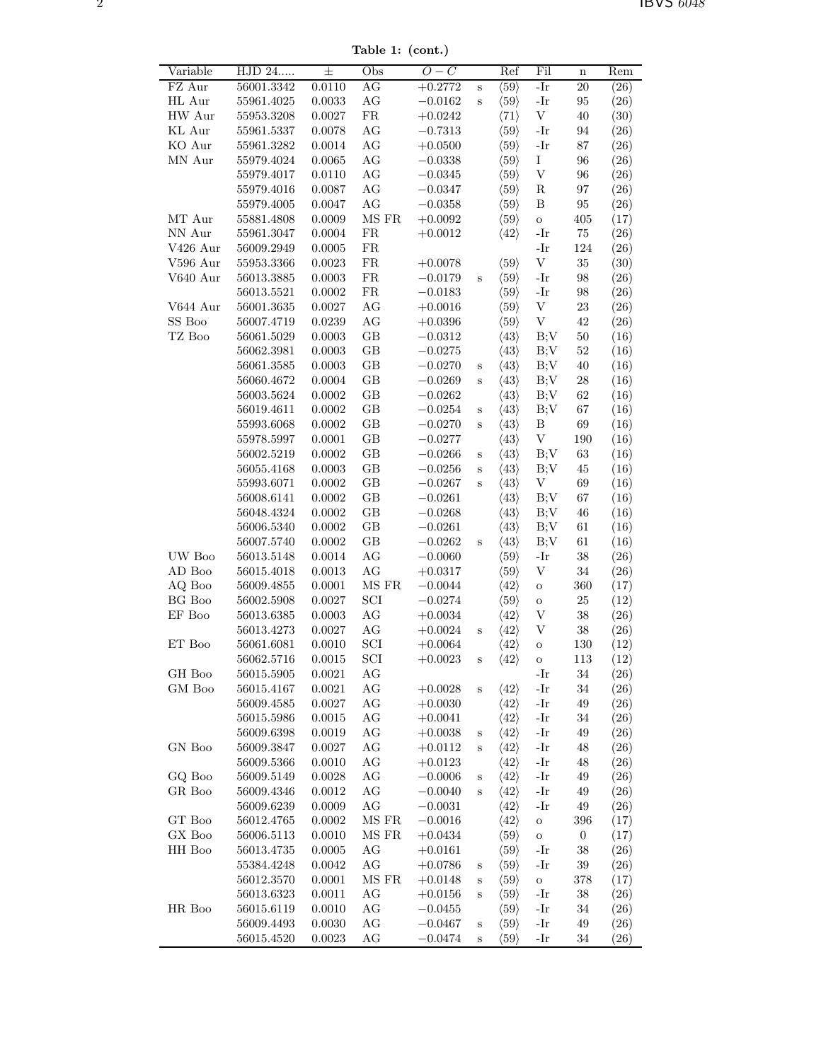Table 1: (cont.)

| Variable          | HJD 24                   | $\pm$            | Obs                  | $\overline{O}-\overline{C}$ |                            | Ref                                          | Fil                       | $\mathbf n$      | Rem       |
|-------------------|--------------------------|------------------|----------------------|-----------------------------|----------------------------|----------------------------------------------|---------------------------|------------------|-----------|
| FZ Aur            | 56001.3342               | 0.0110           | AG                   | $+0.2772$                   | $\mathbf S$                | $\langle 59 \rangle$                         | $-Ir$                     | $20\,$           | (26)      |
| HL Aur            | 55961.4025               | $\,0.0033\,$     | $\rm{AG}$            | $-0.0162$                   | $\rm S$                    | $\langle 59 \rangle$                         | $-Ir$                     | 95               | (26)      |
| HW Aur            | 55953.3208               | 0.0027           | ${\rm FR}$           | $+0.0242$                   |                            | $\langle 71 \rangle$                         | $\mathbf V$               | 40               | (30)      |
| KL Aur            | 55961.5337               | 0.0078           | AG                   | $-0.7313$                   |                            | $\langle 59 \rangle$                         | -Ir                       | 94               | (26)      |
| KO Aur            | 55961.3282               | $0.0014\,$       | AG                   | $+0.0500$                   |                            | $\langle 59 \rangle$                         | -Ir                       | $87\,$           | (26)      |
| MN Aur            | 55979.4024               | 0.0065           | $\rm{AG}$            | $-0.0338$                   |                            | $\langle 59 \rangle$                         | I                         | 96               | (26)      |
|                   | 55979.4017               | 0.0110           | $\rm{AG}$            | $-0.0345$                   |                            | $\langle 59 \rangle$                         | $\ensuremath{\mathbf{V}}$ | 96               | (26)      |
|                   | 55979.4016               | $0.0087\,$       | $\rm{AG}$            | $-0.0347$                   |                            | $\langle 59 \rangle$                         | ${\bf R}$                 | $\rm 97$         | (26)      |
|                   | 55979.4005               | 0.0047           | $\rm{AG}$            | $-0.0358$                   |                            | $\langle 59 \rangle$                         | B                         | 95               | (26)      |
| MT Aur            | 55881.4808               | 0.0009           | $\rm{MS}$ $\rm{FR}$  | $+0.0092$                   |                            | $\langle 59 \rangle$                         | $\rm{O}$                  | 405              | (17)      |
| NN Aur            | 55961.3047               | 0.0004           | FR                   | $+0.0012$                   |                            | $\langle 42 \rangle$                         | -Ir                       | $75\,$           | (26)      |
| V426 Aur          | 56009.2949               | $0.0005\,$       | ${\rm FR}$           |                             |                            |                                              | -Ir                       | 124              | (26)      |
| V596 Aur          | 55953.3366               | $\,0.0023\,$     | ${\rm FR}$           | $+0.0078$                   |                            | $\langle 59 \rangle$                         | $\mathbf V$               | 35               | (30)      |
| V640 Aur          | 56013.3885               | $0.0003\,$       | ${\rm FR}$           | $-0.0179$                   | $\rm S$                    | $\langle 59 \rangle$                         | -Ir                       | $98\,$           | (26)      |
|                   | 56013.5521               | 0.0002           | ${\rm FR}$           | $-0.0183$                   |                            | $\langle 59 \rangle$                         | -Ir                       | $98\,$           | (26)      |
| V644 Aur          | 56001.3635               | 0.0027           | AG                   | $+0.0016$                   |                            | $\langle 59 \rangle$                         | V                         | $23\,$           | (26)      |
| SS Boo            | 56007.4719               | 0.0239           | AG                   | $+0.0396$                   |                            | $\langle 59 \rangle$                         | $\ensuremath{\mathbf{V}}$ | 42               | (26)      |
| TZ Boo            | 56061.5029               | 0.0003           | $\operatorname{GB}$  | $-0.0312$                   |                            | $\langle 43 \rangle$                         | B;V                       | $50\,$           | (16)      |
|                   | 56062.3981               | 0.0003           | $\operatorname{GB}$  | $-0.0275$                   |                            | $\langle 43 \rangle$                         | B;V                       | $52\,$           | (16)      |
|                   | 56061.3585               | 0.0003           | $\operatorname{GB}$  | $-0.0270$                   | $\rm S$                    | $\langle 43 \rangle$                         | B;V                       | $40\,$           | (16)      |
|                   | 56060.4672               | 0.0004           | $\operatorname{GB}$  | $-0.0269$                   | $\rm S$                    | $\langle 43 \rangle$                         | B;V                       | $\sqrt{28}$      | (16)      |
|                   | 56003.5624               | 0.0002           | $\operatorname{GB}$  | $-0.0262$                   |                            | $\langle 43 \rangle$                         | B;V                       | 62               | (16)      |
|                   | 56019.4611               | $0.0002\,$       | $\operatorname{GB}$  | $-0.0254$                   | $\mathbf S$                | $\langle 43 \rangle$                         | B;V                       | 67               | (16)      |
|                   | 55993.6068               | 0.0002           | $\operatorname{GB}$  | $-0.0270$                   | $\, {\bf S}$               | $\langle 43 \rangle$                         | B                         | 69               | (16)      |
|                   | 55978.5997               | 0.0001           | $\operatorname{GB}$  | $-0.0277$                   |                            | $\langle 43 \rangle$                         | $\ensuremath{\mathbf{V}}$ | 190              | (16)      |
|                   | 56002.5219               | $0.0002\,$       | $\operatorname{GB}$  | $-0.0266$                   | $\mathbf S$                | $\langle 43 \rangle$                         | B;V                       | $63\,$           | (16)      |
|                   | 56055.4168               | $0.0003\,$       | $\operatorname{GB}$  | $-0.0256$                   |                            | $\langle 43 \rangle$                         |                           | 45               | (16)      |
|                   | 55993.6071               | 0.0002           | $\operatorname{GB}$  |                             | $\mathbf S$<br>$\mathbf S$ | $\langle 43 \rangle$                         | B;V<br>V                  | 69               | (16)      |
|                   | 56008.6141               | $0.0002\,$       | $\operatorname{GB}$  | $-0.0267$                   |                            | $\langle 43 \rangle$                         | B;V                       | 67               | (16)      |
|                   | 56048.4324               | $0.0002\,$       | $\operatorname{GB}$  | $-0.0261$                   |                            | $\langle 43 \rangle$                         | B;V                       | $\sqrt{46}$      |           |
|                   |                          | $0.0002\,$       | $\operatorname{GB}$  | $-0.0268$                   |                            | $\langle 43 \rangle$                         | B;V                       | 61               | (16)      |
|                   | 56006.5340               |                  | $\operatorname{GB}$  | $-0.0261$                   |                            |                                              |                           |                  | (16)      |
| UW Boo            | 56007.5740<br>56013.5148 | 0.0002<br>0.0014 | $\rm{AG}$            | $-0.0262$<br>$-0.0060$      | $\mathbf S$                | $\langle 43 \rangle$<br>$\langle 59 \rangle$ | B;V                       | 61<br>38         | (16)      |
| AD Boo            | 56015.4018               | 0.0013           | $\rm{AG}$            | $+0.0317$                   |                            | $\langle 59 \rangle$                         | -Ir                       |                  | (26)      |
| AQ Boo            | 56009.4855               | $0.0001\,$       | $\rm MS~FR$          |                             |                            |                                              | $\ensuremath{\mathbf{V}}$ | 34<br>$360\,$    | (26)      |
| BG Boo            | 56002.5908               | $0.0027\,$       | $\operatorname{SCI}$ | $-0.0044$                   |                            | $\langle 42 \rangle$<br>$\langle 59 \rangle$ | O                         | $25\,$           | (17)      |
| $\mathrm{EF}$ Boo |                          |                  |                      | $-0.0274$                   |                            |                                              | $\rm{O}$                  |                  | (12)      |
|                   | 56013.6385               | 0.0003           | $\rm{AG}$            | $+0.0034$                   |                            | $\langle 42 \rangle$                         | $\ensuremath{\mathbf{V}}$ | $38\,$           | (26)      |
|                   | 56013.4273<br>56061.6081 | 0.0027           | $\rm{AG}$            | $+0.0024$                   | $\mathbf S$                | $\langle 42 \rangle$                         | V                         | $38\,$           | (26)      |
| ET Boo            |                          | 0.0010           | SCI                  | $+0.0064$                   |                            | $\langle 42 \rangle$                         | O                         | 130              | (12)      |
|                   | 56062.5716               | 0.0015           | SCI                  | $+0.0023$                   | S                          | $\langle 42 \rangle$                         | $\overline{O}$            | 113              | (12)      |
| $\rm GH$ Boo      | 56015.5905               | 0.0021           | AG                   |                             |                            |                                              | -Ir                       | 34               | (26)      |
| $\rm GM$ Boo      | 56015.4167               | 0.0021           | AG                   | $+0.0028$                   | $\mathbf S$                | $\langle 42 \rangle$                         | -Ir                       | 34               | (26)      |
|                   | 56009.4585               | 0.0027           | AG                   | $+0.0030$                   |                            | $\langle 42 \rangle$                         | -Ir                       | $\rm 49$         | (26)      |
|                   | 56015.5986               | $\,0.0015\,$     | AG                   | $+0.0041$                   |                            | $\langle 42 \rangle$                         | -Ir                       | 34               | (26)      |
|                   | 56009.6398               | 0.0019           | AG                   | $+0.0038$                   | S                          | $\langle 42 \rangle$                         | -Ir                       | 49               | (26)      |
| GN Boo            | 56009.3847               | 0.0027           | AG                   | $+0.0112$                   | $\mathbf S$                | $\langle 42 \rangle$                         | -Ir                       | 48               | (26)      |
|                   | 56009.5366               | 0.0010           | AG                   | $+0.0123$                   |                            | $\langle 42 \rangle$                         | -Ir                       | 48               | (26)      |
| GQ Boo            | 56009.5149               | 0.0028           | AG                   | $-0.0006$                   | $\mathbf S$                | $\langle 42 \rangle$                         | -Ir                       | 49               | (26)      |
| GR Boo            | 56009.4346               | 0.0012           | AG                   | $-0.0040$                   | $\mathbf S$                | $\langle 42 \rangle$                         | -Ir                       | 49               | (26)      |
|                   | 56009.6239               | 0.0009           | AG                   | $-0.0031$                   |                            | $\langle 42 \rangle$                         | -Ir                       | 49               | (26)      |
| GT Boo            | 56012.4765               | $0.0002\,$       | $\rm MS~FR$          | $-0.0016$                   |                            | $\langle 42 \rangle$                         | O                         | 396              | (17)      |
| ${\rm GX}$ Boo    | 56006.5113               | 0.0010           | $\rm MS~FR$          | $+0.0434$                   |                            | $\langle 59 \rangle$                         | O                         | $\boldsymbol{0}$ | (17)      |
| HH Boo            | 56013.4735               | $0.0005\,$       | AG                   | $+0.0161$                   |                            | $\langle 59 \rangle$                         | -Ir                       | 38               | (26)      |
|                   | 55384.4248               | 0.0042           | AG                   | $+0.0786$                   | $\mathbf S$                | $\langle 59 \rangle$                         | -Ir                       | 39               | (26)      |
|                   | 56012.3570               | 0.0001           | $\rm MS~FR$          | $+0.0148$                   | $\mathbf S$                | $\langle 59 \rangle$                         | $\rm{O}$                  | 378              | (17)      |
|                   | 56013.6323               | 0.0011           | AG                   | $+0.0156$                   | $\mathbf S$                | $\langle 59 \rangle$                         | -Ir                       | 38               | (26)      |
| HR Boo            | 56015.6119               | 0.0010           | AG                   | $-0.0455$                   |                            | $\langle 59 \rangle$                         | -Ir                       | 34               | (26)      |
|                   | 56009.4493               | 0.0030           | AG                   | $-0.0467$                   | $\mathbf S$                | $\langle 59 \rangle$                         | -Ir                       | $\rm 49$         | (26)      |
|                   | 56015.4520               | 0.0023           | $\rm{AG}$            | $-0.0474$                   | $\mathbf S$                | $\langle 59 \rangle$                         | -Ir                       | 34               | $^{(26)}$ |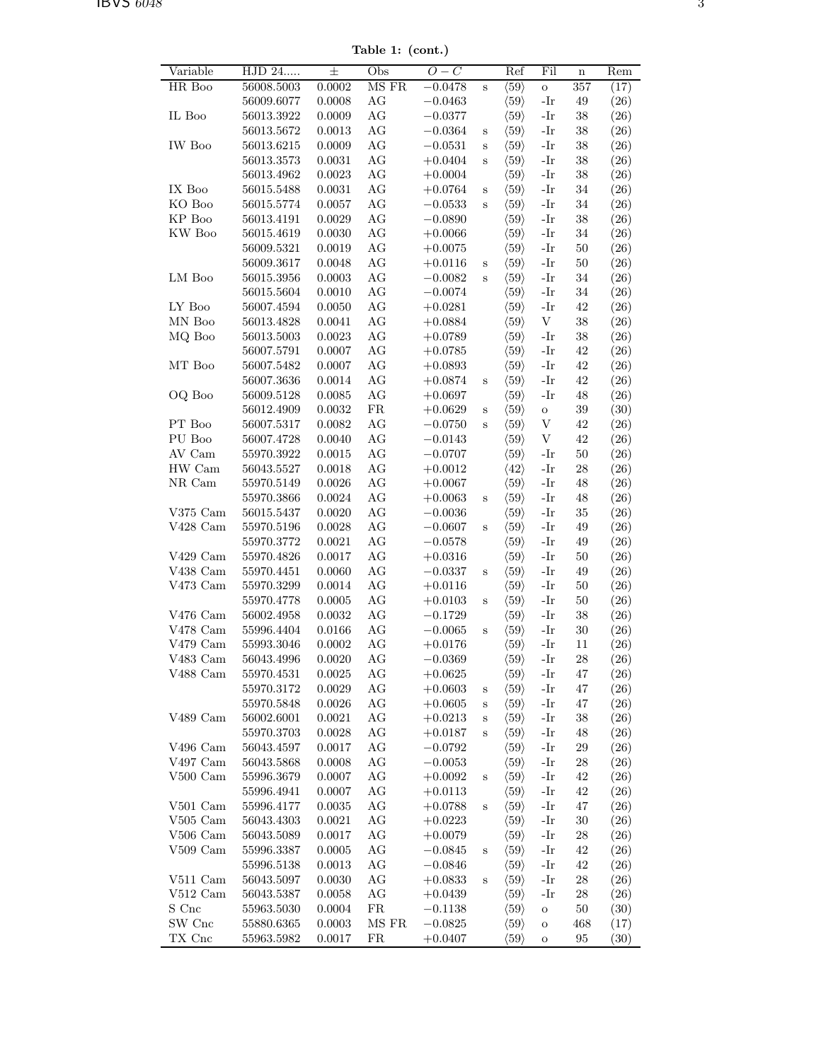Table 1: (cont.)

| Variable       | HJD 24     | $\pm$  | Obs        | $O-C$     |              | Ref                  | Fil                       | $\mathbf n$ | Rem                |
|----------------|------------|--------|------------|-----------|--------------|----------------------|---------------------------|-------------|--------------------|
| HR Boo         | 56008.5003 | 0.0002 | MS FR      | $-0.0478$ | $\rm S$      | $\langle 59 \rangle$ | $\circ$                   | 357         | (17)               |
|                | 56009.6077 | 0.0008 | AG         | $-0.0463$ |              | $\langle 59 \rangle$ | $-Ir$                     | 49          | (26)               |
| IL Boo         | 56013.3922 | 0.0009 | AG         | $-0.0377$ |              | $\langle 59 \rangle$ | -Ir                       | 38          | (26)               |
|                | 56013.5672 | 0.0013 | AG         | $-0.0364$ | $\mathbf S$  | $\langle 59 \rangle$ | $-Ir$                     | 38          | (26)               |
| IW Boo         | 56013.6215 | 0.0009 | AG         | $-0.0531$ | $\mathbf S$  | $\langle 59 \rangle$ | $-Ir$                     | $38\,$      | (26)               |
|                | 56013.3573 | 0.0031 | AG         | $+0.0404$ | $\rm S$      | $\langle 59 \rangle$ | -Ir                       | 38          | (26)               |
|                | 56013.4962 | 0.0023 | AG         | $+0.0004$ |              | $\langle 59 \rangle$ | -Ir                       | 38          | (26)               |
| IX Boo         | 56015.5488 | 0.0031 | AG         | $+0.0764$ | $\mathbf S$  | $\langle 59 \rangle$ | -Ir                       | 34          | (26)               |
| KO Boo         | 56015.5774 | 0.0057 | AG         | $-0.0533$ | $\, {\bf S}$ | $\langle 59 \rangle$ | -Ir                       | 34          | (26)               |
| KP Boo         | 56013.4191 | 0.0029 | AG         | $-0.0890$ |              | $\langle 59 \rangle$ | $-Ir$                     | $38\,$      | (26)               |
| KW Boo         | 56015.4619 | 0.0030 | AG         | $+0.0066$ |              | $\langle 59 \rangle$ | $-Ir$                     | 34          | (26)               |
|                | 56009.5321 | 0.0019 | AG         | $+0.0075$ |              | $\langle 59 \rangle$ | -Ir                       | 50          | (26)               |
|                | 56009.3617 | 0.0048 | AG         | $+0.0116$ | $\mathbf S$  | $\langle 59 \rangle$ | -Ir                       | 50          | (26)               |
| LM Boo         | 56015.3956 | 0.0003 | AG         | $-0.0082$ | $\mathbf S$  | $\langle 59 \rangle$ | -Ir                       | 34          | (26)               |
|                | 56015.5604 | 0.0010 | AG         | $-0.0074$ |              | $\langle 59 \rangle$ | -Ir                       | 34          | (26)               |
| LY Boo         | 56007.4594 | 0.0050 | AG         | $+0.0281$ |              | $\langle 59 \rangle$ | $-Ir$                     | 42          | (26)               |
| MN Boo         | 56013.4828 | 0.0041 | AG         | $+0.0884$ |              | $\langle 59 \rangle$ | V                         | $38\,$      | (26)               |
| MQ Boo         | 56013.5003 | 0.0023 | AG         | $+0.0789$ |              | $\langle 59 \rangle$ | -Ir                       | $38\,$      | (26)               |
|                | 56007.5791 | 0.0007 | AG         | $+0.0785$ |              | $\langle 59 \rangle$ | $-Ir$                     | 42          | (26)               |
| MT Boo         | 56007.5482 | 0.0007 | AG         | $+0.0893$ |              | $\langle 59 \rangle$ | -Ir                       | 42          | (26)               |
|                | 56007.3636 | 0.0014 | AG         | $+0.0874$ | $\mathbf S$  | $\langle 59 \rangle$ | -Ir                       | 42          | (26)               |
| OQ Boo         | 56009.5128 | 0.0085 | AG         | $+0.0697$ |              | $\langle 59 \rangle$ | $-Ir$                     | 48          | (26)               |
|                | 56012.4909 | 0.0032 | ${\rm FR}$ | $+0.0629$ | $\mathbf S$  | $\langle 59 \rangle$ | $\mathbf O$               | $39\,$      | (30)               |
| PT Boo         | 56007.5317 | 0.0082 | AG         | $-0.0750$ | $\rm S$      | $\langle 59 \rangle$ | $\ensuremath{\mathbf{V}}$ | 42          | (26)               |
| PU Boo         | 56007.4728 | 0.0040 | AG         | $-0.0143$ |              | $\langle 59 \rangle$ | V                         | 42          | (26)               |
| AV Cam         | 55970.3922 | 0.0015 | AG         | $-0.0707$ |              | $\langle 59 \rangle$ | -Ir                       | 50          | (26)               |
| HW Cam         | 56043.5527 | 0.0018 | AG         | $+0.0012$ |              | $\langle 42 \rangle$ | -Ir                       | 28          | (26)               |
| NR Cam         | 55970.5149 | 0.0026 | AG         | $+0.0067$ |              | $\langle 59 \rangle$ | $-Ir$                     | 48          | (26)               |
|                | 55970.3866 | 0.0024 | AG         | $+0.0063$ | S            | $\langle 59 \rangle$ | -Ir                       | 48          | (26)               |
| $V375$ Cam     | 56015.5437 | 0.0020 | AG         | $-0.0036$ |              | $\langle 59 \rangle$ | -Ir                       | 35          | (26)               |
| $V428$ Cam     | 55970.5196 | 0.0028 | AG         | $-0.0607$ | $\mathbf S$  | $\langle 59 \rangle$ | -Ir                       | 49          | (26)               |
|                | 55970.3772 | 0.0021 | AG         | $-0.0578$ |              | $\langle 59 \rangle$ | -Ir                       | 49          | (26)               |
| V429 Cam       | 55970.4826 | 0.0017 | AG         | $+0.0316$ |              | $\langle 59 \rangle$ | $-Ir$                     | $50\,$      | (26)               |
| V438 Cam       | 55970.4451 | 0.0060 | AG         | $-0.0337$ | $\mathbf S$  | $\langle 59 \rangle$ | $-Ir$                     | 49          | (26)               |
| V473 Cam       | 55970.3299 | 0.0014 | AG         | $+0.0116$ |              | $\langle 59 \rangle$ | -Ir                       | 50          | (26)               |
|                | 55970.4778 | 0.0005 | AG         | $+0.0103$ | $\mathbf S$  | $\langle 59 \rangle$ | -Ir                       | 50          | (26)               |
| $V476$ Cam     | 56002.4958 | 0.0032 | AG         | $-0.1729$ |              | $\langle 59 \rangle$ | -Ir                       | 38          | (26)               |
| V478 Cam       | 55996.4404 | 0.0166 | AG         | $-0.0065$ | $\mathbf S$  | $\langle 59 \rangle$ | -Ir                       | $30\,$      | (26)               |
| $V479$ Cam     | 55993.3046 | 0.0002 | AG         | $+0.0176$ |              | $\langle 59 \rangle$ | $-Ir$                     | 11          | (26)               |
| $\rm V483$ Cam | 56043.4996 | 0.0020 | $\rm{AG}$  | $-0.0369$ |              | $\langle 59 \rangle$ | -Ir                       | ${\bf 28}$  | (26)               |
| V488 Cam       | 55970.4531 | 0.0025 | AG         | $+0.0625$ |              | $\langle 59 \rangle$ | -Ir                       | 47          | (26)               |
|                | 55970.3172 | 0.0029 | AG         | $+0.0603$ | $\mathbf S$  | $\langle 59 \rangle$ | -Ir                       | 47          | (26)               |
|                | 55970.5848 | 0.0026 | AG         | $+0.0605$ | $\mathbf S$  | $\langle 59 \rangle$ | -Ir                       | 47          | (26)               |
| V489 Cam       | 56002.6001 | 0.0021 | AG         | $+0.0213$ | $\rm S$      | $\langle 59 \rangle$ | -Ir                       | 38          | (26)               |
|                | 55970.3703 | 0.0028 | AG         | $+0.0187$ | S            | $\langle 59 \rangle$ | -Ir                       | 48          | (26)               |
| V496 Cam       | 56043.4597 | 0.0017 | AG         | $-0.0792$ |              | $\langle 59 \rangle$ | -Ir                       | $\,29$      | (26)               |
| V497 Cam       | 56043.5868 | 0.0008 | AG         | $-0.0053$ |              | $\langle 59 \rangle$ | -Ir                       | 28          | (26)               |
| $V500$ Cam     | 55996.3679 | 0.0007 | AG         | $+0.0092$ | $\mathbf S$  | $\langle 59 \rangle$ | -Ir                       | 42          | (26)               |
|                | 55996.4941 | 0.0007 | AG         | $+0.0113$ |              | $\langle 59 \rangle$ | -Ir                       | 42          | (26)               |
| $V501$ Cam     | 55996.4177 | 0.0035 | AG         | $+0.0788$ | $\mathbf S$  | $\langle 59 \rangle$ | -Ir                       | 47          | (26)               |
| $V505$ Cam     | 56043.4303 | 0.0021 | AG         | $+0.0223$ |              | $\langle 59 \rangle$ | -Ir                       | $30\,$      | (26)               |
| $V506$ Cam     | 56043.5089 | 0.0017 | AG         | $+0.0079$ |              | $\langle 59 \rangle$ | -Ir                       | 28          | (26)               |
| $V509$ Cam     | 55996.3387 | 0.0005 | AG         | $-0.0845$ | $\mathbf S$  | $\langle 59 \rangle$ | -Ir                       | 42          | (26)               |
|                | 55996.5138 | 0.0013 | AG         | $-0.0846$ |              | $\langle 59 \rangle$ | -Ir                       | 42          | (26)               |
| $V511$ Cam     | 56043.5097 | 0.0030 | AG         | $+0.0833$ | S            | $\langle 59 \rangle$ | -Ir                       | 28          | (26)               |
| $V512$ Cam     | 56043.5387 | 0.0058 | AG         | $+0.0439$ |              | $\langle 59 \rangle$ | -Ir                       | 28          | (26)               |
| S Cnc          | 55963.5030 | 0.0004 | FR         | $-0.1138$ |              | $\langle 59 \rangle$ | $\mathbf O$               | $50\,$      | (30)               |
| SW Cnc         | 55880.6365 | 0.0003 | MS FR      | $-0.0825$ |              | $\langle 59 \rangle$ | $\mathbf O$               | 468         | (17)               |
| TX Cnc         | 55963.5982 | 0.0017 | FR         | $+0.0407$ |              | $\langle 59 \rangle$ | $\mathbf O$               | 95          | $\left( 30\right)$ |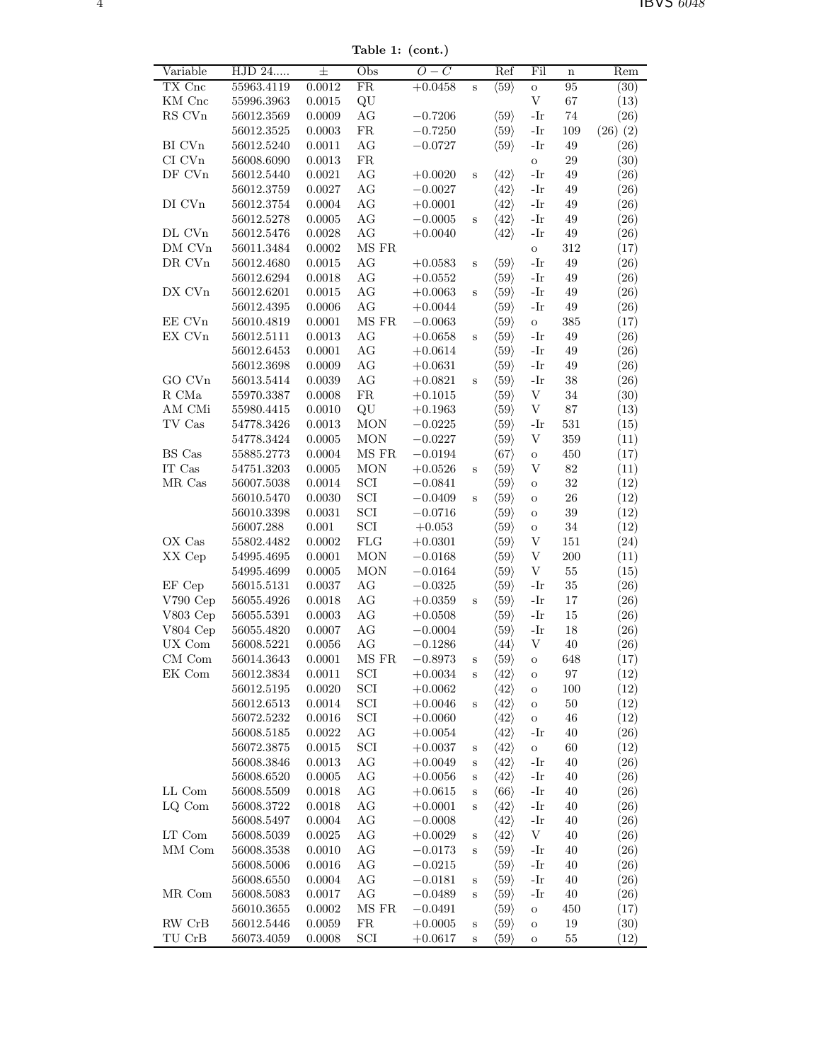Table 1: (cont.)

| Variable                       | HJD 24     | 士          | Obs                         | $O-C$       |             | Ref                  | Fil                       | $\mathbf n$ | Rem          |
|--------------------------------|------------|------------|-----------------------------|-------------|-------------|----------------------|---------------------------|-------------|--------------|
| TX Cnc                         | 55963.4119 | 0.0012     | $\overline{\text{FR}}$      | $+0.0458$   | $\mathbf S$ | $\langle 59 \rangle$ | $\mathbf{o}$              | 95          | (30)         |
| KM Cnc                         | 55996.3963 | 0.0015     | QU                          |             |             |                      | $\ensuremath{\mathbf{V}}$ | 67          | (13)         |
| ${\rm RS}$ CVn                 | 56012.3569 | 0.0009     | $\rm{AG}$                   | $-0.7206$   |             | $\langle 59 \rangle$ | $-Ir$                     | $74\,$      | (26)         |
|                                | 56012.3525 | 0.0003     | ${\rm FR}$                  | $-0.7250$   |             | $\langle 59 \rangle$ | -Ir                       | 109         | $(26)$ $(2)$ |
| BI CVn                         | 56012.5240 | $0.0011\,$ | $\rm{AG}$                   | $-0.0727$   |             | $\langle 59 \rangle$ | $-Ir$                     | 49          | (26)         |
| $\rm{CI}$ $\rm{CVn}$           | 56008.6090 | 0.0013     | ${\rm FR}$                  |             |             |                      | $\mathbf O$               | $\,29$      | (30)         |
| DF CVn                         | 56012.5440 | 0.0021     | $\rm{AG}$                   | $+0.0020$   | S           | $\langle 42 \rangle$ | $-Ir$                     | 49          | (26)         |
|                                | 56012.3759 | $0.0027\,$ | AG                          | $-0.0027$   |             | $\langle 42 \rangle$ | $-Ir$                     | 49          | (26)         |
| DI CVn                         | 56012.3754 | 0.0004     | $\rm{AG}$                   | $+0.0001$   |             | $\langle 42 \rangle$ | -Ir                       | 49          | (26)         |
|                                | 56012.5278 | 0.0005     | AG                          | $-0.0005$   | S           | $\langle 42 \rangle$ | -Ir                       | 49          | (26)         |
| DL CVn                         | 56012.5476 | 0.0028     | AG                          | $+0.0040$   |             | $\langle 42 \rangle$ | -Ir                       | $49\,$      | (26)         |
| DM CVn                         | 56011.3484 | 0.0002     | $\rm MS~FR$                 |             |             |                      | $\circ$                   | 312         | (17)         |
| $\rm DR$ CVn                   | 56012.4680 | 0.0015     | AG                          | $+0.0583$   | S           | $\langle 59 \rangle$ | $-Ir$                     | 49          | (26)         |
|                                | 56012.6294 | 0.0018     | AG                          | $+0.0552$   |             | $\langle 59 \rangle$ | $-Ir$                     | 49          | (26)         |
| DX CVn                         | 56012.6201 | 0.0015     | AG                          | $+0.0063$   | S           | $\langle 59 \rangle$ | -Ir                       | 49          | (26)         |
|                                | 56012.4395 | 0.0006     | AG                          | $+0.0044$   |             | $\langle 59 \rangle$ | -Ir                       | 49          | (26)         |
| EE CVn                         | 56010.4819 | $0.0001\,$ | $\rm MS~FR$                 | $-0.0063$   |             | $\langle 59 \rangle$ | $\mathbf O$               | $385\,$     | (17)         |
| EX CVn                         | 56012.5111 | 0.0013     | $\rm{AG}$                   | $+0.0658$   | S           | $\langle 59 \rangle$ | $-Ir$                     | 49          | (26)         |
|                                | 56012.6453 | 0.0001     | $\rm{AG}$                   | $+0.0614$   |             | $\langle 59 \rangle$ | $-Ir$                     | 49          | (26)         |
|                                | 56012.3698 | 0.0009     | AG                          | $+0.0631$   |             | $\langle 59 \rangle$ | $-Ir$                     | 49          | (26)         |
| GO CVn                         | 56013.5414 | 0.0039     | AG                          | $+0.0821$   | $\mathbf S$ | $\langle 59 \rangle$ | $-Ir$                     | $38\,$      | (26)         |
| R CMa                          | 55970.3387 | 0.0008     | ${\rm FR}$                  | $+0.1015$   |             | $\langle 59 \rangle$ | V                         | $34\,$      | (30)         |
| AM CMi                         | 55980.4415 | 0.0010     | QU                          | $+0.1963$   |             | $\langle 59 \rangle$ | $\mathbf{V}$              | $87\,$      | (13)         |
| TV Cas                         |            |            |                             |             |             |                      |                           |             |              |
|                                | 54778.3426 | 0.0013     | <b>MON</b>                  | $-0.0225$   |             | $\langle 59 \rangle$ | $-Ir$<br>$\mathbf{V}$     | $531\,$     | (15)         |
|                                | 54778.3424 | 0.0005     | <b>MON</b>                  | $-0.0227$   |             | $\langle 59 \rangle$ |                           | 359         | (11)         |
| BS Cas                         | 55885.2773 | 0.0004     | MS FR                       | $-0.0194$   |             | $\langle 67 \rangle$ | $\mathbf O$               | 450         | (17)         |
| IT Cas                         | 54751.3203 | 0.0005     | <b>MON</b>                  | $+0.0526$   | S           | $\langle 59 \rangle$ | V                         | $82\,$      | (11)         |
| MR Cas                         | 56007.5038 | $0.0014\,$ | $\ensuremath{\mathrm{SCI}}$ | $-0.0841$   |             | $\langle 59 \rangle$ | $\mathbf O$               | $32\,$      | (12)         |
|                                | 56010.5470 | 0.0030     | $\ensuremath{\mathrm{SCI}}$ | $-0.0409$   | S           | $\langle 59 \rangle$ | $\mathbf O$               | $26\,$      | (12)         |
|                                | 56010.3398 | 0.0031     | $\ensuremath{\mathrm{SCI}}$ | $-0.0716$   |             | $\langle 59 \rangle$ | $\mathbf O$               | $39\,$      | (12)         |
|                                | 56007.288  | $0.001\,$  | $\ensuremath{\mathrm{SCI}}$ | $+0.053$    |             | $\langle 59 \rangle$ | $\rm{O}$                  | $34\,$      | (12)         |
| OX Cas                         | 55802.4482 | 0.0002     | ${\rm FLG}$                 | $+0.0301$   |             | $\langle 59 \rangle$ | $\mathbf{V}$              | 151         | (24)         |
| XX Cep                         | 54995.4695 | 0.0001     | <b>MON</b>                  | $-0.0168$   |             | $\langle 59 \rangle$ | $\mathbf{V}$              | 200         | (11)         |
|                                | 54995.4699 | 0.0005     | <b>MON</b>                  | $-0.0164$   |             | $\langle 59 \rangle$ | V                         | $55\,$      | (15)         |
| EF Cep                         | 56015.5131 | 0.0037     | AG                          | $-0.0325$   |             | $\langle 59 \rangle$ | $-Ir$                     | $35\,$      | (26)         |
| V790 Cep                       | 56055.4926 | 0.0018     | AG                          | $+0.0359\,$ | $\mathbf S$ | $\langle 59 \rangle$ | $-Ir$                     | $17\,$      | (26)         |
| V803 Cep                       | 56055.5391 | 0.0003     | AG                          | $+0.0508$   |             | $\langle 59 \rangle$ | $-Ir$                     | 15          | (26)         |
| V804 Cep                       | 56055.4820 | $0.0007\,$ | AG                          | $-0.0004$   |             | $\langle 59 \rangle$ | $-Ir$                     | 18          | (26)         |
| UX Com                         | 56008.5221 | 0.0056     | AG                          | $-0.1286$   |             | $\langle 44 \rangle$ | V                         | 40          | (26)         |
| $CM$ Com                       | 56014.3643 | $0.0001\,$ | MS FR                       | $-0.8973$   | S           | $\langle 59 \rangle$ | О                         | 648         | (17)         |
| EK Com                         | 56012.3834 | 0.0011     | SCI                         | $+0.0034$   | S           | $\langle 42 \rangle$ | О                         | 97          | (12)         |
|                                | 56012.5195 | 0.0020     | SCI                         | $+0.0062$   |             | $\langle 42 \rangle$ | $\mathbf O$               | 100         | (12)         |
|                                | 56012.6513 | 0.0014     | $\mathop{\rm SCI}\nolimits$ | $+0.0046$   | S           | $\langle 42 \rangle$ | $\mathbf O$               | 50          | (12)         |
|                                | 56072.5232 | 0.0016     | $\rm{SCI}$                  | $+0.0060$   |             | $\langle 42 \rangle$ | $\mathbf O$               | 46          | (12)         |
|                                | 56008.5185 | 0.0022     | AG                          | $+0.0054$   |             | $\langle 42 \rangle$ | -Ir                       | 40          | (26)         |
|                                | 56072.3875 | 0.0015     | $\rm{SCI}$                  | $+0.0037$   | S           | $\langle 42 \rangle$ | $\rm{O}$                  | 60          | (12)         |
|                                | 56008.3846 | 0.0013     | AG                          | $+0.0049$   | $\rm s$     | $\langle 42 \rangle$ | $-Ir$                     | 40          | (26)         |
|                                | 56008.6520 | 0.0005     | AG                          | $+0.0056$   | S           | $\langle 42 \rangle$ | -Ir                       | 40          | (26)         |
| LL Com                         | 56008.5509 | 0.0018     | AG                          | $+0.0615$   | $\mathbf S$ | $\langle 66 \rangle$ | -Ir                       | 40          | (26)         |
| LQ Com                         | 56008.3722 | 0.0018     | AG                          | $+0.0001$   | $\rm S$     | $\langle 42 \rangle$ | -Ir                       | 40          | (26)         |
|                                | 56008.5497 | 0.0004     | AG                          | $-0.0008$   |             | $\langle 42 \rangle$ | -Ir                       | 40          | (26)         |
| $\mathop{\rm LT}\nolimits$ Com | 56008.5039 | 0.0025     | AG                          | $+0.0029$   | S           | $\langle 42 \rangle$ | V                         | $40\,$      | (26)         |
| MM Com                         | 56008.3538 | 0.0010     | AG                          | $-0.0173$   | S           | $\langle 59 \rangle$ | -Ir                       | 40          | (26)         |
|                                | 56008.5006 | 0.0016     | AG                          | $-0.0215$   |             | $\langle 59 \rangle$ | -Ir                       | 40          | (26)         |
|                                | 56008.6550 | 0.0004     | AG                          | $-0.0181$   | S           | $\langle 59 \rangle$ | -Ir                       | 40          | (26)         |
| MR Com                         | 56008.5083 | 0.0017     | AG                          | $-0.0489$   | S           | $\langle 59 \rangle$ | -Ir                       | 40          | (26)         |
|                                | 56010.3655 | 0.0002     | MS FR                       | $-0.0491$   |             | $\langle 59 \rangle$ | O                         | 450         | (17)         |
| RW CrB                         | 56012.5446 | 0.0059     | ${\rm FR}$                  | $+0.0005$   | $\rm s$     | $\langle 59 \rangle$ | $\mathbf O$               | $19\,$      | (30)         |
| $\operatorname{TU\,Ch}$        | 56073.4059 | 0.0008     | $\rm SCI$                   | $+0.0617$   | $\rm s$     | $\langle 59 \rangle$ | О                         | 55          | (12)         |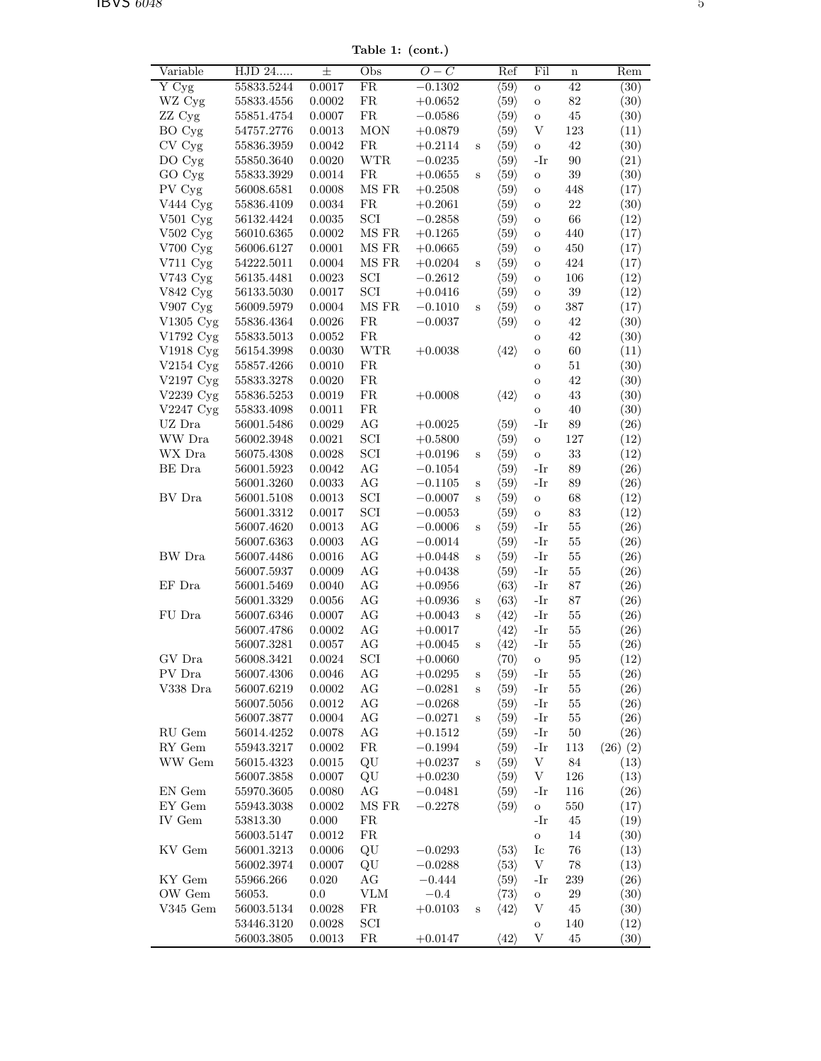Table 1: (cont.)

| Variable                       | $\overline{\mathrm{HJD}}$ 24 | 士          | Obs                         | $O-C$     |              | Ref                  | Fil                       | $\mathbf n$ | Rem          |
|--------------------------------|------------------------------|------------|-----------------------------|-----------|--------------|----------------------|---------------------------|-------------|--------------|
| Y Cyg                          | 55833.5244                   | 0.0017     | FR                          | $-0.1302$ |              | $\langle 59 \rangle$ | $\mathbf O$               | 42          | (30)         |
| WZ Cyg                         | 55833.4556                   | 0.0002     | ${\rm FR}$                  | $+0.0652$ |              | $\langle 59 \rangle$ | $\mathbf O$               | $82\,$      | (30)         |
| ZZ Cyg                         | 55851.4754                   | 0.0007     | ${\rm FR}$                  | $-0.0586$ |              | $\langle 59 \rangle$ | $\mathbf O$               | 45          | (30)         |
| BO Cyg                         | 54757.2776                   | 0.0013     | <b>MON</b>                  | $+0.0879$ |              | $\langle 59 \rangle$ | $\ensuremath{\mathbf{V}}$ | 123         | (11)         |
| CV Cyg                         | 55836.3959                   | 0.0042     | ${\rm FR}$                  | $+0.2114$ | $\mathbf S$  | $\langle 59 \rangle$ | $\mathbf O$               | $42\,$      | (30)         |
| DO Cyg                         | 55850.3640                   | 0.0020     | <b>WTR</b>                  | $-0.0235$ |              | $\langle 59 \rangle$ | $-Ir$                     | 90          | (21)         |
| GO Cyg                         | 55833.3929                   | 0.0014     | ${\rm FR}$                  | $+0.0655$ | $\, {\bf S}$ | $\langle 59 \rangle$ | $\mathbf O$               | $39\,$      | (30)         |
| PV Cyg                         | 56008.6581                   | 0.0008     | $\rm MS~FR$                 | $+0.2508$ |              | $\langle 59 \rangle$ | $\rm{O}$                  | 448         | (17)         |
| V444 Cyg                       | 55836.4109                   | 0.0034     | ${\rm FR}$                  | $+0.2061$ |              | $\langle 59 \rangle$ | $\rm{O}$                  | $22\,$      | (30)         |
| $V501$ Cyg                     | 56132.4424                   | 0.0035     | $\ensuremath{\mathrm{SCI}}$ | $-0.2858$ |              | $\langle 59 \rangle$ | $\mathbf O$               | $66\,$      | (12)         |
| $V502$ Cyg                     | 56010.6365                   | 0.0002     | $\rm{MS}$ $\rm{FR}$         | $+0.1265$ |              | $\langle 59 \rangle$ | $\rm{O}$                  | 440         | (17)         |
| V700 Cyg                       | 56006.6127                   | 0.0001     | $\rm{MS}$ FR                | $+0.0665$ |              | $\langle 59 \rangle$ | $\rm{O}$                  | $450\,$     | (17)         |
| V711 Cyg                       | 54222.5011                   | 0.0004     | $\rm MS~FR$                 | $+0.0204$ | $\, {\bf S}$ | $\langle 59 \rangle$ | $\rm{O}$                  | $424\,$     | (17)         |
| V743 Cyg                       | 56135.4481                   | 0.0023     | $\ensuremath{\mathrm{SCI}}$ | $-0.2612$ |              | $\langle 59 \rangle$ | $\rm{O}$                  | $106\,$     | (12)         |
| V842 Cyg                       | 56133.5030                   | 0.0017     | $\ensuremath{\mathrm{SCI}}$ | $+0.0416$ |              | $\langle 59 \rangle$ |                           | $39\,$      |              |
|                                |                              |            | $\rm MS~FR$                 |           |              |                      | $\rm{O}$                  |             | (12)         |
| $V907$ Cyg                     | 56009.5979                   | 0.0004     |                             | $-0.1010$ | $\mathbf S$  | $\langle 59 \rangle$ | $\mathbf O$               | 387         | (17)         |
| V1305 Cyg                      | 55836.4364                   | 0.0026     | ${\rm FR}$                  | $-0.0037$ |              | $\langle 59 \rangle$ | $\mathbf O$               | 42          | (30)         |
| V1792 Cyg                      | 55833.5013                   | 0.0052     | ${\rm FR}$                  |           |              |                      | $\mathbf O$               | 42          | (30)         |
| V1918 Cyg                      | 56154.3998                   | 0.0030     | $\operatorname{WTR}$        | $+0.0038$ |              | $\langle 42 \rangle$ | $\mathbf O$               | 60          | (11)         |
| $V2154$ Cyg                    | 55857.4266                   | 0.0010     | ${\rm FR}$                  |           |              |                      | $\mathbf O$               | $51\,$      | (30)         |
| V2197 Cyg                      | 55833.3278                   | 0.0020     | ${\rm FR}$                  |           |              |                      | $\mathbf O$               | 42          | (30)         |
| V2239 Cyg                      | 55836.5253                   | 0.0019     | ${\rm FR}$                  | $+0.0008$ |              | $\langle 42 \rangle$ | $\mathbf O$               | 43          | (30)         |
| V2247 Cyg                      | 55833.4098                   | 0.0011     | ${\rm FR}$                  |           |              |                      | $\mathbf O$               | $40\,$      | (30)         |
| $\mathrm{UZ}$ Dra              | 56001.5486                   | 0.0029     | $\rm{AG}$                   | $+0.0025$ |              | $\langle 59 \rangle$ | $-Ir$                     | $89\,$      | (26)         |
| WW Dra                         | 56002.3948                   | 0.0021     | $\ensuremath{\mathrm{SCI}}$ | $+0.5800$ |              | $\langle 59 \rangle$ | $\mathbf O$               | $127\,$     | (12)         |
| WX Dra                         | 56075.4308                   | 0.0028     | $\ensuremath{\mathrm{SCI}}$ | $+0.0196$ | $\mathbf S$  | $\langle 59 \rangle$ | $\mathbf O$               | $33\,$      | (12)         |
| BE Dra                         | 56001.5923                   | 0.0042     | $\rm{AG}$                   | $-0.1054$ |              | $\langle 59 \rangle$ | $-Ir$                     | $89\,$      | (26)         |
|                                | 56001.3260                   | 0.0033     | $\rm{AG}$                   | $-0.1105$ | $\mathbf S$  | $\langle 59 \rangle$ | $-Ir$                     | 89          | (26)         |
| BV Dra                         | 56001.5108                   | 0.0013     | $\ensuremath{\mathrm{SCI}}$ | $-0.0007$ | $\mathbf S$  | $\langle 59 \rangle$ | $\circ$                   | $68\,$      | (12)         |
|                                | 56001.3312                   | 0.0017     | $\ensuremath{\mathrm{SCI}}$ | $-0.0053$ |              | $\langle 59 \rangle$ | $\mathbf{o}$              | $83\,$      | (12)         |
|                                | 56007.4620                   | 0.0013     | $\rm{AG}$                   | $-0.0006$ | $\mathbf S$  | $\langle 59 \rangle$ | -Ir                       | $55\,$      | (26)         |
|                                | 56007.6363                   | 0.0003     | $\rm{AG}$                   | $-0.0014$ |              | $\langle 59 \rangle$ | $-Ir$                     | $55\,$      | (26)         |
| BW Dra                         | 56007.4486                   | 0.0016     | AG                          | $+0.0448$ | $\mathbf S$  | $\langle 59 \rangle$ | $-Ir$                     | $55\,$      | (26)         |
|                                | 56007.5937                   | 0.0009     | $\rm{AG}$                   | $+0.0438$ |              | $\langle 59 \rangle$ | $-{\rm Ir}$               | $55\,$      | (26)         |
| $\rm EF~Dra$                   | 56001.5469                   | 0.0040     | $\rm{AG}$                   | $+0.0956$ |              | $\langle 63 \rangle$ | $-Ir$                     | $87\,$      | (26)         |
|                                | 56001.3329                   | 0.0056     | AG                          | $+0.0936$ | $\mathbf S$  | $\langle 63 \rangle$ | $-Ir$                     | $87\,$      | (26)         |
| FU Dra                         | 56007.6346                   | 0.0007     | AG                          | $+0.0043$ | $\, {\bf S}$ | $\langle 42 \rangle$ | $-Ir$                     | $55\,$      | (26)         |
|                                | 56007.4786                   | 0.0002     | AG                          |           |              | $\langle 42 \rangle$ | $-Ir$                     | $55\,$      | (26)         |
|                                |                              |            |                             | $+0.0017$ |              |                      |                           |             |              |
|                                | 56007.3281                   | 0.0057     | AG                          | $+0.0045$ | $\mathbf S$  | $\langle 42 \rangle$ | $-Ir$                     | $55\,$      | (26)         |
| GV Dra                         | 56008.3421                   | 0.0024     | SCI                         | $+0.0060$ |              | $\langle 70 \rangle$ | О                         | $\rm 95$    | (12)         |
| PV Dra                         | 56007.4306                   | 0.0046     | AG                          | $+0.0295$ | $\rm S$      | $\langle 59 \rangle$ | -Ir                       | 55          | (26)         |
| V338 Dra                       | 56007.6219                   | 0.0002     | $\rm{AG}$                   | $-0.0281$ | $\, {\bf S}$ | $\langle 59 \rangle$ | $-Ir$                     | $55\,$      | (26)         |
|                                | 56007.5056                   | 0.0012     | AG                          | $-0.0268$ |              | $\langle 59 \rangle$ | $-Ir$                     | $55\,$      | (26)         |
|                                | 56007.3877                   | 0.0004     | AG                          | $-0.0271$ | S            | $\langle 59 \rangle$ | -Ir                       | 55          | (26)         |
| $\mathop{\rm RU}\nolimits$ Gem | 56014.4252                   | $0.0078\,$ | AG                          | $+0.1512$ |              | $\langle 59 \rangle$ | $-Ir$                     | 50          | (26)         |
| $\mathop{\rm RY}\nolimits$ Gem | 55943.3217                   | 0.0002     | ${\rm FR}$                  | $-0.1994$ |              | $\langle 59 \rangle$ | $-Ir$                     | 113         | $(26)$ $(2)$ |
| WW Gem                         | 56015.4323                   | 0.0015     | QU                          | $+0.0237$ | $\, {\bf S}$ | $\langle 59 \rangle$ | $\ensuremath{\mathbf{V}}$ | 84          | (13)         |
|                                | 56007.3858                   | 0.0007     | QU                          | $+0.0230$ |              | $\langle 59 \rangle$ | $\mathbf V$               | 126         | (13)         |
| ${\rm EN\,\, Gem}$             | 55970.3605                   | 0.0080     | AG                          | $-0.0481$ |              | $\langle 59 \rangle$ | -Ir                       | 116         | (26)         |
| EY Gem                         | 55943.3038                   | 0.0002     | MS FR                       | $-0.2278$ |              | $\langle 59 \rangle$ | $\mathbf O$               | $550\,$     | (17)         |
| IV Gem                         | 53813.30                     | $0.000\,$  | ${\rm FR}$                  |           |              |                      | $-Ir$                     | 45          | (19)         |
|                                | 56003.5147                   | 0.0012     | ${\rm FR}$                  |           |              |                      | $\mathbf O$               | $14\,$      | (30)         |
| KV Gem                         | 56001.3213                   | 0.0006     | QU                          | $-0.0293$ |              | $\langle 53 \rangle$ | $I_{\rm C}$               | $76\,$      | (13)         |
|                                | 56002.3974                   | 0.0007     | QU                          | $-0.0288$ |              | $\langle 53 \rangle$ | V                         | 78          | (13)         |
| KY Gem                         | 55966.266                    | 0.020      | AG                          | $-0.444$  |              | $\langle 59 \rangle$ | -Ir                       | 239         | (26)         |
| OW Gem                         | 56053.                       | 0.0        | ${\rm VLM}$                 | $-0.4$    |              | $\langle 73 \rangle$ |                           | $\,29$      | (30)         |
|                                |                              |            |                             |           |              |                      | $\mathbf O$<br>V          |             |              |
| V345 Gem                       | 56003.5134                   | 0.0028     | ${\rm FR}$                  | $+0.0103$ | S            | $\langle 42 \rangle$ |                           | $45\,$      | (30)         |
|                                | 53446.3120                   | $0.0028\,$ | $\ensuremath{\mathrm{SCI}}$ |           |              |                      | $\mathbf O$               | 140         | (12)         |
|                                | 56003.3805                   | 0.0013     | FR                          | $+0.0147$ |              | $\langle 42 \rangle$ | V                         | 45          | (30)         |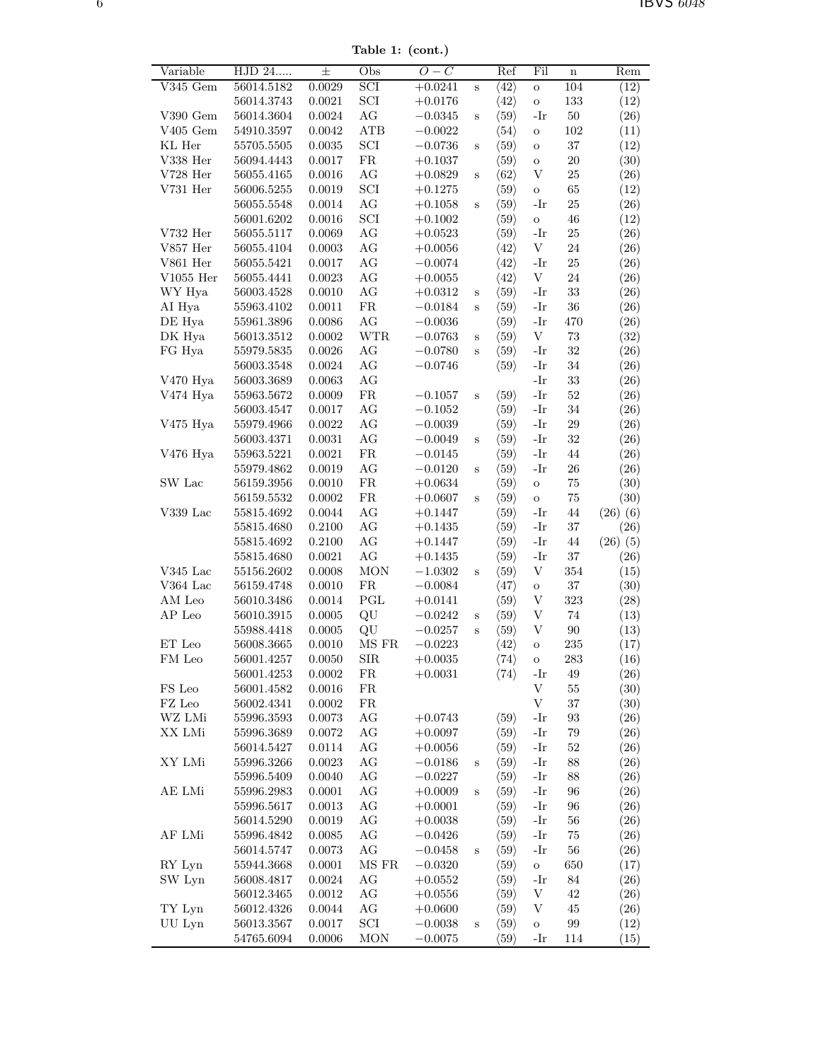Table 1: (cont.)

| Variable         | $HJD$ $24$               | 士                | Obs                         | $O-C$                  |              | Ref                                          | Fil                       | $\mathbf n$             | Rem          |
|------------------|--------------------------|------------------|-----------------------------|------------------------|--------------|----------------------------------------------|---------------------------|-------------------------|--------------|
| $V345$ Gem       | 56014.5182               | 0.0029           | $\overline{SCI}$            | $+0.0241$              | $\mathbf S$  | $\langle 42 \rangle$                         | $\mathbf O$               | 104                     | (12)         |
|                  | 56014.3743               | 0.0021           | $\ensuremath{\mathrm{SCI}}$ | $+0.0176$              |              | $\langle 42 \rangle$                         | $\mathbf O$               | 133                     | (12)         |
| V390 Gem         | 56014.3604               | 0.0024           | $\rm{AG}$                   | $-0.0345$              | $\mathbf S$  | $\langle 59 \rangle$                         | $-Ir$                     | $50\,$                  | (26)         |
| $V405$ Gem       | 54910.3597               | 0.0042           | ${\rm ATB}$                 | $-0.0022$              |              | $\langle 54 \rangle$                         | $\mathbf O$               | $102\,$                 | (11)         |
| KL Her           | 55705.5505               | $\,0.0035\,$     | $\operatorname{SCI}$        | $-0.0736$              | S            | $\langle 59 \rangle$                         | $\rm{O}$                  | $37\,$                  | (12)         |
| V338 Her         | 56094.4443               | 0.0017           | ${\rm FR}$                  | $+0.1037$              |              | $\langle 59 \rangle$                         | $\mathbf O$               | $20\,$                  | (30)         |
| $\rm V728\ Her$  | 56055.4165               | 0.0016           | $\rm{AG}$                   | $+0.0829$              | $\mathbf S$  | $\langle 62 \rangle$                         | V                         | $25\,$                  | (26)         |
| $V731$ Her       | 56006.5255               | 0.0019           | $\operatorname{SCI}$        | $+0.1275$              |              | $\langle 59 \rangle$                         | $\mathbf{o}$              | 65                      | (12)         |
|                  | 56055.5548               | 0.0014           | $\rm{AG}$                   | $+0.1058$              | $\mathbf S$  | $\langle 59 \rangle$                         | $-Ir$                     | $25\,$                  | (26)         |
|                  | 56001.6202               | 0.0016           | $\ensuremath{\mathrm{SCI}}$ | $+0.1002$              |              | $\langle 59 \rangle$                         | $\mathbf O$               | $\sqrt{46}$             | (12)         |
| V732 Her         | 56055.5117               | 0.0069           | $\rm{AG}$                   | $+0.0523$              |              | $\langle 59 \rangle$                         | $-Ir$                     | $25\,$                  | (26)         |
| V857 Her         | 56055.4104               | 0.0003           | $\rm{AG}$                   | $+0.0056$              |              | $\langle 42 \rangle$                         | $\ensuremath{\mathbf{V}}$ | 24                      | (26)         |
| V861 Her         | 56055.5421               | 0.0017           | AG                          | $-0.0074$              |              | $\langle 42 \rangle$                         | $-Ir$                     | $25\,$                  | (26)         |
| $V1055$ Her      | 56055.4441               | 0.0023           | AG                          | $+0.0055$              |              | $\langle 42 \rangle$                         | $\ensuremath{\mathbf{V}}$ | 24                      | (26)         |
| WY Hya           | 56003.4528               | 0.0010           | AG                          | $+0.0312$              | $\mathbf S$  | $\langle 59 \rangle$                         | $-Ir$                     | $33\,$                  | (26)         |
| AI Hya           | 55963.4102               | 0.0011           | ${\rm FR}$                  | $-0.0184$              | S            | $\langle 59 \rangle$                         | -Ir                       | $36\,$                  | (26)         |
| DE Hya           | 55961.3896               | 0.0086           | AG                          | $-0.0036$              |              | $\langle 59 \rangle$                         | $-Ir$                     | 470                     | (26)         |
| DK Hya           | 56013.3512               | 0.0002           | <b>WTR</b>                  | $-0.0763$              | $\mathbf S$  | $\langle 59 \rangle$                         | $\mathbf V$               | $73\,$                  | (32)         |
| FG Hya           | 55979.5835               | 0.0026           | $\rm{AG}$                   | $-0.0780$              | $\, {\bf S}$ | $\langle 59 \rangle$                         | -Ir                       | $32\,$                  | (26)         |
|                  | 56003.3548               | 0.0024           | AG                          | $-0.0746$              |              | $\langle 59 \rangle$                         | $-Ir$                     | 34                      | (26)         |
| V470 Hya         | 56003.3689               | 0.0063           | AG                          |                        |              |                                              | $-Ir$                     | $33\,$                  | (26)         |
| V474 Hya         | 55963.5672               | 0.0009           | ${\rm FR}$                  | $-0.1057$              | $\mathbf S$  | $\langle 59 \rangle$                         | $-Ir$                     | $52\,$                  | (26)         |
|                  | 56003.4547               | 0.0017           | AG                          | $-0.1052$              |              | $\langle 59 \rangle$                         | -Ir                       | 34                      | (26)         |
| V475 Hya         | 55979.4966               | 0.0022           | $\rm{AG}$                   | $-0.0039$              |              | $\langle 59 \rangle$                         | $-Ir$                     | $\,29$                  | (26)         |
|                  | 56003.4371               | 0.0031           | AG                          | $-0.0049$              |              | $\langle 59 \rangle$                         | -Ir                       | $32\,$                  |              |
|                  |                          |                  | ${\rm FR}$                  |                        | $\mathbf S$  |                                              |                           |                         | (26)         |
| V476 Hya         | 55963.5221               | 0.0021           |                             | $-0.0145$              |              | $\langle 59 \rangle$                         | -Ir                       | $\sqrt{44}$             | (26)         |
|                  | 55979.4862               | 0.0019           | AG                          | $-0.0120$              | $\, {\bf S}$ | $\langle 59 \rangle$                         | $-Ir$                     | $26\,$                  | (26)         |
| SW Lac           | 56159.3956               | 0.0010           | ${\rm FR}$                  | $+0.0634$              |              | $\langle 59 \rangle$                         | $\mathbf O$               | $75\,$                  | (30)         |
|                  | 56159.5532               | $0.0002\,$       | ${\rm FR}$                  | $+0.0607$              | $\, {\bf S}$ | $\langle 59 \rangle$                         | $\mathbf O$               | $75\,$                  | (30)         |
| $\rm V339~Lac$   | 55815.4692               | 0.0044           | AG                          | $+0.1447$              |              | $\langle 59 \rangle$                         | $-Ir$                     | 44                      | $(26)$ $(6)$ |
|                  | 55815.4680               | 0.2100           | AG                          | $+0.1435$              |              | $\langle 59 \rangle$                         | $-Ir$                     | $37\,$                  | (26)         |
|                  | 55815.4692               | 0.2100           | AG                          | $+0.1447$              |              | $\langle 59 \rangle$                         | $-Ir$                     | $\sqrt{44}$             | $(26)$ $(5)$ |
|                  | 55815.4680               | 0.0021           | AG                          | $+0.1435$              |              | $\langle 59 \rangle$                         | $-Ir$                     | $37\,$                  | (26)         |
| $V345$ Lac       | 55156.2602               | 0.0008           | <b>MON</b>                  | $-1.0302$              | $\, {\bf S}$ | $\langle 59 \rangle$                         | $\ensuremath{\mathbf{V}}$ | $354\,$                 | (15)         |
| $V364$ Lac       | 56159.4748               | 0.0010           | ${\rm FR}$                  | $-0.0084$              |              | $\langle 47 \rangle$                         | $\mathbf O$               | $37\,$                  | (30)         |
| AM Leo           | 56010.3486               | 0.0014           | PGL                         | $+0.0141$              |              | $\langle 59 \rangle$                         | V                         | $323\,$                 | (28)         |
| ${\rm AP}$ Leo   | 56010.3915               | 0.0005           | QU                          | $-0.0242$              | $\mathbf S$  | $\langle 59 \rangle$                         | $\ensuremath{\mathbf{V}}$ | 74                      | (13)         |
|                  | 55988.4418               | $0.0005\,$       | QU                          | $-0.0257$              | $\, {\bf S}$ | $\langle 59 \rangle$                         | $\boldsymbol{\mathrm{V}}$ | $90\,$                  | (13)         |
| ET Leo           | 56008.3665               | 0.0010           | MS FR                       | $-0.0223$              |              | $\langle 42 \rangle$                         | $\mathbf O$               | $\,235$                 | (17)         |
| FM Leo           | 56001.4257               | 0.0050           | <b>SIR</b>                  | $+0.0035$              |              | $\langle 74 \rangle$                         | $\mathbf O$               | 283                     | (16)         |
|                  | 56001.4253               | 0.0002           | ${\rm FR}$                  | $+0.0031$              |              | $\langle 74 \rangle$                         | -Ir                       | 49                      | (26)         |
| FS Leo           | 56001.4582               | 0.0016           | ${\rm FR}$                  |                        |              |                                              | $\ensuremath{\mathbf{V}}$ | $55\,$                  | (30)         |
| ${\rm FZ}$ Leo   | 56002.4341               | 0.0002           | ${\rm FR}$                  |                        |              |                                              | $\ensuremath{\mathbf{V}}$ | $37\,$                  | (30)         |
| WZ LMi           | 55996.3593               | 0.0073           | AG                          | $+0.0743$              |              | $\langle 59 \rangle$                         | -Ir                       | $\boldsymbol{93}$       | (26)         |
| XX LMi           | 55996.3689               | 0.0072           | AG                          | $+0.0097$              |              | $\langle 59 \rangle$                         | -Ir                       | $79\,$                  | (26)         |
|                  | 56014.5427               | 0.0114           | AG                          | $+0.0056$              |              | $\langle 59 \rangle$                         | -Ir                       | $52\,$                  | (26)         |
| XY LMi           | 55996.3266               | 0.0023           | $\rm{AG}$                   | $-0.0186$              | $\mathbf S$  | $\langle 59 \rangle$                         | $-Ir$                     | 88                      | (26)         |
|                  | 55996.5409               | 0.0040           | AG                          | $-0.0227$              |              | $\langle 59 \rangle$                         | -Ir                       | 88                      | (26)         |
| AE LMi           | 55996.2983               | 0.0001           | AG                          | $+0.0009$              | S            | $\langle 59 \rangle$                         | -Ir                       | 96                      | (26)         |
|                  | 55996.5617               | 0.0013           | AG                          | $+0.0001$              |              | $\langle 59 \rangle$                         | $-Ir$                     | 96                      | (26)         |
|                  | 56014.5290               | 0.0019           | AG                          | $+0.0038$              |              | $\langle 59 \rangle$                         | -Ir                       | 56                      | (26)         |
| AF LMi           | 55996.4842               | 0.0085           | AG                          | $-0.0426$              |              | $\langle 59 \rangle$                         | -Ir                       | $75\,$                  | (26)         |
|                  | 56014.5747               | 0.0073           | AG                          | $-0.0458$              | $\mathbf S$  | $\langle 59 \rangle$                         | $-Ir$                     | $56\,$                  | (26)         |
|                  | 55944.3668               | 0.0001           | $\rm MS~FR$                 | $-0.0320$              |              | $\langle 59 \rangle$                         | $\rm{O}$                  | 650                     | (17)         |
|                  | 56008.4817               | 0.0024           | AG                          | $+0.0552$              |              | $\langle 59 \rangle$                         | $-Ir$                     | 84                      | (26)         |
| RY Lyn           |                          |                  |                             |                        |              |                                              |                           |                         |              |
| SW Lyn           |                          |                  |                             |                        |              |                                              |                           |                         |              |
|                  | 56012.3465               | 0.0012           | AG                          | $+0.0556$              |              | $\langle 59 \rangle$                         | $\ensuremath{\mathbf{V}}$ | $42\,$                  | (26)         |
| TY Lyn<br>UU Lyn | 56012.4326<br>56013.3567 | 0.0044<br>0.0017 | AG<br>SCI                   | $+0.0600$<br>$-0.0038$ | S            | $\langle 59 \rangle$<br>$\langle 59 \rangle$ | V<br>$\mathbf O$          | 45<br>$\boldsymbol{99}$ | (26)<br>(12) |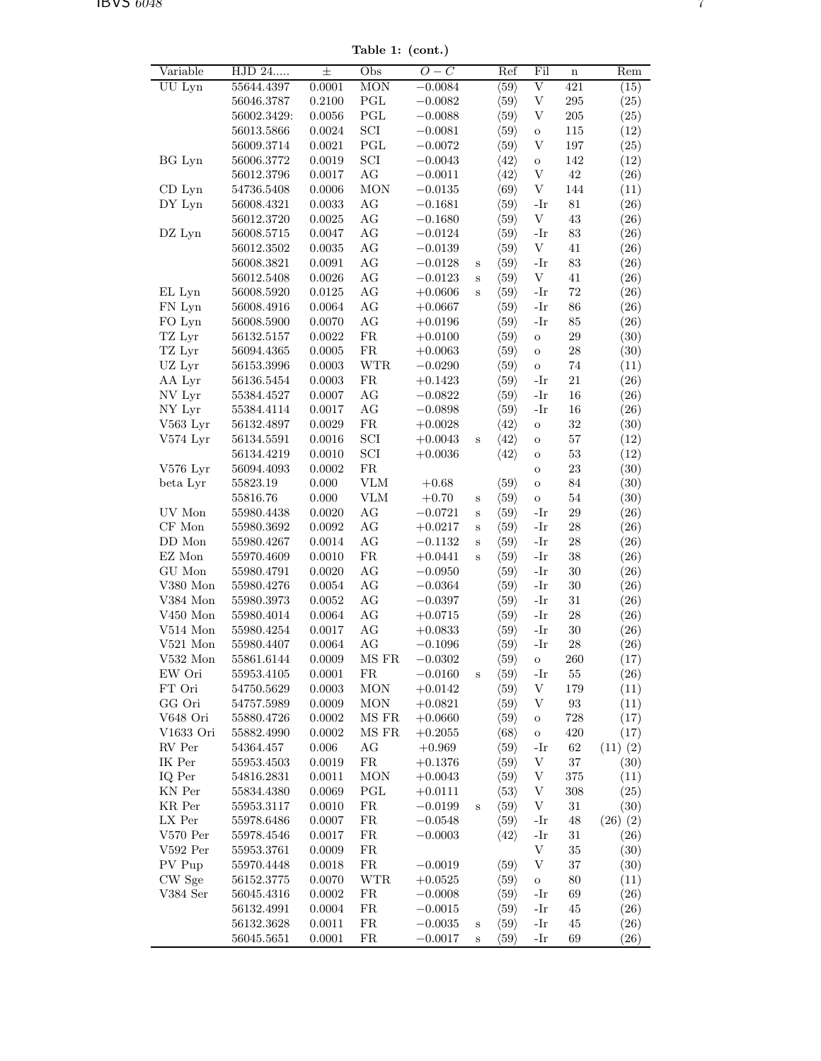Table 1: (cont.)

| <b>MON</b><br>$\overline{\mathrm{V}}$<br>421<br>UU Lyn<br>55644.4397<br>0.0001<br>$-0.0084$<br>$\langle 59 \rangle$<br>(15)<br>$\operatorname{PGL}$<br>$\ensuremath{\mathbf{V}}$<br>$\,295$<br>0.2100<br>$\langle 59 \rangle$<br>(25)<br>56046.3787<br>$-0.0082$<br>$\operatorname{PGL}$<br>$205\,$<br>$\langle 59 \rangle$<br>V<br>(25)<br>56002.3429:<br>0.0056<br>$-0.0088$<br>$\ensuremath{\mathrm{SCI}}$<br>0.0024<br>$\langle 59 \rangle$<br>$115\,$<br>(12)<br>56013.5866<br>$-0.0081$<br>$\mathbf O$<br>$\operatorname{PGL}$<br>0.0021<br>$\langle 59 \rangle$<br>V<br>197<br>(25)<br>56009.3714<br>$-0.0072$<br>$\operatorname{SCI}$<br>BG Lyn<br>142<br>56006.3772<br>0.0019<br>$-0.0043$<br>$\langle 42 \rangle$<br>(12)<br>$\mathbf O$<br>AG<br>$42\,$<br>0.0017<br>$\langle 42 \rangle$<br>V<br>56012.3796<br>$-0.0011$<br>(26)<br>$\rm{MON}$<br>$0.0006\,$<br>$\langle 69 \rangle$<br>V<br>144<br>$CD$ Lyn<br>54736.5408<br>$-0.0135$<br>(11)<br>DY Lyn<br>0.0033<br>AG<br>$\langle 59 \rangle$<br>$-Ir$<br>$81\,$<br>56008.4321<br>$-0.1681$<br>(26)<br>V<br>$43\,$<br>0.0025<br>AG<br>$\langle 59 \rangle$<br>(26)<br>56012.3720<br>$-0.1680$<br>0.0047<br>AG<br>$\langle 59 \rangle$<br>83<br>DZ Lyn<br>56008.5715<br>$-0.0124$<br>-Ir<br>(26)<br>V<br>AG<br>41<br>56012.3502<br>0.0035<br>$\langle 59 \rangle$<br>(26)<br>$-0.0139$<br>$\rm{AG}$<br>$83\,$<br>$-Ir$<br>(26)<br>56008.3821<br>0.0091<br>$-0.0128$<br>$\langle 59 \rangle$<br>S<br>$\rm{AG}$<br>$\langle 59 \rangle$<br>V<br>$41\,$<br>(26)<br>56012.5408<br>0.0026<br>$-0.0123$<br>$\mathbf S$<br>$\rm{AG}$<br>$72\,$<br>0.0125<br>$\langle 59 \rangle$<br>$-Ir$<br>(26)<br>EL Lyn<br>56008.5920<br>$+0.0606$<br>$\rm S$<br>FN Lyn<br>0.0064<br>AG<br>$\langle 59 \rangle$<br>86<br>(26)<br>56008.4916<br>$+0.0667$<br>-Ir<br>AG<br>$\langle 59 \rangle$<br>85<br>FO Lyn<br>56008.5900<br>0.0070<br>$+0.0196$<br>-Ir<br>(26)<br>TZ Lyr<br>${\rm FR}$<br>29<br>56132.5157<br>0.0022<br>$+0.0100$<br>$\langle 59 \rangle$<br>(30)<br>$\rm{O}$<br>${\rm FR}$<br>TZ Lyr<br>0.0005<br>$\sqrt{28}$<br>(30)<br>56094.4365<br>$+0.0063$<br>$\langle 59 \rangle$<br>$\mathbf O$<br>UZ Lyr<br>$56153.3996\,$<br>0.0003<br><b>WTR</b><br>$\langle 59 \rangle$<br>74<br>$-0.0290$<br>(11)<br>$\mathbf O$<br>AA Lyr<br>FR<br>$\langle 59 \rangle$<br>$-Ir$<br>21<br>(26)<br>56136.5454<br>0.0003<br>$+0.1423$<br>NV Lyr<br>0.0007<br>AG<br>$\langle 59 \rangle$<br>16<br>$55384.4527\,$<br>$-0.0822$<br>-Ir<br>(26)<br>AG<br>16<br>NY Lyr<br>55384.4114<br>0.0017<br>$-0.0898$<br>$\langle 59 \rangle$<br>-Ir<br>(26)<br>${\rm FR}$<br>$32\,$<br>V563 Lyr<br>0.0029<br>$\langle 42 \rangle$<br>(30)<br>56132.4897<br>$+0.0028$<br>$\rm{O}$<br>$\ensuremath{\mathrm{SCI}}$<br>$57\,$<br>V574 Lyr<br>$0.0016\,$<br>$\langle 42 \rangle$<br>(12)<br>56134.5591<br>$+0.0043$<br>S<br>$\mathbf O$<br>$\ensuremath{\mathrm{SCI}}$<br>$53\,$<br>0.0010<br>$\langle 42 \rangle$<br>(12)<br>56134.4219<br>$+0.0036$<br>$\mathbf O$<br>${\rm FR}$<br>$23\,$<br>V576 Lyr<br>56094.4093<br>0.0002<br>(30)<br>$\mathbf O$<br>${\rm VLM}$<br>55823.19<br>0.000<br>$\langle 59 \rangle$<br>84<br>(30)<br>beta Lyr<br>$+0.68$<br>$\rm{O}$<br>$0.000\,$<br><b>VLM</b><br>$\langle 59 \rangle$<br>$54\,$<br>55816.76<br>$+0.70$<br>(30)<br>$\mathbf O$<br>S<br>UV Mon<br>AG<br>$-Ir$<br>29<br>55980.4438<br>0.0020<br>$-0.0721$<br>$\langle 59 \rangle$<br>(26)<br>S<br>$\rm{AG}$<br>$\sqrt{28}$<br>CF Mon<br>$\langle 59 \rangle$<br>$-Ir$<br>(26)<br>55980.3692<br>0.0092<br>$+0.0217$<br>S<br>$\rm{AG}$<br>DD Mon<br>0.0014<br>$\langle 59 \rangle$<br>$-Ir$<br>$\sqrt{28}$<br>55980.4267<br>$-0.1132$<br>(26)<br>S<br>${\rm FR}$<br>EZ Mon<br>0.0010<br>$\langle 59 \rangle$<br>$-Ir$<br>$38\,$<br>55970.4609<br>$+0.0441$<br>(26)<br>S<br>GU Mon<br>55980.4791<br>0.0020<br>AG<br>$\langle 59 \rangle$<br>$-Ir$<br>30<br>$-0.0950$<br>(26)<br>$V380$ Mon<br>AG<br>$-Ir$<br>30<br>55980.4276<br>0.0054<br>$\langle 59 \rangle$<br>(26)<br>$-0.0364$<br>$31\,$<br>V384 Mon<br>AG<br>-Ir<br>(26)<br>55980.3973<br>0.0052<br>$-0.0397$<br>$\langle 59 \rangle$<br>$\rm{AG}$<br>$\sqrt{28}$<br>$V450$ Mon<br>$\,0.0064\,$<br>$\langle 59 \rangle$<br>$-Ir$<br>(26)<br>55980.4014<br>$+0.0715$<br>V514 Mon<br>0.0017<br>AG<br>$\langle 59 \rangle$<br>-Ir<br>30<br>(26)<br>55980.4254<br>$+0.0833$<br>AG<br>28<br>$V521$ Mon<br>0.0064<br>$\langle 59 \rangle$<br>(26)<br>55980.4407<br>$-0.1096$<br>-Ir<br>MS FR<br>$\langle 59 \rangle$<br>$V532$ Mon<br>55861.6144<br>0.0009<br>260<br>(17)<br>$-0.0302$<br>О<br>FR<br>EW Ori<br>55953.4105<br>0.0001<br>$-0.0160$<br>$\langle 59 \rangle$<br>55<br>(26)<br>-Ir<br>S<br>FT Ori<br>0.0003<br><b>MON</b><br>$\langle 59 \rangle$<br>V<br>179<br>54750.5629<br>$+0.0142$<br>(11)<br>GG Ori<br><b>MON</b><br>$\langle 59 \rangle$<br>V<br>$\boldsymbol{93}$<br>54757.5989<br>0.0009<br>$+0.0821$<br>(11)<br>$\langle 59 \rangle$<br>728<br>V648 Ori<br>0.0002<br>MS FR<br>(17)<br>55880.4726<br>$+0.0660$<br>$\mathbf O$<br>$\rm MS~FR$<br>$\langle 68 \rangle$<br>420<br>V1633 Ori<br>0.0002<br>$+0.2055$<br>(17)<br>55882.4990<br>$\rm{O}$<br>RV Per<br>$0.006\,$<br>AG<br>$\langle 59 \rangle$<br>54364.457<br>$+0.969$<br>-Ir<br>62<br>$(11)$ $(2)$<br>IK Per<br>0.0019<br>${\rm FR}$<br>$\ensuremath{\mathbf{V}}$<br>$37\,$<br>55953.4503<br>$\langle 59 \rangle$<br>(30)<br>$+0.1376$<br>IQ Per<br><b>MON</b><br>$\ensuremath{\mathbf{V}}$<br>375<br>0.0011<br>$\langle 59 \rangle$<br>(11)<br>54816.2831<br>$+0.0043$<br>KN Per<br>$\operatorname{PGL}$<br>$\langle 53 \rangle$<br>0.0069<br>V<br>308<br>(25)<br>55834.4380<br>$+0.0111$<br>FR<br>$\langle 59 \rangle$<br>V<br>(30)<br>KR Per<br>55953.3117<br>0.0010<br>$-0.0199$<br>31<br>S<br>LX Per<br>0.0007<br>FR<br>$\langle 59 \rangle$<br>55978.6486<br>$-0.0548$<br>48<br>$(26)$ $(2)$<br>-Ir<br>$V570$ Per<br>55978.4546<br>0.0017<br>FR<br>$-0.0003$<br>$\langle 42 \rangle$<br>-Ir<br>31<br>(26)<br>${\rm FR}$<br>$\ensuremath{\mathbf{V}}$<br>$35\,$<br>$V592$ Per<br>55953.3761<br>0.0009<br>(30)<br>PV Pup<br>FR<br>V<br>$37\,$<br>0.0018<br>$-0.0019$<br>$\langle 59 \rangle$<br>(30)<br>55970.4448<br>CW Sge<br><b>WTR</b><br>$\langle 59 \rangle$<br>80<br>56152.3775<br>0.0070<br>$+0.0525$<br>(11)<br>$\rm{O}$<br>V384 Ser<br>${\rm FR}$<br>$\langle 59 \rangle$<br>69<br>(26)<br>56045.4316<br>0.0002<br>$-0.0008$<br>-Ir<br>${\rm FR}$<br>56132.4991<br>0.0004<br>$-0.0015$<br>$\langle 59 \rangle$<br>-Ir<br>45<br>(26)<br>${\rm FR}$<br>56132.3628<br>0.0011<br>$-0.0035$<br>$\langle 59 \rangle$<br>-Ir<br>45<br>(26)<br>S | Variable | HJD 24     | 士      | Obs        | $O-C$     |   | Ref                  | Fil | $\mathbf n$ | Rem                |
|-------------------------------------------------------------------------------------------------------------------------------------------------------------------------------------------------------------------------------------------------------------------------------------------------------------------------------------------------------------------------------------------------------------------------------------------------------------------------------------------------------------------------------------------------------------------------------------------------------------------------------------------------------------------------------------------------------------------------------------------------------------------------------------------------------------------------------------------------------------------------------------------------------------------------------------------------------------------------------------------------------------------------------------------------------------------------------------------------------------------------------------------------------------------------------------------------------------------------------------------------------------------------------------------------------------------------------------------------------------------------------------------------------------------------------------------------------------------------------------------------------------------------------------------------------------------------------------------------------------------------------------------------------------------------------------------------------------------------------------------------------------------------------------------------------------------------------------------------------------------------------------------------------------------------------------------------------------------------------------------------------------------------------------------------------------------------------------------------------------------------------------------------------------------------------------------------------------------------------------------------------------------------------------------------------------------------------------------------------------------------------------------------------------------------------------------------------------------------------------------------------------------------------------------------------------------------------------------------------------------------------------------------------------------------------------------------------------------------------------------------------------------------------------------------------------------------------------------------------------------------------------------------------------------------------------------------------------------------------------------------------------------------------------------------------------------------------------------------------------------------------------------------------------------------------------------------------------------------------------------------------------------------------------------------------------------------------------------------------------------------------------------------------------------------------------------------------------------------------------------------------------------------------------------------------------------------------------------------------------------------------------------------------------------------------------------------------------------------------------------------------------------------------------------------------------------------------------------------------------------------------------------------------------------------------------------------------------------------------------------------------------------------------------------------------------------------------------------------------------------------------------------------------------------------------------------------------------------------------------------------------------------------------------------------------------------------------------------------------------------------------------------------------------------------------------------------------------------------------------------------------------------------------------------------------------------------------------------------------------------------------------------------------------------------------------------------------------------------------------------------------------------------------------------------------------------------------------------------------------------------------------------------------------------------------------------------------------------------------------------------------------------------------------------------------------------------------------------------------------------------------------------------------------------------------------------------------------------------------------------------------------------------------------------------------------------------------------------------------------------------------------------------------------------------------------------------------------------------------------------------------------------------------------------------------------------------------------------------------------------------------------------------------------------------------------------------------------------------------------------------------------------------------------------------------------------------------------------------------------------------------------------------------------------------------------------------------------------------------------------------------------------------------------------------------------------------------------------------------------------------------------------------------------------------------------------------------------------------------------------------------------------------------------------------------------------------------------------------------------------------------------------------------------------------------------------------------------------------------------------------------------------------------------------------------------------------------------------------------------|----------|------------|--------|------------|-----------|---|----------------------|-----|-------------|--------------------|
|                                                                                                                                                                                                                                                                                                                                                                                                                                                                                                                                                                                                                                                                                                                                                                                                                                                                                                                                                                                                                                                                                                                                                                                                                                                                                                                                                                                                                                                                                                                                                                                                                                                                                                                                                                                                                                                                                                                                                                                                                                                                                                                                                                                                                                                                                                                                                                                                                                                                                                                                                                                                                                                                                                                                                                                                                                                                                                                                                                                                                                                                                                                                                                                                                                                                                                                                                                                                                                                                                                                                                                                                                                                                                                                                                                                                                                                                                                                                                                                                                                                                                                                                                                                                                                                                                                                                                                                                                                                                                                                                                                                                                                                                                                                                                                                                                                                                                                                                                                                                                                                                                                                                                                                                                                                                                                                                                                                                                                                                                                                                                                                                                                                                                                                                                                                                                                                                                                                                                                                                                                                                                                                                                                                                                                                                                                                                                                                                                                                                                                                                                                                                             |          |            |        |            |           |   |                      |     |             |                    |
|                                                                                                                                                                                                                                                                                                                                                                                                                                                                                                                                                                                                                                                                                                                                                                                                                                                                                                                                                                                                                                                                                                                                                                                                                                                                                                                                                                                                                                                                                                                                                                                                                                                                                                                                                                                                                                                                                                                                                                                                                                                                                                                                                                                                                                                                                                                                                                                                                                                                                                                                                                                                                                                                                                                                                                                                                                                                                                                                                                                                                                                                                                                                                                                                                                                                                                                                                                                                                                                                                                                                                                                                                                                                                                                                                                                                                                                                                                                                                                                                                                                                                                                                                                                                                                                                                                                                                                                                                                                                                                                                                                                                                                                                                                                                                                                                                                                                                                                                                                                                                                                                                                                                                                                                                                                                                                                                                                                                                                                                                                                                                                                                                                                                                                                                                                                                                                                                                                                                                                                                                                                                                                                                                                                                                                                                                                                                                                                                                                                                                                                                                                                                             |          |            |        |            |           |   |                      |     |             |                    |
|                                                                                                                                                                                                                                                                                                                                                                                                                                                                                                                                                                                                                                                                                                                                                                                                                                                                                                                                                                                                                                                                                                                                                                                                                                                                                                                                                                                                                                                                                                                                                                                                                                                                                                                                                                                                                                                                                                                                                                                                                                                                                                                                                                                                                                                                                                                                                                                                                                                                                                                                                                                                                                                                                                                                                                                                                                                                                                                                                                                                                                                                                                                                                                                                                                                                                                                                                                                                                                                                                                                                                                                                                                                                                                                                                                                                                                                                                                                                                                                                                                                                                                                                                                                                                                                                                                                                                                                                                                                                                                                                                                                                                                                                                                                                                                                                                                                                                                                                                                                                                                                                                                                                                                                                                                                                                                                                                                                                                                                                                                                                                                                                                                                                                                                                                                                                                                                                                                                                                                                                                                                                                                                                                                                                                                                                                                                                                                                                                                                                                                                                                                                                             |          |            |        |            |           |   |                      |     |             |                    |
|                                                                                                                                                                                                                                                                                                                                                                                                                                                                                                                                                                                                                                                                                                                                                                                                                                                                                                                                                                                                                                                                                                                                                                                                                                                                                                                                                                                                                                                                                                                                                                                                                                                                                                                                                                                                                                                                                                                                                                                                                                                                                                                                                                                                                                                                                                                                                                                                                                                                                                                                                                                                                                                                                                                                                                                                                                                                                                                                                                                                                                                                                                                                                                                                                                                                                                                                                                                                                                                                                                                                                                                                                                                                                                                                                                                                                                                                                                                                                                                                                                                                                                                                                                                                                                                                                                                                                                                                                                                                                                                                                                                                                                                                                                                                                                                                                                                                                                                                                                                                                                                                                                                                                                                                                                                                                                                                                                                                                                                                                                                                                                                                                                                                                                                                                                                                                                                                                                                                                                                                                                                                                                                                                                                                                                                                                                                                                                                                                                                                                                                                                                                                             |          |            |        |            |           |   |                      |     |             |                    |
|                                                                                                                                                                                                                                                                                                                                                                                                                                                                                                                                                                                                                                                                                                                                                                                                                                                                                                                                                                                                                                                                                                                                                                                                                                                                                                                                                                                                                                                                                                                                                                                                                                                                                                                                                                                                                                                                                                                                                                                                                                                                                                                                                                                                                                                                                                                                                                                                                                                                                                                                                                                                                                                                                                                                                                                                                                                                                                                                                                                                                                                                                                                                                                                                                                                                                                                                                                                                                                                                                                                                                                                                                                                                                                                                                                                                                                                                                                                                                                                                                                                                                                                                                                                                                                                                                                                                                                                                                                                                                                                                                                                                                                                                                                                                                                                                                                                                                                                                                                                                                                                                                                                                                                                                                                                                                                                                                                                                                                                                                                                                                                                                                                                                                                                                                                                                                                                                                                                                                                                                                                                                                                                                                                                                                                                                                                                                                                                                                                                                                                                                                                                                             |          |            |        |            |           |   |                      |     |             |                    |
|                                                                                                                                                                                                                                                                                                                                                                                                                                                                                                                                                                                                                                                                                                                                                                                                                                                                                                                                                                                                                                                                                                                                                                                                                                                                                                                                                                                                                                                                                                                                                                                                                                                                                                                                                                                                                                                                                                                                                                                                                                                                                                                                                                                                                                                                                                                                                                                                                                                                                                                                                                                                                                                                                                                                                                                                                                                                                                                                                                                                                                                                                                                                                                                                                                                                                                                                                                                                                                                                                                                                                                                                                                                                                                                                                                                                                                                                                                                                                                                                                                                                                                                                                                                                                                                                                                                                                                                                                                                                                                                                                                                                                                                                                                                                                                                                                                                                                                                                                                                                                                                                                                                                                                                                                                                                                                                                                                                                                                                                                                                                                                                                                                                                                                                                                                                                                                                                                                                                                                                                                                                                                                                                                                                                                                                                                                                                                                                                                                                                                                                                                                                                             |          |            |        |            |           |   |                      |     |             |                    |
|                                                                                                                                                                                                                                                                                                                                                                                                                                                                                                                                                                                                                                                                                                                                                                                                                                                                                                                                                                                                                                                                                                                                                                                                                                                                                                                                                                                                                                                                                                                                                                                                                                                                                                                                                                                                                                                                                                                                                                                                                                                                                                                                                                                                                                                                                                                                                                                                                                                                                                                                                                                                                                                                                                                                                                                                                                                                                                                                                                                                                                                                                                                                                                                                                                                                                                                                                                                                                                                                                                                                                                                                                                                                                                                                                                                                                                                                                                                                                                                                                                                                                                                                                                                                                                                                                                                                                                                                                                                                                                                                                                                                                                                                                                                                                                                                                                                                                                                                                                                                                                                                                                                                                                                                                                                                                                                                                                                                                                                                                                                                                                                                                                                                                                                                                                                                                                                                                                                                                                                                                                                                                                                                                                                                                                                                                                                                                                                                                                                                                                                                                                                                             |          |            |        |            |           |   |                      |     |             |                    |
|                                                                                                                                                                                                                                                                                                                                                                                                                                                                                                                                                                                                                                                                                                                                                                                                                                                                                                                                                                                                                                                                                                                                                                                                                                                                                                                                                                                                                                                                                                                                                                                                                                                                                                                                                                                                                                                                                                                                                                                                                                                                                                                                                                                                                                                                                                                                                                                                                                                                                                                                                                                                                                                                                                                                                                                                                                                                                                                                                                                                                                                                                                                                                                                                                                                                                                                                                                                                                                                                                                                                                                                                                                                                                                                                                                                                                                                                                                                                                                                                                                                                                                                                                                                                                                                                                                                                                                                                                                                                                                                                                                                                                                                                                                                                                                                                                                                                                                                                                                                                                                                                                                                                                                                                                                                                                                                                                                                                                                                                                                                                                                                                                                                                                                                                                                                                                                                                                                                                                                                                                                                                                                                                                                                                                                                                                                                                                                                                                                                                                                                                                                                                             |          |            |        |            |           |   |                      |     |             |                    |
|                                                                                                                                                                                                                                                                                                                                                                                                                                                                                                                                                                                                                                                                                                                                                                                                                                                                                                                                                                                                                                                                                                                                                                                                                                                                                                                                                                                                                                                                                                                                                                                                                                                                                                                                                                                                                                                                                                                                                                                                                                                                                                                                                                                                                                                                                                                                                                                                                                                                                                                                                                                                                                                                                                                                                                                                                                                                                                                                                                                                                                                                                                                                                                                                                                                                                                                                                                                                                                                                                                                                                                                                                                                                                                                                                                                                                                                                                                                                                                                                                                                                                                                                                                                                                                                                                                                                                                                                                                                                                                                                                                                                                                                                                                                                                                                                                                                                                                                                                                                                                                                                                                                                                                                                                                                                                                                                                                                                                                                                                                                                                                                                                                                                                                                                                                                                                                                                                                                                                                                                                                                                                                                                                                                                                                                                                                                                                                                                                                                                                                                                                                                                             |          |            |        |            |           |   |                      |     |             |                    |
|                                                                                                                                                                                                                                                                                                                                                                                                                                                                                                                                                                                                                                                                                                                                                                                                                                                                                                                                                                                                                                                                                                                                                                                                                                                                                                                                                                                                                                                                                                                                                                                                                                                                                                                                                                                                                                                                                                                                                                                                                                                                                                                                                                                                                                                                                                                                                                                                                                                                                                                                                                                                                                                                                                                                                                                                                                                                                                                                                                                                                                                                                                                                                                                                                                                                                                                                                                                                                                                                                                                                                                                                                                                                                                                                                                                                                                                                                                                                                                                                                                                                                                                                                                                                                                                                                                                                                                                                                                                                                                                                                                                                                                                                                                                                                                                                                                                                                                                                                                                                                                                                                                                                                                                                                                                                                                                                                                                                                                                                                                                                                                                                                                                                                                                                                                                                                                                                                                                                                                                                                                                                                                                                                                                                                                                                                                                                                                                                                                                                                                                                                                                                             |          |            |        |            |           |   |                      |     |             |                    |
|                                                                                                                                                                                                                                                                                                                                                                                                                                                                                                                                                                                                                                                                                                                                                                                                                                                                                                                                                                                                                                                                                                                                                                                                                                                                                                                                                                                                                                                                                                                                                                                                                                                                                                                                                                                                                                                                                                                                                                                                                                                                                                                                                                                                                                                                                                                                                                                                                                                                                                                                                                                                                                                                                                                                                                                                                                                                                                                                                                                                                                                                                                                                                                                                                                                                                                                                                                                                                                                                                                                                                                                                                                                                                                                                                                                                                                                                                                                                                                                                                                                                                                                                                                                                                                                                                                                                                                                                                                                                                                                                                                                                                                                                                                                                                                                                                                                                                                                                                                                                                                                                                                                                                                                                                                                                                                                                                                                                                                                                                                                                                                                                                                                                                                                                                                                                                                                                                                                                                                                                                                                                                                                                                                                                                                                                                                                                                                                                                                                                                                                                                                                                             |          |            |        |            |           |   |                      |     |             |                    |
|                                                                                                                                                                                                                                                                                                                                                                                                                                                                                                                                                                                                                                                                                                                                                                                                                                                                                                                                                                                                                                                                                                                                                                                                                                                                                                                                                                                                                                                                                                                                                                                                                                                                                                                                                                                                                                                                                                                                                                                                                                                                                                                                                                                                                                                                                                                                                                                                                                                                                                                                                                                                                                                                                                                                                                                                                                                                                                                                                                                                                                                                                                                                                                                                                                                                                                                                                                                                                                                                                                                                                                                                                                                                                                                                                                                                                                                                                                                                                                                                                                                                                                                                                                                                                                                                                                                                                                                                                                                                                                                                                                                                                                                                                                                                                                                                                                                                                                                                                                                                                                                                                                                                                                                                                                                                                                                                                                                                                                                                                                                                                                                                                                                                                                                                                                                                                                                                                                                                                                                                                                                                                                                                                                                                                                                                                                                                                                                                                                                                                                                                                                                                             |          |            |        |            |           |   |                      |     |             |                    |
|                                                                                                                                                                                                                                                                                                                                                                                                                                                                                                                                                                                                                                                                                                                                                                                                                                                                                                                                                                                                                                                                                                                                                                                                                                                                                                                                                                                                                                                                                                                                                                                                                                                                                                                                                                                                                                                                                                                                                                                                                                                                                                                                                                                                                                                                                                                                                                                                                                                                                                                                                                                                                                                                                                                                                                                                                                                                                                                                                                                                                                                                                                                                                                                                                                                                                                                                                                                                                                                                                                                                                                                                                                                                                                                                                                                                                                                                                                                                                                                                                                                                                                                                                                                                                                                                                                                                                                                                                                                                                                                                                                                                                                                                                                                                                                                                                                                                                                                                                                                                                                                                                                                                                                                                                                                                                                                                                                                                                                                                                                                                                                                                                                                                                                                                                                                                                                                                                                                                                                                                                                                                                                                                                                                                                                                                                                                                                                                                                                                                                                                                                                                                             |          |            |        |            |           |   |                      |     |             |                    |
|                                                                                                                                                                                                                                                                                                                                                                                                                                                                                                                                                                                                                                                                                                                                                                                                                                                                                                                                                                                                                                                                                                                                                                                                                                                                                                                                                                                                                                                                                                                                                                                                                                                                                                                                                                                                                                                                                                                                                                                                                                                                                                                                                                                                                                                                                                                                                                                                                                                                                                                                                                                                                                                                                                                                                                                                                                                                                                                                                                                                                                                                                                                                                                                                                                                                                                                                                                                                                                                                                                                                                                                                                                                                                                                                                                                                                                                                                                                                                                                                                                                                                                                                                                                                                                                                                                                                                                                                                                                                                                                                                                                                                                                                                                                                                                                                                                                                                                                                                                                                                                                                                                                                                                                                                                                                                                                                                                                                                                                                                                                                                                                                                                                                                                                                                                                                                                                                                                                                                                                                                                                                                                                                                                                                                                                                                                                                                                                                                                                                                                                                                                                                             |          |            |        |            |           |   |                      |     |             |                    |
|                                                                                                                                                                                                                                                                                                                                                                                                                                                                                                                                                                                                                                                                                                                                                                                                                                                                                                                                                                                                                                                                                                                                                                                                                                                                                                                                                                                                                                                                                                                                                                                                                                                                                                                                                                                                                                                                                                                                                                                                                                                                                                                                                                                                                                                                                                                                                                                                                                                                                                                                                                                                                                                                                                                                                                                                                                                                                                                                                                                                                                                                                                                                                                                                                                                                                                                                                                                                                                                                                                                                                                                                                                                                                                                                                                                                                                                                                                                                                                                                                                                                                                                                                                                                                                                                                                                                                                                                                                                                                                                                                                                                                                                                                                                                                                                                                                                                                                                                                                                                                                                                                                                                                                                                                                                                                                                                                                                                                                                                                                                                                                                                                                                                                                                                                                                                                                                                                                                                                                                                                                                                                                                                                                                                                                                                                                                                                                                                                                                                                                                                                                                                             |          |            |        |            |           |   |                      |     |             |                    |
|                                                                                                                                                                                                                                                                                                                                                                                                                                                                                                                                                                                                                                                                                                                                                                                                                                                                                                                                                                                                                                                                                                                                                                                                                                                                                                                                                                                                                                                                                                                                                                                                                                                                                                                                                                                                                                                                                                                                                                                                                                                                                                                                                                                                                                                                                                                                                                                                                                                                                                                                                                                                                                                                                                                                                                                                                                                                                                                                                                                                                                                                                                                                                                                                                                                                                                                                                                                                                                                                                                                                                                                                                                                                                                                                                                                                                                                                                                                                                                                                                                                                                                                                                                                                                                                                                                                                                                                                                                                                                                                                                                                                                                                                                                                                                                                                                                                                                                                                                                                                                                                                                                                                                                                                                                                                                                                                                                                                                                                                                                                                                                                                                                                                                                                                                                                                                                                                                                                                                                                                                                                                                                                                                                                                                                                                                                                                                                                                                                                                                                                                                                                                             |          |            |        |            |           |   |                      |     |             |                    |
|                                                                                                                                                                                                                                                                                                                                                                                                                                                                                                                                                                                                                                                                                                                                                                                                                                                                                                                                                                                                                                                                                                                                                                                                                                                                                                                                                                                                                                                                                                                                                                                                                                                                                                                                                                                                                                                                                                                                                                                                                                                                                                                                                                                                                                                                                                                                                                                                                                                                                                                                                                                                                                                                                                                                                                                                                                                                                                                                                                                                                                                                                                                                                                                                                                                                                                                                                                                                                                                                                                                                                                                                                                                                                                                                                                                                                                                                                                                                                                                                                                                                                                                                                                                                                                                                                                                                                                                                                                                                                                                                                                                                                                                                                                                                                                                                                                                                                                                                                                                                                                                                                                                                                                                                                                                                                                                                                                                                                                                                                                                                                                                                                                                                                                                                                                                                                                                                                                                                                                                                                                                                                                                                                                                                                                                                                                                                                                                                                                                                                                                                                                                                             |          |            |        |            |           |   |                      |     |             |                    |
|                                                                                                                                                                                                                                                                                                                                                                                                                                                                                                                                                                                                                                                                                                                                                                                                                                                                                                                                                                                                                                                                                                                                                                                                                                                                                                                                                                                                                                                                                                                                                                                                                                                                                                                                                                                                                                                                                                                                                                                                                                                                                                                                                                                                                                                                                                                                                                                                                                                                                                                                                                                                                                                                                                                                                                                                                                                                                                                                                                                                                                                                                                                                                                                                                                                                                                                                                                                                                                                                                                                                                                                                                                                                                                                                                                                                                                                                                                                                                                                                                                                                                                                                                                                                                                                                                                                                                                                                                                                                                                                                                                                                                                                                                                                                                                                                                                                                                                                                                                                                                                                                                                                                                                                                                                                                                                                                                                                                                                                                                                                                                                                                                                                                                                                                                                                                                                                                                                                                                                                                                                                                                                                                                                                                                                                                                                                                                                                                                                                                                                                                                                                                             |          |            |        |            |           |   |                      |     |             |                    |
|                                                                                                                                                                                                                                                                                                                                                                                                                                                                                                                                                                                                                                                                                                                                                                                                                                                                                                                                                                                                                                                                                                                                                                                                                                                                                                                                                                                                                                                                                                                                                                                                                                                                                                                                                                                                                                                                                                                                                                                                                                                                                                                                                                                                                                                                                                                                                                                                                                                                                                                                                                                                                                                                                                                                                                                                                                                                                                                                                                                                                                                                                                                                                                                                                                                                                                                                                                                                                                                                                                                                                                                                                                                                                                                                                                                                                                                                                                                                                                                                                                                                                                                                                                                                                                                                                                                                                                                                                                                                                                                                                                                                                                                                                                                                                                                                                                                                                                                                                                                                                                                                                                                                                                                                                                                                                                                                                                                                                                                                                                                                                                                                                                                                                                                                                                                                                                                                                                                                                                                                                                                                                                                                                                                                                                                                                                                                                                                                                                                                                                                                                                                                             |          |            |        |            |           |   |                      |     |             |                    |
|                                                                                                                                                                                                                                                                                                                                                                                                                                                                                                                                                                                                                                                                                                                                                                                                                                                                                                                                                                                                                                                                                                                                                                                                                                                                                                                                                                                                                                                                                                                                                                                                                                                                                                                                                                                                                                                                                                                                                                                                                                                                                                                                                                                                                                                                                                                                                                                                                                                                                                                                                                                                                                                                                                                                                                                                                                                                                                                                                                                                                                                                                                                                                                                                                                                                                                                                                                                                                                                                                                                                                                                                                                                                                                                                                                                                                                                                                                                                                                                                                                                                                                                                                                                                                                                                                                                                                                                                                                                                                                                                                                                                                                                                                                                                                                                                                                                                                                                                                                                                                                                                                                                                                                                                                                                                                                                                                                                                                                                                                                                                                                                                                                                                                                                                                                                                                                                                                                                                                                                                                                                                                                                                                                                                                                                                                                                                                                                                                                                                                                                                                                                                             |          |            |        |            |           |   |                      |     |             |                    |
|                                                                                                                                                                                                                                                                                                                                                                                                                                                                                                                                                                                                                                                                                                                                                                                                                                                                                                                                                                                                                                                                                                                                                                                                                                                                                                                                                                                                                                                                                                                                                                                                                                                                                                                                                                                                                                                                                                                                                                                                                                                                                                                                                                                                                                                                                                                                                                                                                                                                                                                                                                                                                                                                                                                                                                                                                                                                                                                                                                                                                                                                                                                                                                                                                                                                                                                                                                                                                                                                                                                                                                                                                                                                                                                                                                                                                                                                                                                                                                                                                                                                                                                                                                                                                                                                                                                                                                                                                                                                                                                                                                                                                                                                                                                                                                                                                                                                                                                                                                                                                                                                                                                                                                                                                                                                                                                                                                                                                                                                                                                                                                                                                                                                                                                                                                                                                                                                                                                                                                                                                                                                                                                                                                                                                                                                                                                                                                                                                                                                                                                                                                                                             |          |            |        |            |           |   |                      |     |             |                    |
|                                                                                                                                                                                                                                                                                                                                                                                                                                                                                                                                                                                                                                                                                                                                                                                                                                                                                                                                                                                                                                                                                                                                                                                                                                                                                                                                                                                                                                                                                                                                                                                                                                                                                                                                                                                                                                                                                                                                                                                                                                                                                                                                                                                                                                                                                                                                                                                                                                                                                                                                                                                                                                                                                                                                                                                                                                                                                                                                                                                                                                                                                                                                                                                                                                                                                                                                                                                                                                                                                                                                                                                                                                                                                                                                                                                                                                                                                                                                                                                                                                                                                                                                                                                                                                                                                                                                                                                                                                                                                                                                                                                                                                                                                                                                                                                                                                                                                                                                                                                                                                                                                                                                                                                                                                                                                                                                                                                                                                                                                                                                                                                                                                                                                                                                                                                                                                                                                                                                                                                                                                                                                                                                                                                                                                                                                                                                                                                                                                                                                                                                                                                                             |          |            |        |            |           |   |                      |     |             |                    |
|                                                                                                                                                                                                                                                                                                                                                                                                                                                                                                                                                                                                                                                                                                                                                                                                                                                                                                                                                                                                                                                                                                                                                                                                                                                                                                                                                                                                                                                                                                                                                                                                                                                                                                                                                                                                                                                                                                                                                                                                                                                                                                                                                                                                                                                                                                                                                                                                                                                                                                                                                                                                                                                                                                                                                                                                                                                                                                                                                                                                                                                                                                                                                                                                                                                                                                                                                                                                                                                                                                                                                                                                                                                                                                                                                                                                                                                                                                                                                                                                                                                                                                                                                                                                                                                                                                                                                                                                                                                                                                                                                                                                                                                                                                                                                                                                                                                                                                                                                                                                                                                                                                                                                                                                                                                                                                                                                                                                                                                                                                                                                                                                                                                                                                                                                                                                                                                                                                                                                                                                                                                                                                                                                                                                                                                                                                                                                                                                                                                                                                                                                                                                             |          |            |        |            |           |   |                      |     |             |                    |
|                                                                                                                                                                                                                                                                                                                                                                                                                                                                                                                                                                                                                                                                                                                                                                                                                                                                                                                                                                                                                                                                                                                                                                                                                                                                                                                                                                                                                                                                                                                                                                                                                                                                                                                                                                                                                                                                                                                                                                                                                                                                                                                                                                                                                                                                                                                                                                                                                                                                                                                                                                                                                                                                                                                                                                                                                                                                                                                                                                                                                                                                                                                                                                                                                                                                                                                                                                                                                                                                                                                                                                                                                                                                                                                                                                                                                                                                                                                                                                                                                                                                                                                                                                                                                                                                                                                                                                                                                                                                                                                                                                                                                                                                                                                                                                                                                                                                                                                                                                                                                                                                                                                                                                                                                                                                                                                                                                                                                                                                                                                                                                                                                                                                                                                                                                                                                                                                                                                                                                                                                                                                                                                                                                                                                                                                                                                                                                                                                                                                                                                                                                                                             |          |            |        |            |           |   |                      |     |             |                    |
|                                                                                                                                                                                                                                                                                                                                                                                                                                                                                                                                                                                                                                                                                                                                                                                                                                                                                                                                                                                                                                                                                                                                                                                                                                                                                                                                                                                                                                                                                                                                                                                                                                                                                                                                                                                                                                                                                                                                                                                                                                                                                                                                                                                                                                                                                                                                                                                                                                                                                                                                                                                                                                                                                                                                                                                                                                                                                                                                                                                                                                                                                                                                                                                                                                                                                                                                                                                                                                                                                                                                                                                                                                                                                                                                                                                                                                                                                                                                                                                                                                                                                                                                                                                                                                                                                                                                                                                                                                                                                                                                                                                                                                                                                                                                                                                                                                                                                                                                                                                                                                                                                                                                                                                                                                                                                                                                                                                                                                                                                                                                                                                                                                                                                                                                                                                                                                                                                                                                                                                                                                                                                                                                                                                                                                                                                                                                                                                                                                                                                                                                                                                                             |          |            |        |            |           |   |                      |     |             |                    |
|                                                                                                                                                                                                                                                                                                                                                                                                                                                                                                                                                                                                                                                                                                                                                                                                                                                                                                                                                                                                                                                                                                                                                                                                                                                                                                                                                                                                                                                                                                                                                                                                                                                                                                                                                                                                                                                                                                                                                                                                                                                                                                                                                                                                                                                                                                                                                                                                                                                                                                                                                                                                                                                                                                                                                                                                                                                                                                                                                                                                                                                                                                                                                                                                                                                                                                                                                                                                                                                                                                                                                                                                                                                                                                                                                                                                                                                                                                                                                                                                                                                                                                                                                                                                                                                                                                                                                                                                                                                                                                                                                                                                                                                                                                                                                                                                                                                                                                                                                                                                                                                                                                                                                                                                                                                                                                                                                                                                                                                                                                                                                                                                                                                                                                                                                                                                                                                                                                                                                                                                                                                                                                                                                                                                                                                                                                                                                                                                                                                                                                                                                                                                             |          |            |        |            |           |   |                      |     |             |                    |
|                                                                                                                                                                                                                                                                                                                                                                                                                                                                                                                                                                                                                                                                                                                                                                                                                                                                                                                                                                                                                                                                                                                                                                                                                                                                                                                                                                                                                                                                                                                                                                                                                                                                                                                                                                                                                                                                                                                                                                                                                                                                                                                                                                                                                                                                                                                                                                                                                                                                                                                                                                                                                                                                                                                                                                                                                                                                                                                                                                                                                                                                                                                                                                                                                                                                                                                                                                                                                                                                                                                                                                                                                                                                                                                                                                                                                                                                                                                                                                                                                                                                                                                                                                                                                                                                                                                                                                                                                                                                                                                                                                                                                                                                                                                                                                                                                                                                                                                                                                                                                                                                                                                                                                                                                                                                                                                                                                                                                                                                                                                                                                                                                                                                                                                                                                                                                                                                                                                                                                                                                                                                                                                                                                                                                                                                                                                                                                                                                                                                                                                                                                                                             |          |            |        |            |           |   |                      |     |             |                    |
|                                                                                                                                                                                                                                                                                                                                                                                                                                                                                                                                                                                                                                                                                                                                                                                                                                                                                                                                                                                                                                                                                                                                                                                                                                                                                                                                                                                                                                                                                                                                                                                                                                                                                                                                                                                                                                                                                                                                                                                                                                                                                                                                                                                                                                                                                                                                                                                                                                                                                                                                                                                                                                                                                                                                                                                                                                                                                                                                                                                                                                                                                                                                                                                                                                                                                                                                                                                                                                                                                                                                                                                                                                                                                                                                                                                                                                                                                                                                                                                                                                                                                                                                                                                                                                                                                                                                                                                                                                                                                                                                                                                                                                                                                                                                                                                                                                                                                                                                                                                                                                                                                                                                                                                                                                                                                                                                                                                                                                                                                                                                                                                                                                                                                                                                                                                                                                                                                                                                                                                                                                                                                                                                                                                                                                                                                                                                                                                                                                                                                                                                                                                                             |          |            |        |            |           |   |                      |     |             |                    |
|                                                                                                                                                                                                                                                                                                                                                                                                                                                                                                                                                                                                                                                                                                                                                                                                                                                                                                                                                                                                                                                                                                                                                                                                                                                                                                                                                                                                                                                                                                                                                                                                                                                                                                                                                                                                                                                                                                                                                                                                                                                                                                                                                                                                                                                                                                                                                                                                                                                                                                                                                                                                                                                                                                                                                                                                                                                                                                                                                                                                                                                                                                                                                                                                                                                                                                                                                                                                                                                                                                                                                                                                                                                                                                                                                                                                                                                                                                                                                                                                                                                                                                                                                                                                                                                                                                                                                                                                                                                                                                                                                                                                                                                                                                                                                                                                                                                                                                                                                                                                                                                                                                                                                                                                                                                                                                                                                                                                                                                                                                                                                                                                                                                                                                                                                                                                                                                                                                                                                                                                                                                                                                                                                                                                                                                                                                                                                                                                                                                                                                                                                                                                             |          |            |        |            |           |   |                      |     |             |                    |
|                                                                                                                                                                                                                                                                                                                                                                                                                                                                                                                                                                                                                                                                                                                                                                                                                                                                                                                                                                                                                                                                                                                                                                                                                                                                                                                                                                                                                                                                                                                                                                                                                                                                                                                                                                                                                                                                                                                                                                                                                                                                                                                                                                                                                                                                                                                                                                                                                                                                                                                                                                                                                                                                                                                                                                                                                                                                                                                                                                                                                                                                                                                                                                                                                                                                                                                                                                                                                                                                                                                                                                                                                                                                                                                                                                                                                                                                                                                                                                                                                                                                                                                                                                                                                                                                                                                                                                                                                                                                                                                                                                                                                                                                                                                                                                                                                                                                                                                                                                                                                                                                                                                                                                                                                                                                                                                                                                                                                                                                                                                                                                                                                                                                                                                                                                                                                                                                                                                                                                                                                                                                                                                                                                                                                                                                                                                                                                                                                                                                                                                                                                                                             |          |            |        |            |           |   |                      |     |             |                    |
|                                                                                                                                                                                                                                                                                                                                                                                                                                                                                                                                                                                                                                                                                                                                                                                                                                                                                                                                                                                                                                                                                                                                                                                                                                                                                                                                                                                                                                                                                                                                                                                                                                                                                                                                                                                                                                                                                                                                                                                                                                                                                                                                                                                                                                                                                                                                                                                                                                                                                                                                                                                                                                                                                                                                                                                                                                                                                                                                                                                                                                                                                                                                                                                                                                                                                                                                                                                                                                                                                                                                                                                                                                                                                                                                                                                                                                                                                                                                                                                                                                                                                                                                                                                                                                                                                                                                                                                                                                                                                                                                                                                                                                                                                                                                                                                                                                                                                                                                                                                                                                                                                                                                                                                                                                                                                                                                                                                                                                                                                                                                                                                                                                                                                                                                                                                                                                                                                                                                                                                                                                                                                                                                                                                                                                                                                                                                                                                                                                                                                                                                                                                                             |          |            |        |            |           |   |                      |     |             |                    |
|                                                                                                                                                                                                                                                                                                                                                                                                                                                                                                                                                                                                                                                                                                                                                                                                                                                                                                                                                                                                                                                                                                                                                                                                                                                                                                                                                                                                                                                                                                                                                                                                                                                                                                                                                                                                                                                                                                                                                                                                                                                                                                                                                                                                                                                                                                                                                                                                                                                                                                                                                                                                                                                                                                                                                                                                                                                                                                                                                                                                                                                                                                                                                                                                                                                                                                                                                                                                                                                                                                                                                                                                                                                                                                                                                                                                                                                                                                                                                                                                                                                                                                                                                                                                                                                                                                                                                                                                                                                                                                                                                                                                                                                                                                                                                                                                                                                                                                                                                                                                                                                                                                                                                                                                                                                                                                                                                                                                                                                                                                                                                                                                                                                                                                                                                                                                                                                                                                                                                                                                                                                                                                                                                                                                                                                                                                                                                                                                                                                                                                                                                                                                             |          |            |        |            |           |   |                      |     |             |                    |
|                                                                                                                                                                                                                                                                                                                                                                                                                                                                                                                                                                                                                                                                                                                                                                                                                                                                                                                                                                                                                                                                                                                                                                                                                                                                                                                                                                                                                                                                                                                                                                                                                                                                                                                                                                                                                                                                                                                                                                                                                                                                                                                                                                                                                                                                                                                                                                                                                                                                                                                                                                                                                                                                                                                                                                                                                                                                                                                                                                                                                                                                                                                                                                                                                                                                                                                                                                                                                                                                                                                                                                                                                                                                                                                                                                                                                                                                                                                                                                                                                                                                                                                                                                                                                                                                                                                                                                                                                                                                                                                                                                                                                                                                                                                                                                                                                                                                                                                                                                                                                                                                                                                                                                                                                                                                                                                                                                                                                                                                                                                                                                                                                                                                                                                                                                                                                                                                                                                                                                                                                                                                                                                                                                                                                                                                                                                                                                                                                                                                                                                                                                                                             |          |            |        |            |           |   |                      |     |             |                    |
|                                                                                                                                                                                                                                                                                                                                                                                                                                                                                                                                                                                                                                                                                                                                                                                                                                                                                                                                                                                                                                                                                                                                                                                                                                                                                                                                                                                                                                                                                                                                                                                                                                                                                                                                                                                                                                                                                                                                                                                                                                                                                                                                                                                                                                                                                                                                                                                                                                                                                                                                                                                                                                                                                                                                                                                                                                                                                                                                                                                                                                                                                                                                                                                                                                                                                                                                                                                                                                                                                                                                                                                                                                                                                                                                                                                                                                                                                                                                                                                                                                                                                                                                                                                                                                                                                                                                                                                                                                                                                                                                                                                                                                                                                                                                                                                                                                                                                                                                                                                                                                                                                                                                                                                                                                                                                                                                                                                                                                                                                                                                                                                                                                                                                                                                                                                                                                                                                                                                                                                                                                                                                                                                                                                                                                                                                                                                                                                                                                                                                                                                                                                                             |          |            |        |            |           |   |                      |     |             |                    |
|                                                                                                                                                                                                                                                                                                                                                                                                                                                                                                                                                                                                                                                                                                                                                                                                                                                                                                                                                                                                                                                                                                                                                                                                                                                                                                                                                                                                                                                                                                                                                                                                                                                                                                                                                                                                                                                                                                                                                                                                                                                                                                                                                                                                                                                                                                                                                                                                                                                                                                                                                                                                                                                                                                                                                                                                                                                                                                                                                                                                                                                                                                                                                                                                                                                                                                                                                                                                                                                                                                                                                                                                                                                                                                                                                                                                                                                                                                                                                                                                                                                                                                                                                                                                                                                                                                                                                                                                                                                                                                                                                                                                                                                                                                                                                                                                                                                                                                                                                                                                                                                                                                                                                                                                                                                                                                                                                                                                                                                                                                                                                                                                                                                                                                                                                                                                                                                                                                                                                                                                                                                                                                                                                                                                                                                                                                                                                                                                                                                                                                                                                                                                             |          |            |        |            |           |   |                      |     |             |                    |
|                                                                                                                                                                                                                                                                                                                                                                                                                                                                                                                                                                                                                                                                                                                                                                                                                                                                                                                                                                                                                                                                                                                                                                                                                                                                                                                                                                                                                                                                                                                                                                                                                                                                                                                                                                                                                                                                                                                                                                                                                                                                                                                                                                                                                                                                                                                                                                                                                                                                                                                                                                                                                                                                                                                                                                                                                                                                                                                                                                                                                                                                                                                                                                                                                                                                                                                                                                                                                                                                                                                                                                                                                                                                                                                                                                                                                                                                                                                                                                                                                                                                                                                                                                                                                                                                                                                                                                                                                                                                                                                                                                                                                                                                                                                                                                                                                                                                                                                                                                                                                                                                                                                                                                                                                                                                                                                                                                                                                                                                                                                                                                                                                                                                                                                                                                                                                                                                                                                                                                                                                                                                                                                                                                                                                                                                                                                                                                                                                                                                                                                                                                                                             |          |            |        |            |           |   |                      |     |             |                    |
|                                                                                                                                                                                                                                                                                                                                                                                                                                                                                                                                                                                                                                                                                                                                                                                                                                                                                                                                                                                                                                                                                                                                                                                                                                                                                                                                                                                                                                                                                                                                                                                                                                                                                                                                                                                                                                                                                                                                                                                                                                                                                                                                                                                                                                                                                                                                                                                                                                                                                                                                                                                                                                                                                                                                                                                                                                                                                                                                                                                                                                                                                                                                                                                                                                                                                                                                                                                                                                                                                                                                                                                                                                                                                                                                                                                                                                                                                                                                                                                                                                                                                                                                                                                                                                                                                                                                                                                                                                                                                                                                                                                                                                                                                                                                                                                                                                                                                                                                                                                                                                                                                                                                                                                                                                                                                                                                                                                                                                                                                                                                                                                                                                                                                                                                                                                                                                                                                                                                                                                                                                                                                                                                                                                                                                                                                                                                                                                                                                                                                                                                                                                                             |          |            |        |            |           |   |                      |     |             |                    |
|                                                                                                                                                                                                                                                                                                                                                                                                                                                                                                                                                                                                                                                                                                                                                                                                                                                                                                                                                                                                                                                                                                                                                                                                                                                                                                                                                                                                                                                                                                                                                                                                                                                                                                                                                                                                                                                                                                                                                                                                                                                                                                                                                                                                                                                                                                                                                                                                                                                                                                                                                                                                                                                                                                                                                                                                                                                                                                                                                                                                                                                                                                                                                                                                                                                                                                                                                                                                                                                                                                                                                                                                                                                                                                                                                                                                                                                                                                                                                                                                                                                                                                                                                                                                                                                                                                                                                                                                                                                                                                                                                                                                                                                                                                                                                                                                                                                                                                                                                                                                                                                                                                                                                                                                                                                                                                                                                                                                                                                                                                                                                                                                                                                                                                                                                                                                                                                                                                                                                                                                                                                                                                                                                                                                                                                                                                                                                                                                                                                                                                                                                                                                             |          |            |        |            |           |   |                      |     |             |                    |
|                                                                                                                                                                                                                                                                                                                                                                                                                                                                                                                                                                                                                                                                                                                                                                                                                                                                                                                                                                                                                                                                                                                                                                                                                                                                                                                                                                                                                                                                                                                                                                                                                                                                                                                                                                                                                                                                                                                                                                                                                                                                                                                                                                                                                                                                                                                                                                                                                                                                                                                                                                                                                                                                                                                                                                                                                                                                                                                                                                                                                                                                                                                                                                                                                                                                                                                                                                                                                                                                                                                                                                                                                                                                                                                                                                                                                                                                                                                                                                                                                                                                                                                                                                                                                                                                                                                                                                                                                                                                                                                                                                                                                                                                                                                                                                                                                                                                                                                                                                                                                                                                                                                                                                                                                                                                                                                                                                                                                                                                                                                                                                                                                                                                                                                                                                                                                                                                                                                                                                                                                                                                                                                                                                                                                                                                                                                                                                                                                                                                                                                                                                                                             |          |            |        |            |           |   |                      |     |             |                    |
|                                                                                                                                                                                                                                                                                                                                                                                                                                                                                                                                                                                                                                                                                                                                                                                                                                                                                                                                                                                                                                                                                                                                                                                                                                                                                                                                                                                                                                                                                                                                                                                                                                                                                                                                                                                                                                                                                                                                                                                                                                                                                                                                                                                                                                                                                                                                                                                                                                                                                                                                                                                                                                                                                                                                                                                                                                                                                                                                                                                                                                                                                                                                                                                                                                                                                                                                                                                                                                                                                                                                                                                                                                                                                                                                                                                                                                                                                                                                                                                                                                                                                                                                                                                                                                                                                                                                                                                                                                                                                                                                                                                                                                                                                                                                                                                                                                                                                                                                                                                                                                                                                                                                                                                                                                                                                                                                                                                                                                                                                                                                                                                                                                                                                                                                                                                                                                                                                                                                                                                                                                                                                                                                                                                                                                                                                                                                                                                                                                                                                                                                                                                                             |          |            |        |            |           |   |                      |     |             |                    |
|                                                                                                                                                                                                                                                                                                                                                                                                                                                                                                                                                                                                                                                                                                                                                                                                                                                                                                                                                                                                                                                                                                                                                                                                                                                                                                                                                                                                                                                                                                                                                                                                                                                                                                                                                                                                                                                                                                                                                                                                                                                                                                                                                                                                                                                                                                                                                                                                                                                                                                                                                                                                                                                                                                                                                                                                                                                                                                                                                                                                                                                                                                                                                                                                                                                                                                                                                                                                                                                                                                                                                                                                                                                                                                                                                                                                                                                                                                                                                                                                                                                                                                                                                                                                                                                                                                                                                                                                                                                                                                                                                                                                                                                                                                                                                                                                                                                                                                                                                                                                                                                                                                                                                                                                                                                                                                                                                                                                                                                                                                                                                                                                                                                                                                                                                                                                                                                                                                                                                                                                                                                                                                                                                                                                                                                                                                                                                                                                                                                                                                                                                                                                             |          |            |        |            |           |   |                      |     |             |                    |
|                                                                                                                                                                                                                                                                                                                                                                                                                                                                                                                                                                                                                                                                                                                                                                                                                                                                                                                                                                                                                                                                                                                                                                                                                                                                                                                                                                                                                                                                                                                                                                                                                                                                                                                                                                                                                                                                                                                                                                                                                                                                                                                                                                                                                                                                                                                                                                                                                                                                                                                                                                                                                                                                                                                                                                                                                                                                                                                                                                                                                                                                                                                                                                                                                                                                                                                                                                                                                                                                                                                                                                                                                                                                                                                                                                                                                                                                                                                                                                                                                                                                                                                                                                                                                                                                                                                                                                                                                                                                                                                                                                                                                                                                                                                                                                                                                                                                                                                                                                                                                                                                                                                                                                                                                                                                                                                                                                                                                                                                                                                                                                                                                                                                                                                                                                                                                                                                                                                                                                                                                                                                                                                                                                                                                                                                                                                                                                                                                                                                                                                                                                                                             |          |            |        |            |           |   |                      |     |             |                    |
|                                                                                                                                                                                                                                                                                                                                                                                                                                                                                                                                                                                                                                                                                                                                                                                                                                                                                                                                                                                                                                                                                                                                                                                                                                                                                                                                                                                                                                                                                                                                                                                                                                                                                                                                                                                                                                                                                                                                                                                                                                                                                                                                                                                                                                                                                                                                                                                                                                                                                                                                                                                                                                                                                                                                                                                                                                                                                                                                                                                                                                                                                                                                                                                                                                                                                                                                                                                                                                                                                                                                                                                                                                                                                                                                                                                                                                                                                                                                                                                                                                                                                                                                                                                                                                                                                                                                                                                                                                                                                                                                                                                                                                                                                                                                                                                                                                                                                                                                                                                                                                                                                                                                                                                                                                                                                                                                                                                                                                                                                                                                                                                                                                                                                                                                                                                                                                                                                                                                                                                                                                                                                                                                                                                                                                                                                                                                                                                                                                                                                                                                                                                                             |          |            |        |            |           |   |                      |     |             |                    |
|                                                                                                                                                                                                                                                                                                                                                                                                                                                                                                                                                                                                                                                                                                                                                                                                                                                                                                                                                                                                                                                                                                                                                                                                                                                                                                                                                                                                                                                                                                                                                                                                                                                                                                                                                                                                                                                                                                                                                                                                                                                                                                                                                                                                                                                                                                                                                                                                                                                                                                                                                                                                                                                                                                                                                                                                                                                                                                                                                                                                                                                                                                                                                                                                                                                                                                                                                                                                                                                                                                                                                                                                                                                                                                                                                                                                                                                                                                                                                                                                                                                                                                                                                                                                                                                                                                                                                                                                                                                                                                                                                                                                                                                                                                                                                                                                                                                                                                                                                                                                                                                                                                                                                                                                                                                                                                                                                                                                                                                                                                                                                                                                                                                                                                                                                                                                                                                                                                                                                                                                                                                                                                                                                                                                                                                                                                                                                                                                                                                                                                                                                                                                             |          |            |        |            |           |   |                      |     |             |                    |
|                                                                                                                                                                                                                                                                                                                                                                                                                                                                                                                                                                                                                                                                                                                                                                                                                                                                                                                                                                                                                                                                                                                                                                                                                                                                                                                                                                                                                                                                                                                                                                                                                                                                                                                                                                                                                                                                                                                                                                                                                                                                                                                                                                                                                                                                                                                                                                                                                                                                                                                                                                                                                                                                                                                                                                                                                                                                                                                                                                                                                                                                                                                                                                                                                                                                                                                                                                                                                                                                                                                                                                                                                                                                                                                                                                                                                                                                                                                                                                                                                                                                                                                                                                                                                                                                                                                                                                                                                                                                                                                                                                                                                                                                                                                                                                                                                                                                                                                                                                                                                                                                                                                                                                                                                                                                                                                                                                                                                                                                                                                                                                                                                                                                                                                                                                                                                                                                                                                                                                                                                                                                                                                                                                                                                                                                                                                                                                                                                                                                                                                                                                                                             |          |            |        |            |           |   |                      |     |             |                    |
|                                                                                                                                                                                                                                                                                                                                                                                                                                                                                                                                                                                                                                                                                                                                                                                                                                                                                                                                                                                                                                                                                                                                                                                                                                                                                                                                                                                                                                                                                                                                                                                                                                                                                                                                                                                                                                                                                                                                                                                                                                                                                                                                                                                                                                                                                                                                                                                                                                                                                                                                                                                                                                                                                                                                                                                                                                                                                                                                                                                                                                                                                                                                                                                                                                                                                                                                                                                                                                                                                                                                                                                                                                                                                                                                                                                                                                                                                                                                                                                                                                                                                                                                                                                                                                                                                                                                                                                                                                                                                                                                                                                                                                                                                                                                                                                                                                                                                                                                                                                                                                                                                                                                                                                                                                                                                                                                                                                                                                                                                                                                                                                                                                                                                                                                                                                                                                                                                                                                                                                                                                                                                                                                                                                                                                                                                                                                                                                                                                                                                                                                                                                                             |          |            |        |            |           |   |                      |     |             |                    |
|                                                                                                                                                                                                                                                                                                                                                                                                                                                                                                                                                                                                                                                                                                                                                                                                                                                                                                                                                                                                                                                                                                                                                                                                                                                                                                                                                                                                                                                                                                                                                                                                                                                                                                                                                                                                                                                                                                                                                                                                                                                                                                                                                                                                                                                                                                                                                                                                                                                                                                                                                                                                                                                                                                                                                                                                                                                                                                                                                                                                                                                                                                                                                                                                                                                                                                                                                                                                                                                                                                                                                                                                                                                                                                                                                                                                                                                                                                                                                                                                                                                                                                                                                                                                                                                                                                                                                                                                                                                                                                                                                                                                                                                                                                                                                                                                                                                                                                                                                                                                                                                                                                                                                                                                                                                                                                                                                                                                                                                                                                                                                                                                                                                                                                                                                                                                                                                                                                                                                                                                                                                                                                                                                                                                                                                                                                                                                                                                                                                                                                                                                                                                             |          |            |        |            |           |   |                      |     |             |                    |
|                                                                                                                                                                                                                                                                                                                                                                                                                                                                                                                                                                                                                                                                                                                                                                                                                                                                                                                                                                                                                                                                                                                                                                                                                                                                                                                                                                                                                                                                                                                                                                                                                                                                                                                                                                                                                                                                                                                                                                                                                                                                                                                                                                                                                                                                                                                                                                                                                                                                                                                                                                                                                                                                                                                                                                                                                                                                                                                                                                                                                                                                                                                                                                                                                                                                                                                                                                                                                                                                                                                                                                                                                                                                                                                                                                                                                                                                                                                                                                                                                                                                                                                                                                                                                                                                                                                                                                                                                                                                                                                                                                                                                                                                                                                                                                                                                                                                                                                                                                                                                                                                                                                                                                                                                                                                                                                                                                                                                                                                                                                                                                                                                                                                                                                                                                                                                                                                                                                                                                                                                                                                                                                                                                                                                                                                                                                                                                                                                                                                                                                                                                                                             |          |            |        |            |           |   |                      |     |             |                    |
|                                                                                                                                                                                                                                                                                                                                                                                                                                                                                                                                                                                                                                                                                                                                                                                                                                                                                                                                                                                                                                                                                                                                                                                                                                                                                                                                                                                                                                                                                                                                                                                                                                                                                                                                                                                                                                                                                                                                                                                                                                                                                                                                                                                                                                                                                                                                                                                                                                                                                                                                                                                                                                                                                                                                                                                                                                                                                                                                                                                                                                                                                                                                                                                                                                                                                                                                                                                                                                                                                                                                                                                                                                                                                                                                                                                                                                                                                                                                                                                                                                                                                                                                                                                                                                                                                                                                                                                                                                                                                                                                                                                                                                                                                                                                                                                                                                                                                                                                                                                                                                                                                                                                                                                                                                                                                                                                                                                                                                                                                                                                                                                                                                                                                                                                                                                                                                                                                                                                                                                                                                                                                                                                                                                                                                                                                                                                                                                                                                                                                                                                                                                                             |          |            |        |            |           |   |                      |     |             |                    |
|                                                                                                                                                                                                                                                                                                                                                                                                                                                                                                                                                                                                                                                                                                                                                                                                                                                                                                                                                                                                                                                                                                                                                                                                                                                                                                                                                                                                                                                                                                                                                                                                                                                                                                                                                                                                                                                                                                                                                                                                                                                                                                                                                                                                                                                                                                                                                                                                                                                                                                                                                                                                                                                                                                                                                                                                                                                                                                                                                                                                                                                                                                                                                                                                                                                                                                                                                                                                                                                                                                                                                                                                                                                                                                                                                                                                                                                                                                                                                                                                                                                                                                                                                                                                                                                                                                                                                                                                                                                                                                                                                                                                                                                                                                                                                                                                                                                                                                                                                                                                                                                                                                                                                                                                                                                                                                                                                                                                                                                                                                                                                                                                                                                                                                                                                                                                                                                                                                                                                                                                                                                                                                                                                                                                                                                                                                                                                                                                                                                                                                                                                                                                             |          |            |        |            |           |   |                      |     |             |                    |
|                                                                                                                                                                                                                                                                                                                                                                                                                                                                                                                                                                                                                                                                                                                                                                                                                                                                                                                                                                                                                                                                                                                                                                                                                                                                                                                                                                                                                                                                                                                                                                                                                                                                                                                                                                                                                                                                                                                                                                                                                                                                                                                                                                                                                                                                                                                                                                                                                                                                                                                                                                                                                                                                                                                                                                                                                                                                                                                                                                                                                                                                                                                                                                                                                                                                                                                                                                                                                                                                                                                                                                                                                                                                                                                                                                                                                                                                                                                                                                                                                                                                                                                                                                                                                                                                                                                                                                                                                                                                                                                                                                                                                                                                                                                                                                                                                                                                                                                                                                                                                                                                                                                                                                                                                                                                                                                                                                                                                                                                                                                                                                                                                                                                                                                                                                                                                                                                                                                                                                                                                                                                                                                                                                                                                                                                                                                                                                                                                                                                                                                                                                                                             |          |            |        |            |           |   |                      |     |             |                    |
|                                                                                                                                                                                                                                                                                                                                                                                                                                                                                                                                                                                                                                                                                                                                                                                                                                                                                                                                                                                                                                                                                                                                                                                                                                                                                                                                                                                                                                                                                                                                                                                                                                                                                                                                                                                                                                                                                                                                                                                                                                                                                                                                                                                                                                                                                                                                                                                                                                                                                                                                                                                                                                                                                                                                                                                                                                                                                                                                                                                                                                                                                                                                                                                                                                                                                                                                                                                                                                                                                                                                                                                                                                                                                                                                                                                                                                                                                                                                                                                                                                                                                                                                                                                                                                                                                                                                                                                                                                                                                                                                                                                                                                                                                                                                                                                                                                                                                                                                                                                                                                                                                                                                                                                                                                                                                                                                                                                                                                                                                                                                                                                                                                                                                                                                                                                                                                                                                                                                                                                                                                                                                                                                                                                                                                                                                                                                                                                                                                                                                                                                                                                                             |          |            |        |            |           |   |                      |     |             |                    |
|                                                                                                                                                                                                                                                                                                                                                                                                                                                                                                                                                                                                                                                                                                                                                                                                                                                                                                                                                                                                                                                                                                                                                                                                                                                                                                                                                                                                                                                                                                                                                                                                                                                                                                                                                                                                                                                                                                                                                                                                                                                                                                                                                                                                                                                                                                                                                                                                                                                                                                                                                                                                                                                                                                                                                                                                                                                                                                                                                                                                                                                                                                                                                                                                                                                                                                                                                                                                                                                                                                                                                                                                                                                                                                                                                                                                                                                                                                                                                                                                                                                                                                                                                                                                                                                                                                                                                                                                                                                                                                                                                                                                                                                                                                                                                                                                                                                                                                                                                                                                                                                                                                                                                                                                                                                                                                                                                                                                                                                                                                                                                                                                                                                                                                                                                                                                                                                                                                                                                                                                                                                                                                                                                                                                                                                                                                                                                                                                                                                                                                                                                                                                             |          |            |        |            |           |   |                      |     |             |                    |
|                                                                                                                                                                                                                                                                                                                                                                                                                                                                                                                                                                                                                                                                                                                                                                                                                                                                                                                                                                                                                                                                                                                                                                                                                                                                                                                                                                                                                                                                                                                                                                                                                                                                                                                                                                                                                                                                                                                                                                                                                                                                                                                                                                                                                                                                                                                                                                                                                                                                                                                                                                                                                                                                                                                                                                                                                                                                                                                                                                                                                                                                                                                                                                                                                                                                                                                                                                                                                                                                                                                                                                                                                                                                                                                                                                                                                                                                                                                                                                                                                                                                                                                                                                                                                                                                                                                                                                                                                                                                                                                                                                                                                                                                                                                                                                                                                                                                                                                                                                                                                                                                                                                                                                                                                                                                                                                                                                                                                                                                                                                                                                                                                                                                                                                                                                                                                                                                                                                                                                                                                                                                                                                                                                                                                                                                                                                                                                                                                                                                                                                                                                                                             |          |            |        |            |           |   |                      |     |             |                    |
|                                                                                                                                                                                                                                                                                                                                                                                                                                                                                                                                                                                                                                                                                                                                                                                                                                                                                                                                                                                                                                                                                                                                                                                                                                                                                                                                                                                                                                                                                                                                                                                                                                                                                                                                                                                                                                                                                                                                                                                                                                                                                                                                                                                                                                                                                                                                                                                                                                                                                                                                                                                                                                                                                                                                                                                                                                                                                                                                                                                                                                                                                                                                                                                                                                                                                                                                                                                                                                                                                                                                                                                                                                                                                                                                                                                                                                                                                                                                                                                                                                                                                                                                                                                                                                                                                                                                                                                                                                                                                                                                                                                                                                                                                                                                                                                                                                                                                                                                                                                                                                                                                                                                                                                                                                                                                                                                                                                                                                                                                                                                                                                                                                                                                                                                                                                                                                                                                                                                                                                                                                                                                                                                                                                                                                                                                                                                                                                                                                                                                                                                                                                                             |          |            |        |            |           |   |                      |     |             |                    |
|                                                                                                                                                                                                                                                                                                                                                                                                                                                                                                                                                                                                                                                                                                                                                                                                                                                                                                                                                                                                                                                                                                                                                                                                                                                                                                                                                                                                                                                                                                                                                                                                                                                                                                                                                                                                                                                                                                                                                                                                                                                                                                                                                                                                                                                                                                                                                                                                                                                                                                                                                                                                                                                                                                                                                                                                                                                                                                                                                                                                                                                                                                                                                                                                                                                                                                                                                                                                                                                                                                                                                                                                                                                                                                                                                                                                                                                                                                                                                                                                                                                                                                                                                                                                                                                                                                                                                                                                                                                                                                                                                                                                                                                                                                                                                                                                                                                                                                                                                                                                                                                                                                                                                                                                                                                                                                                                                                                                                                                                                                                                                                                                                                                                                                                                                                                                                                                                                                                                                                                                                                                                                                                                                                                                                                                                                                                                                                                                                                                                                                                                                                                                             |          |            |        |            |           |   |                      |     |             |                    |
|                                                                                                                                                                                                                                                                                                                                                                                                                                                                                                                                                                                                                                                                                                                                                                                                                                                                                                                                                                                                                                                                                                                                                                                                                                                                                                                                                                                                                                                                                                                                                                                                                                                                                                                                                                                                                                                                                                                                                                                                                                                                                                                                                                                                                                                                                                                                                                                                                                                                                                                                                                                                                                                                                                                                                                                                                                                                                                                                                                                                                                                                                                                                                                                                                                                                                                                                                                                                                                                                                                                                                                                                                                                                                                                                                                                                                                                                                                                                                                                                                                                                                                                                                                                                                                                                                                                                                                                                                                                                                                                                                                                                                                                                                                                                                                                                                                                                                                                                                                                                                                                                                                                                                                                                                                                                                                                                                                                                                                                                                                                                                                                                                                                                                                                                                                                                                                                                                                                                                                                                                                                                                                                                                                                                                                                                                                                                                                                                                                                                                                                                                                                                             |          |            |        |            |           |   |                      |     |             |                    |
|                                                                                                                                                                                                                                                                                                                                                                                                                                                                                                                                                                                                                                                                                                                                                                                                                                                                                                                                                                                                                                                                                                                                                                                                                                                                                                                                                                                                                                                                                                                                                                                                                                                                                                                                                                                                                                                                                                                                                                                                                                                                                                                                                                                                                                                                                                                                                                                                                                                                                                                                                                                                                                                                                                                                                                                                                                                                                                                                                                                                                                                                                                                                                                                                                                                                                                                                                                                                                                                                                                                                                                                                                                                                                                                                                                                                                                                                                                                                                                                                                                                                                                                                                                                                                                                                                                                                                                                                                                                                                                                                                                                                                                                                                                                                                                                                                                                                                                                                                                                                                                                                                                                                                                                                                                                                                                                                                                                                                                                                                                                                                                                                                                                                                                                                                                                                                                                                                                                                                                                                                                                                                                                                                                                                                                                                                                                                                                                                                                                                                                                                                                                                             |          |            |        |            |           |   |                      |     |             |                    |
|                                                                                                                                                                                                                                                                                                                                                                                                                                                                                                                                                                                                                                                                                                                                                                                                                                                                                                                                                                                                                                                                                                                                                                                                                                                                                                                                                                                                                                                                                                                                                                                                                                                                                                                                                                                                                                                                                                                                                                                                                                                                                                                                                                                                                                                                                                                                                                                                                                                                                                                                                                                                                                                                                                                                                                                                                                                                                                                                                                                                                                                                                                                                                                                                                                                                                                                                                                                                                                                                                                                                                                                                                                                                                                                                                                                                                                                                                                                                                                                                                                                                                                                                                                                                                                                                                                                                                                                                                                                                                                                                                                                                                                                                                                                                                                                                                                                                                                                                                                                                                                                                                                                                                                                                                                                                                                                                                                                                                                                                                                                                                                                                                                                                                                                                                                                                                                                                                                                                                                                                                                                                                                                                                                                                                                                                                                                                                                                                                                                                                                                                                                                                             |          |            |        |            |           |   |                      |     |             |                    |
|                                                                                                                                                                                                                                                                                                                                                                                                                                                                                                                                                                                                                                                                                                                                                                                                                                                                                                                                                                                                                                                                                                                                                                                                                                                                                                                                                                                                                                                                                                                                                                                                                                                                                                                                                                                                                                                                                                                                                                                                                                                                                                                                                                                                                                                                                                                                                                                                                                                                                                                                                                                                                                                                                                                                                                                                                                                                                                                                                                                                                                                                                                                                                                                                                                                                                                                                                                                                                                                                                                                                                                                                                                                                                                                                                                                                                                                                                                                                                                                                                                                                                                                                                                                                                                                                                                                                                                                                                                                                                                                                                                                                                                                                                                                                                                                                                                                                                                                                                                                                                                                                                                                                                                                                                                                                                                                                                                                                                                                                                                                                                                                                                                                                                                                                                                                                                                                                                                                                                                                                                                                                                                                                                                                                                                                                                                                                                                                                                                                                                                                                                                                                             |          |            |        |            |           |   |                      |     |             |                    |
|                                                                                                                                                                                                                                                                                                                                                                                                                                                                                                                                                                                                                                                                                                                                                                                                                                                                                                                                                                                                                                                                                                                                                                                                                                                                                                                                                                                                                                                                                                                                                                                                                                                                                                                                                                                                                                                                                                                                                                                                                                                                                                                                                                                                                                                                                                                                                                                                                                                                                                                                                                                                                                                                                                                                                                                                                                                                                                                                                                                                                                                                                                                                                                                                                                                                                                                                                                                                                                                                                                                                                                                                                                                                                                                                                                                                                                                                                                                                                                                                                                                                                                                                                                                                                                                                                                                                                                                                                                                                                                                                                                                                                                                                                                                                                                                                                                                                                                                                                                                                                                                                                                                                                                                                                                                                                                                                                                                                                                                                                                                                                                                                                                                                                                                                                                                                                                                                                                                                                                                                                                                                                                                                                                                                                                                                                                                                                                                                                                                                                                                                                                                                             |          |            |        |            |           |   |                      |     |             |                    |
|                                                                                                                                                                                                                                                                                                                                                                                                                                                                                                                                                                                                                                                                                                                                                                                                                                                                                                                                                                                                                                                                                                                                                                                                                                                                                                                                                                                                                                                                                                                                                                                                                                                                                                                                                                                                                                                                                                                                                                                                                                                                                                                                                                                                                                                                                                                                                                                                                                                                                                                                                                                                                                                                                                                                                                                                                                                                                                                                                                                                                                                                                                                                                                                                                                                                                                                                                                                                                                                                                                                                                                                                                                                                                                                                                                                                                                                                                                                                                                                                                                                                                                                                                                                                                                                                                                                                                                                                                                                                                                                                                                                                                                                                                                                                                                                                                                                                                                                                                                                                                                                                                                                                                                                                                                                                                                                                                                                                                                                                                                                                                                                                                                                                                                                                                                                                                                                                                                                                                                                                                                                                                                                                                                                                                                                                                                                                                                                                                                                                                                                                                                                                             |          |            |        |            |           |   |                      |     |             |                    |
|                                                                                                                                                                                                                                                                                                                                                                                                                                                                                                                                                                                                                                                                                                                                                                                                                                                                                                                                                                                                                                                                                                                                                                                                                                                                                                                                                                                                                                                                                                                                                                                                                                                                                                                                                                                                                                                                                                                                                                                                                                                                                                                                                                                                                                                                                                                                                                                                                                                                                                                                                                                                                                                                                                                                                                                                                                                                                                                                                                                                                                                                                                                                                                                                                                                                                                                                                                                                                                                                                                                                                                                                                                                                                                                                                                                                                                                                                                                                                                                                                                                                                                                                                                                                                                                                                                                                                                                                                                                                                                                                                                                                                                                                                                                                                                                                                                                                                                                                                                                                                                                                                                                                                                                                                                                                                                                                                                                                                                                                                                                                                                                                                                                                                                                                                                                                                                                                                                                                                                                                                                                                                                                                                                                                                                                                                                                                                                                                                                                                                                                                                                                                             |          | 56045.5651 | 0.0001 | ${\rm FR}$ | $-0.0017$ | S | $\langle 59 \rangle$ | -Ir | 69          | $\left( 26\right)$ |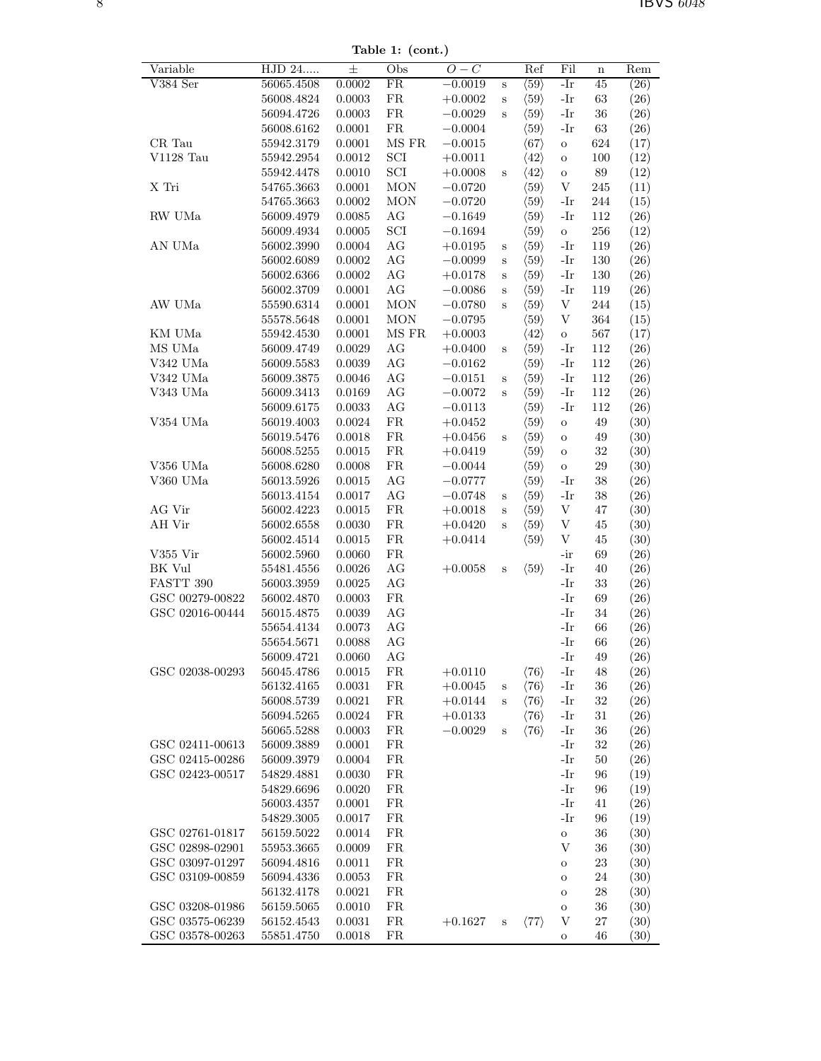Table 1: (cont.)

| Variable        | HJD 24                   | $\pm$            | Obs                  | $O-C$                  |              | Ref                                          | Fil                       | n            | Rem          |
|-----------------|--------------------------|------------------|----------------------|------------------------|--------------|----------------------------------------------|---------------------------|--------------|--------------|
| V384 Ser        | 56065.4508               | 0.0002           | FR                   | $-0.0019$              | $\rm S$      | $\langle 59 \rangle$                         | $-Ir$                     | 45           | (26)         |
|                 | 56008.4824<br>56094.4726 | 0.0003<br>0.0003 | FR<br>FR             | $+0.0002$<br>$-0.0029$ | $\bf S$      | $\langle 59 \rangle$<br>$\langle 59 \rangle$ | $-Ir$<br>-Ir              | 63<br>$36\,$ | (26)         |
|                 | 56008.6162               | 0.0001           | ${\rm FR}$           | $-0.0004$              | S            | $\langle 59 \rangle$                         | -Ir                       | $63\,$       | (26)<br>(26) |
| CR Tau          | 55942.3179               | 0.0001           | $\rm MS~FR$          | $-0.0015$              |              | $\langle 67 \rangle$                         | $\rm{O}$                  | 624          | (17)         |
| $V1128$ Tau     | 55942.2954               | 0.0012           | $\operatorname{SCI}$ | $+0.0011$              |              | $\langle 42 \rangle$                         | $\mathbf O$               | 100          | (12)         |
|                 | 55942.4478               | 0.0010           | $\operatorname{SCI}$ | $+0.0008$              | $\mathbf S$  | $\langle 42 \rangle$                         | $\mathbf O$               | $89\,$       | (12)         |
| X Tri           | 54765.3663               | 0.0001           | <b>MON</b>           | $-0.0720$              |              | $\langle 59 \rangle$                         | $\mathbf V$               | 245          | (11)         |
|                 | 54765.3663               | 0.0002           | <b>MON</b>           | $-0.0720$              |              | $\langle 59 \rangle$                         | $-Ir$                     | 244          | (15)         |
| RW UMa          | 56009.4979               | 0.0085           | AG                   | $-0.1649$              |              | $\langle 59 \rangle$                         | $-Ir$                     | $112\,$      | (26)         |
|                 | 56009.4934               | 0.0005           | $\operatorname{SCI}$ | $-0.1694$              |              | $\langle 59 \rangle$                         | $\mathcal{O}$             | $256\,$      | (12)         |
| AN UMa          | 56002.3990               | 0.0004           | $\rm{AG}$            | $+0.0195$              | $\mathbf S$  | $\langle 59 \rangle$                         | $-Ir$                     | 119          | (26)         |
|                 | 56002.6089               | 0.0002           | $\rm{AG}$            | $-0.0099$              | $\mathbf S$  | $\langle 59 \rangle$                         | $-Ir$                     | $130\,$      | (26)         |
|                 | 56002.6366               | 0.0002           | $\rm{AG}$            | $+0.0178$              | $\mathbf S$  | $\langle 59 \rangle$                         | -Ir                       | 130          | (26)         |
|                 | 56002.3709               | 0.0001           | AG                   | $-0.0086$              | $\mathbf S$  | $\langle 59 \rangle$                         | -Ir                       | 119          | (26)         |
| AW UMa          | 55590.6314               | 0.0001           | <b>MON</b>           | $-0.0780$              | $\rm s$      | $\langle 59 \rangle$                         | V                         | $\bf 244$    | (15)         |
|                 | 55578.5648               | 0.0001           | <b>MON</b>           | $-0.0795$              |              | $\langle 59 \rangle$                         | V                         | 364          | (15)         |
| KM UMa          | 55942.4530               | 0.0001           | $\rm MS~FR$          | $+0.0003$              |              | $\langle 42 \rangle$                         | $\mathbf{o}$              | 567          | (17)         |
| MS UMa          | 56009.4749               | 0.0029           | AG                   | $+0.0400$              | $\mathbf S$  | $\langle 59 \rangle$                         | $-Ir$                     | $112\,$      | (26)         |
| V342 UMa        | 56009.5583               | 0.0039           | AG                   | $-0.0162$              |              | $\langle 59 \rangle$                         | $-Ir$                     | 112          | (26)         |
| $\rm V342~UMa$  | 56009.3875               | 0.0046           | $\rm{AG}$            | $-0.0151$              | $\mathbf S$  | $\langle 59 \rangle$                         | -Ir                       | $112\,$      | (26)         |
| V343 UMa        | 56009.3413               | 0.0169           | $\rm{AG}$            | $-0.0072$              | $\rm s$      | $\langle 59 \rangle$                         | $-Ir$                     | $112\,$      | (26)         |
|                 | 56009.6175               | 0.0033           | $\rm{AG}$            | $-0.0113$              |              | $\langle 59 \rangle$                         | $-Ir$                     | 112          | (26)         |
| V354 UMa        | 56019.4003               | 0.0024           | FR                   | $+0.0452$              |              | $\langle 59 \rangle$                         | $\mathbf O$               | 49           | (30)         |
|                 | 56019.5476               | 0.0018           | FR                   | $+0.0456$              | S            | $\langle 59 \rangle$                         | $\mathbf O$               | 49           | (30)         |
|                 | 56008.5255               | 0.0015           | FR                   | $+0.0419$              |              | $\langle 59 \rangle$                         | $\rm{O}$                  | $32\,$       | (30)         |
| V356 UMa        | 56008.6280               | 0.0008           | FR                   | $-0.0044$              |              | $\langle 59 \rangle$                         | $\mathbf O$               | $29\,$       | (30)         |
| V360 UMa        | 56013.5926               | 0.0015           | $\rm{AG}$            | $-0.0777$              |              | $\langle 59 \rangle$                         | -Ir                       | 38           | (26)         |
|                 | 56013.4154               | 0.0017           | $\rm{AG}$            | $-0.0748$              | $\mathbf S$  | $\langle 59 \rangle$                         | -Ir                       | $38\,$       | (26)         |
| AG Vir          | 56002.4223               | 0.0015           | ${\rm FR}$           | $+0.0018$              | $\bf S$      | $\langle 59 \rangle$                         | V                         | 47           | (30)         |
| AH Vir          | 56002.6558               | 0.0030           | ${\rm FR}$           | $+0.0420$              | $\, {\bf S}$ | $\langle 59 \rangle$                         | $\ensuremath{\mathbf{V}}$ | 45           | (30)         |
|                 | 56002.4514               | 0.0015           | ${\rm FR}$           | $+0.0414$              |              | $\langle 59 \rangle$                         | V                         | 45           | (30)         |
| V355 Vir        | $56002.5960\,$           | 0.0060           | ${\rm FR}$           |                        |              |                                              | $-ir$                     | 69           | (26)         |
| BK Vul          | 55481.4556               | 0.0026           | $\rm{AG}$            | $+0.0058$              | $\rm S$      | $\langle 59 \rangle$                         | $-Ir$                     | 40           | (26)         |
| FASTT 390       | 56003.3959               | 0.0025           | AG                   |                        |              |                                              | $-Ir$                     | 33           | (26)         |
| GSC 00279-00822 | 56002.4870               | 0.0003           | FR                   |                        |              |                                              | $-Ir$                     | 69           | (26)         |
| GSC 02016-00444 | 56015.4875               | 0.0039           | AG                   |                        |              |                                              | $-Ir$                     | $34\,$       | (26)         |
|                 | 55654.4134               | 0.0073           | $\rm{AG}$            |                        |              |                                              | $-Ir$                     | 66           | (26)         |
|                 | 55654.5671               | 0.0088           | AG                   |                        |              |                                              | $-Ir$                     | 66           | (26)         |
|                 | 56009.4721               | $0.0060\,$       | AG                   |                        |              |                                              | -Ir                       | $49\,$       | (26)         |
| GSC 02038-00293 | 56045.4786               | 0.0015           | FR                   | $+0.0110$              |              | $\langle 76 \rangle$                         | -Ir                       | 48           | (26)         |
|                 | 56132.4165               | 0.0031           | ${\rm FR}$           | $+0.0045$              | S            | $\langle 76 \rangle$                         | $-Ir$                     | 36           | (26)         |
|                 | 56008.5739               | 0.0021           | FR                   | $+0.0144$              | S            | $\langle 76 \rangle$                         | -Ir                       | 32           | (26)         |
|                 | 56094.5265               | 0.0024           | ${\rm FR}$           | $+0.0133$              |              | $\langle 76 \rangle$                         | -Ir                       | 31           | (26)         |
|                 | 56065.5288               | 0.0003           | ${\rm FR}$           | $-0.0029$              | $\rm s$      | $\langle 76 \rangle$                         | -Ir                       | 36           | (26)         |
| GSC 02411-00613 | 56009.3889               | 0.0001           | ${\rm FR}$           |                        |              |                                              | $-Ir$                     | $32\,$       | (26)         |
| GSC 02415-00286 | 56009.3979               | 0.0004           | ${\rm FR}$           |                        |              |                                              | -Ir                       | 50           | (26)         |
| GSC 02423-00517 | 54829.4881               | 0.0030           | ${\rm FR}$           |                        |              |                                              | -Ir                       | 96           | (19)         |
|                 | 54829.6696               | 0.0020           | ${\rm FR}$           |                        |              |                                              | -Ir                       | 96           | (19)         |
|                 | 56003.4357               | 0.0001           | ${\rm FR}$           |                        |              |                                              | $-Ir$                     | 41           | (26)         |
|                 | 54829.3005               | 0.0017           | ${\rm FR}$           |                        |              |                                              | $-Ir$                     | 96           | (19)         |
| GSC 02761-01817 | 56159.5022               | 0.0014           | ${\rm FR}$           |                        |              |                                              | $\mathbf O$               | 36           | (30)         |
| GSC 02898-02901 | $55953.3665\,$           | 0.0009           | FR                   |                        |              |                                              | V                         | 36           | (30)         |
| GSC 03097-01297 | 56094.4816               | 0.0011           | FR                   |                        |              |                                              | $\mathbf O$               | 23           | (30)         |
| GSC 03109-00859 | 56094.4336               | 0.0053           | FR                   |                        |              |                                              | $\mathbf O$               | 24           | (30)         |
|                 | 56132.4178               | 0.0021           | ${\rm FR}$           |                        |              |                                              | $\mathbf O$               | 28           | (30)         |
| GSC 03208-01986 | 56159.5065               | 0.0010           | ${\rm FR}$           |                        |              |                                              | $\mathbf O$               | 36           | (30)         |
| GSC 03575-06239 | 56152.4543               | 0.0031           | ${\rm FR}$           | $+0.1627$              | S            | $\langle 77 \rangle$                         | V                         | $27\,$       | (30)         |
| GSC 03578-00263 | 55851.4750               | 0.0018           | FR                   |                        |              |                                              | ${\rm O}$                 | 46           | (30)         |
|                 |                          |                  |                      |                        |              |                                              |                           |              |              |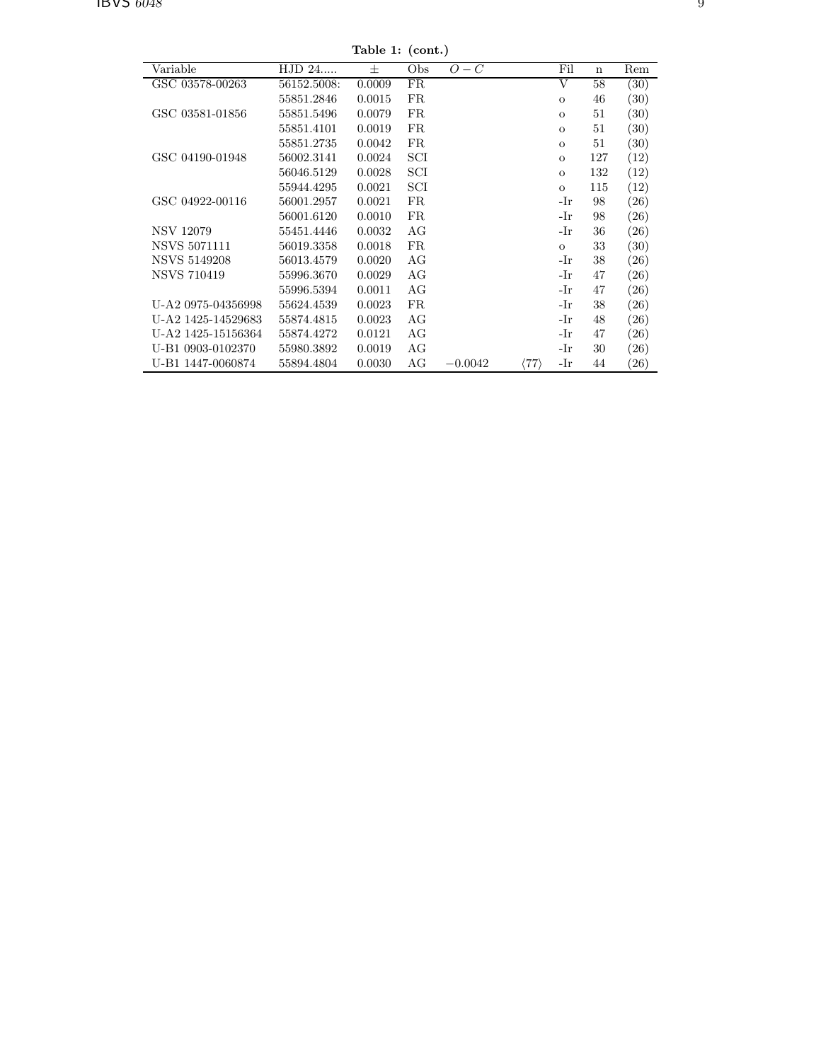Table 1: (cont.)

| rapie 1. (com.)     |             |        |             |           |                      |              |             |                    |  |  |  |  |
|---------------------|-------------|--------|-------------|-----------|----------------------|--------------|-------------|--------------------|--|--|--|--|
| Variable            | HJD 24      | 士      | Obs         | $O-C$     |                      | Fil          | $\mathbf n$ | Rem                |  |  |  |  |
| GSC 03578-00263     | 56152.5008: | 0.0009 | FR          |           |                      | V            | 58          | (30)               |  |  |  |  |
|                     | 55851.2846  | 0.0015 | <b>FR</b>   |           |                      | $\Omega$     | 46          | (30)               |  |  |  |  |
| GSC 03581-01856     | 55851.5496  | 0.0079 | FR          |           |                      | $\mathbf{O}$ | 51          | $\left( 30\right)$ |  |  |  |  |
|                     | 55851.4101  | 0.0019 | FR          |           |                      | $\mathbf{O}$ | 51          | (30)               |  |  |  |  |
|                     | 55851.2735  | 0.0042 | FR          |           |                      | $\Omega$     | 51          | $\left(30\right)$  |  |  |  |  |
| GSC 04190-01948     | 56002.3141  | 0.0024 | SCI         |           |                      | $\Omega$     | 127         | $\left(12\right)$  |  |  |  |  |
|                     | 56046.5129  | 0.0028 | SCI         |           |                      | $\mathbf{o}$ | 132         | $\left(12\right)$  |  |  |  |  |
|                     | 55944.4295  | 0.0021 | SCI         |           |                      | $\mathbf{O}$ | 115         | (12)               |  |  |  |  |
| GSC 04922-00116     | 56001.2957  | 0.0021 | <b>FR</b>   |           |                      | -Ir          | 98          | (26)               |  |  |  |  |
|                     | 56001.6120  | 0.0010 | FR          |           |                      | -Ir          | 98          | $\left( 26\right)$ |  |  |  |  |
| <b>NSV 12079</b>    | 55451.4446  | 0.0032 | AG          |           |                      | -Ir          | 36          | (26)               |  |  |  |  |
| <b>NSVS 5071111</b> | 56019.3358  | 0.0018 | $_{\rm FR}$ |           |                      | $\mathbf{O}$ | 33          | (30)               |  |  |  |  |
| NSVS 5149208        | 56013.4579  | 0.0020 | AG          |           |                      | -Ir          | 38          | (26)               |  |  |  |  |
| <b>NSVS 710419</b>  | 55996.3670  | 0.0029 | AG          |           |                      | -Ir          | 47          | $\left( 26\right)$ |  |  |  |  |
|                     | 55996.5394  | 0.0011 | AG          |           |                      | -Ir          | 47          | $\left( 26\right)$ |  |  |  |  |
| U-A2 0975-04356998  | 55624.4539  | 0.0023 | FR          |           |                      | -Ir          | 38          | (26)               |  |  |  |  |
| U-A2 1425-14529683  | 55874.4815  | 0.0023 | AG          |           |                      | -Ir          | 48          | $\left( 26\right)$ |  |  |  |  |
| U-A2 1425-15156364  | 55874.4272  | 0.0121 | AG          |           |                      | -Ir          | 47          | $\left( 26\right)$ |  |  |  |  |
| U-B1 0903-0102370   | 55980.3892  | 0.0019 | AG          |           |                      | -Ir          | 30          | $\left( 26\right)$ |  |  |  |  |
| U-B1 1447-0060874   | 55894.4804  | 0.0030 | AG          | $-0.0042$ | $\langle 77 \rangle$ | -Ir          | 44          | $\left( 26\right)$ |  |  |  |  |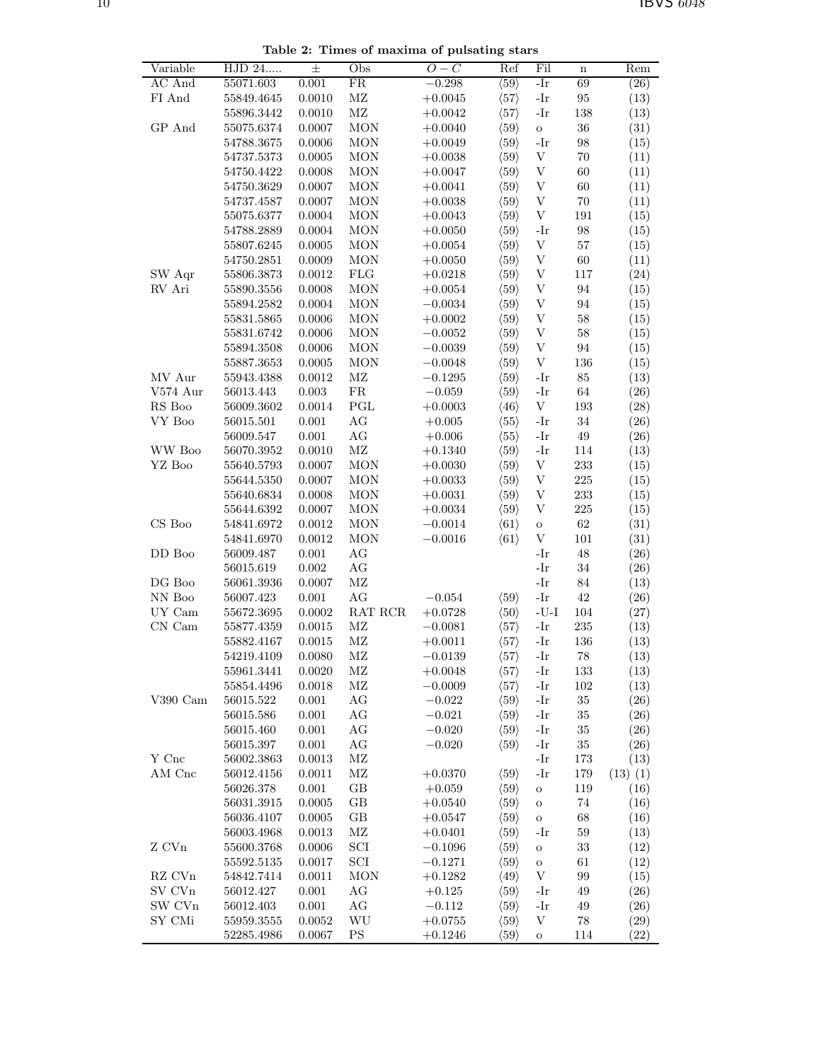Variable HJD 24.....  $\pm$  Obs  $O-C$  Ref Fil n Rem  $AC And$  55071.603 0.001 FR −0.298  $\langle 59 \rangle$  -Ir 69 (26) FI And  $55849.4645$   $0.0010$  MZ  $+0.0045$   $\langle 57 \rangle$  -Ir 95 (13)  $55896.3442$   $0.0010$  MZ  $+0.0042$   $\langle 57 \rangle$  -Ir 138 (13) GP And  $55075.6374$  0.0007 MON  $+0.0040$   $\langle 59 \rangle$  o 36 (31)  $54788.3675$   $0.0006$  MON  $+0.0049$   $\langle 59 \rangle$  -Ir 98 (15)  $54737.5373$  0.0005 MON +0.0038  $\langle 59 \rangle$  V 70 (11)  $54750.4422$  0.0008 MON  $+0.0047$   $\langle 59 \rangle$  V 60 (11)  $54750.3629$  0.0007 MON  $+0.0041$   $\langle 59 \rangle$  V 60 (11)  $54737.4587$  0.0007 MON  $+0.0038$   $\langle 59 \rangle$  V 70 (11)  $55075.6377$  0.0004 MON  $+0.0043$   $(59)$  V 191 (15)  $54788.2889$   $0.0004$  MON  $+0.0050$   $(59)$  -Ir 98 (15)  $55807.6245$   $0.0005$  MON  $+0.0054$   $\langle 59 \rangle$  V 57 (15)  $54750.2851$   $0.0009$  MON  $+0.0050$   $\langle 59 \rangle$  V 60 (11) SW Aqr 55806.3873 0.0012 FLG  $+0.0218$   $(59)$  V 117 (24) RV Ari 55890.3556 0.0008 MON  $+0.0054$   $\langle 59 \rangle$  V 94 (15)  $55894.2582$  0.0004 MON −0.0034  $(59)$  V 94 (15)  $\begin{array}{cccccc} 55831.5865 & 0.0006 & \text{MON} & +0.0002 & \langle 59 \rangle & \text{V} & 58 & & (15) \\ 55831.6742 & 0.0006 & \text{MON} & -0.0052 & \langle 59 \rangle & \text{V} & 58 & & (15) \end{array}$  $55831.6742$  0.0006 MON  $-0.0052$   $\langle 59 \rangle$  V 58 (15)  $55894.3508$  0.0006 MON −0.0039  $\langle 59 \rangle$  V 94 (15)  $55887.3653$  0.0005 MON −0.0048  $\langle 59 \rangle$  V 136 (15) MV Aur  $55943.4388$   $0.0012$  MZ  $-0.1295$   $\langle 59 \rangle$  -Ir 85 (13) V574 Aur 56013.443 0.003 FR −0.059  $\langle 59 \rangle$  -Ir 64 (26) RS Boo 56009.3602 0.0014 PGL  $+0.0003$   $\langle 46 \rangle$  V 193 (28)  $VY \text{ } Boo$  56015.501 0.001 AG  $+0.005$   $\langle 55 \rangle$  -Ir 34 (26)  $56009.547$  0.001 AG  $+0.006$   $\langle 55 \rangle$  -Ir 49 (26) WW Boo 56070.3952 0.0010 MZ  $+0.1340$   $\langle 59 \rangle$  -Ir 114 (13)  $YZ\ Boo$  55640.5793 0.0007 MON +0.0030  $\langle 59 \rangle$  V 233 (15)  $55644.5350$   $0.0007$  MON  $+0.0033$   $\langle 59 \rangle$  V 225 (15)  $55640.6834$   $0.0008$  MON  $+0.0031$   $(59)$  V 233 (15)  $\begin{array}{ccccccccc} 55644.6392 & 0.0007 & \text{MON} & +0.0034 & \langle 59 \rangle & \text{V} & 225 & (15) \\ 54841.6972 & 0.0012 & \text{MON} & -0.0014 & \langle 61 \rangle & \text{o} & 62 & (31) \end{array}$ CS Boo 54841.6972 0.0012 MON  $-0.0014$   $(61)$  o 62 (31)  $54841.6970$   $0.0012$  MON  $-0.0016$   $\langle 61 \rangle$  V 101 (31) DD Boo 56009.487 0.001 AG -Ir 48 (26) 56015.619 0.002 AG -Ir 34 (26) DG Boo 56061.3936 0.0007 MZ -Ir 84 (13) NN Boo  $56007.423$  0.001 AG  $-0.054$   $\langle 59 \rangle$  -Ir 42 (26) UY Cam  $55672.3695$   $0.0002$  RAT RCR  $+0.0728$   $(50)$  -U-I 104 (27) CN Cam  $55877.4359$  0.0015 MZ  $-0.0081$   $(57)$  -Ir 235 (13)  $55882.4167$   $0.0015$  MZ  $+0.0011$   $\langle 57 \rangle$  -Ir 136 (13)  $54219.4109$  0.0080 MZ  $-0.0139$   $\langle 57 \rangle$  -Ir 78 (13)  $55961.3441$   $0.0020$  MZ  $+0.0048$   $\langle 57 \rangle$  -Ir 133 (13)  $55854.4496$  0.0018 MZ  $-0.0009$   $(57)$  -Ir 102 (13) V390 Cam  $56015.522$  0.001 AG  $-0.022$   $\langle 59 \rangle$  -Ir 35 (26)  $56015.586$  0.001 AG  $-0.021$   $\langle 59 \rangle$  -Ir 35 (26)  $56015.460$   $0.001$  AG  $-0.020$   $\langle 59 \rangle$  -Ir 35 (26) 56015.397 0.001 AG  $-0.020$   $\langle 59 \rangle$  -Ir 35 (26) Y Cnc 56002.3863 0.0013 MZ -Ir 173 (13) AM Cnc  $56012.4156$   $0.0011$  MZ  $+0.0370$   $\langle 59 \rangle$  -Ir 179 (13) (1)  $56026.378$  0.001 GB  $+0.059$   $\langle 59 \rangle$  o 119 (16) 56031.3915 0.0005 GB  $+0.0540$   $\langle 59 \rangle$  o 74 (16) 56036.4107 0.0005 GB  $+0.0547$   $\langle 59 \rangle$  o 68 (16)  $56003.4968$   $0.0013$  MZ  $+0.0401$   $\langle 59 \rangle$  -Ir 59 (13)  $Z$  CVn 55600.3768 0.0006 SCI  $-0.1096$   $\langle 59 \rangle$  o 33 (12)  $55592.5135$   $0.0017$  SCI  $-0.1271$   $\langle 59 \rangle$  o 61 (12) RZ CVn 54842.7414 0.0011 MON  $+0.1282$   $\langle 49 \rangle$  V 99 (15) SV CVn  $56012.427$  0.001 AG  $+0.125$   $\langle 59 \rangle$  -Ir 49 (26) SW CVn 56012.403 0.001 AG −0.112  $\langle 59 \rangle$  -Ir 49 (26) SY CMi 55959.3555 0.0052 WU  $+0.0755$   $\langle 59 \rangle$  V 78 (29)  $52285.4986$   $0.0067$  PS  $+0.1246$   $\langle 59 \rangle$  o 114 (22)

Table 2: Times of maxima of pulsating stars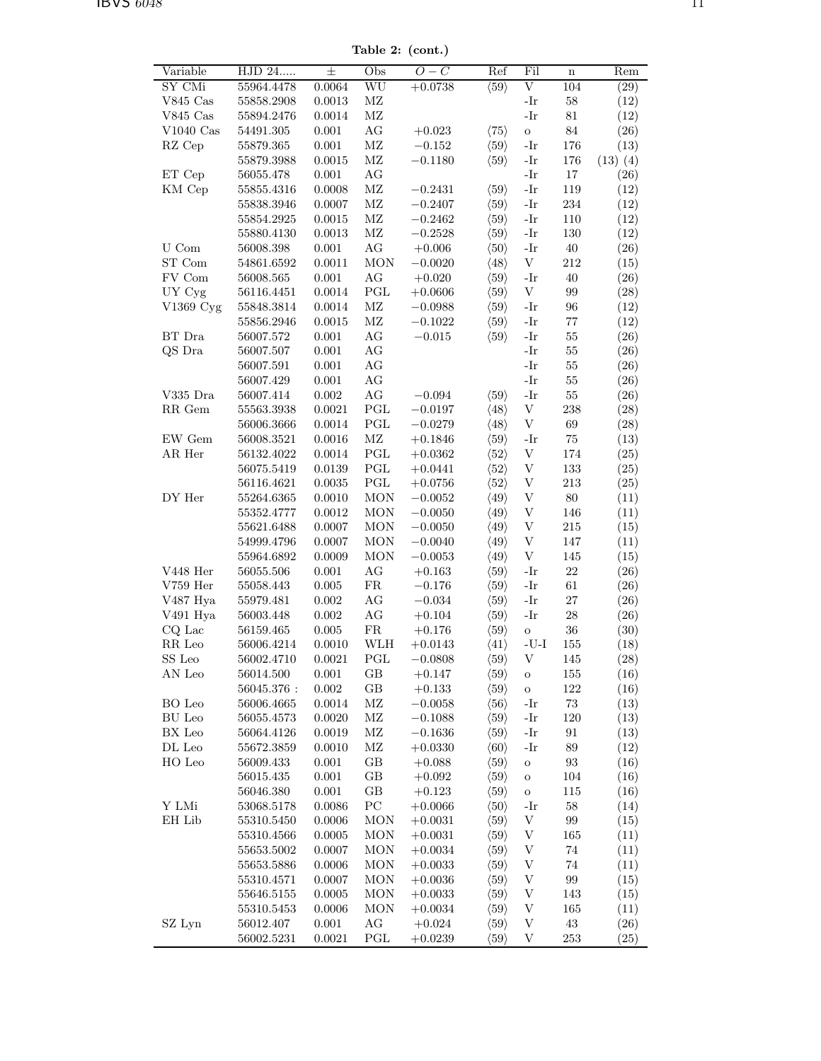Table 2: (cont.)

| Variable                    | HJD 24     | 士         | Obs                  | $-C$<br>O  | $\overline{\text{Ref}}$ | Fil                       | $\bf n$           | Rem          |
|-----------------------------|------------|-----------|----------------------|------------|-------------------------|---------------------------|-------------------|--------------|
| SY CMi                      | 55964.4478 | 0.0064    | WU                   | $+0.0738$  | $\langle 59 \rangle$    | $\overline{\mathrm{V}}$   | 104               | (29)         |
| $V845$ Cas                  | 55858.2908 | 0.0013    | $\rm MZ$             |            |                         | -Ir                       | $58\,$            | (12)         |
| $V845$ Cas                  | 55894.2476 | 0.0014    | $\rm MZ$             |            |                         | $-Ir$                     | 81                | (12)         |
| $V1040$ Cas                 | 54491.305  | 0.001     | AG                   | $+0.023$   | $\langle 75 \rangle$    | $\circ$                   | $84\,$            | (26)         |
| RZ Cep                      | 55879.365  | 0.001     | $\rm MZ$             | $-0.152$   | $\langle 59 \rangle$    | $-Ir$                     | 176               | (13)         |
|                             | 55879.3988 | 0.0015    | $\rm MZ$             | $-0.1180$  | $\langle 59 \rangle$    | -Ir                       | 176               | $(13)$ $(4)$ |
| ET Cep                      | 56055.478  | 0.001     | AG                   |            |                         | -Ir                       | 17                | (26)         |
| KM Cep                      | 55855.4316 | 0.0008    | $\rm MZ$             | $-0.2431$  | $\langle 59 \rangle$    | -Ir                       | 119               | (12)         |
|                             | 55838.3946 | 0.0007    | $\rm MZ$             | $-0.2407$  | $\langle 59 \rangle$    | -Ir                       | 234               | (12)         |
|                             | 55854.2925 | 0.0015    | $\rm MZ$             | $-0.2462$  | $\langle 59 \rangle$    | -Ir                       | 110               | (12)         |
|                             | 55880.4130 | 0.0013    | $\rm MZ$             | $-0.2528$  | $\langle 59 \rangle$    | -Ir                       | 130               | (12)         |
| ${\rm U}$ Com               | 56008.398  | 0.001     | $\rm{AG}$            | $+0.006$   | $\langle 50 \rangle$    | -Ir                       | $40\,$            | (26)         |
| ST Com                      | 54861.6592 | 0.0011    | <b>MON</b>           | $-0.0020$  | $\langle 48 \rangle$    | V                         | 212               | (15)         |
| FV Com                      | 56008.565  | 0.001     | AG                   | $+0.020$   | $\langle 59 \rangle$    | -Ir                       | 40                | (26)         |
| UY Cyg                      | 56116.4451 | 0.0014    | PGL                  | $+0.0606$  | $\langle 59 \rangle$    | V                         | 99                | (28)         |
| V1369 Cyg                   | 55848.3814 | 0.0014    | $\rm MZ$             | $-0.0988$  | $\langle 59 \rangle$    | -Ir                       | 96                | (12)         |
|                             | 55856.2946 | 0.0015    | $\rm MZ$             | $-0.1022$  | $\langle 59 \rangle$    | -Ir                       | $77\,$            | (12)         |
| BT Dra                      | 56007.572  | 0.001     | $\rm{AG}$            | $-0.015$   | $\langle 59 \rangle$    | -Ir                       | 55                | (26)         |
| QS Dra                      | 56007.507  | 0.001     | AG                   |            |                         | -Ir                       | $55\,$            | (26)         |
|                             | 56007.591  | 0.001     | AG                   |            |                         | -Ir                       | $55\,$            | (26)         |
|                             | 56007.429  | 0.001     | AG                   |            |                         | -Ir                       | $55\,$            | (26)         |
| V335 Dra                    | 56007.414  | $0.002\,$ | AG                   | $-0.094$   | $\langle 59 \rangle$    | -Ir                       | $55\,$            | (26)         |
| RR Gem                      | 55563.3938 | 0.0021    | $\operatorname{PGL}$ | $-0.0197$  | $\langle 48 \rangle$    | $\ensuremath{\mathbf{V}}$ | 238               | (28)         |
|                             | 56006.3666 | 0.0014    | PGL                  | $-0.0279$  | $\langle 48 \rangle$    | $\ensuremath{\mathbf{V}}$ | 69                | (28)         |
| EW Gem                      | 56008.3521 | 0.0016    | $\rm MZ$             | $+0.1846$  | $\langle 59 \rangle$    | -Ir                       | $75\,$            | (13)         |
| AR Her                      | 56132.4022 | 0.0014    | PGL                  | $+0.0362$  | $\langle 52 \rangle$    | $\ensuremath{\mathbf{V}}$ | 174               | (25)         |
|                             | 56075.5419 | 0.0139    | PGL                  | $+0.0441$  | $\langle 52 \rangle$    | $\ensuremath{\mathbf{V}}$ | 133               | (25)         |
|                             | 56116.4621 | 0.0035    | PGL                  | $+0.0756$  | $\langle 52 \rangle$    | $\ensuremath{\mathbf{V}}$ | $213\,$           | (25)         |
| DY Her                      | 55264.6365 | 0.0010    | <b>MON</b>           | $-0.0052$  | $\langle 49 \rangle$    | $\ensuremath{\mathbf{V}}$ | $80\,$            | (11)         |
|                             | 55352.4777 | 0.0012    | <b>MON</b>           | $-0.0050$  | $\langle 49 \rangle$    | $\ensuremath{\mathbf{V}}$ | 146               | (11)         |
|                             | 55621.6488 | 0.0007    | MON                  | $-0.0050$  | $\langle 49 \rangle$    | $\ensuremath{\mathbf{V}}$ | 215               | (15)         |
|                             | 54999.4796 | 0.0007    | MON                  | $-0.0040$  | $\langle 49 \rangle$    | $\ensuremath{\mathbf{V}}$ | 147               | (11)         |
|                             | 55964.6892 | 0.0009    | <b>MON</b>           | $-0.0053$  | $\langle 49 \rangle$    | V                         | 145               | (15)         |
| V448 Her                    | 56055.506  | 0.001     | AG                   | $+0.163$   | $\langle 59 \rangle$    | $-Ir$                     | $22\,$            | (26)         |
| $V759$ Her                  | 55058.443  | 0.005     | FR                   | $-0.176$   | $\langle 59 \rangle$    | -Ir                       | 61                | (26)         |
| V487 Hya                    | 55979.481  | 0.002     | AG                   | $-0.034$   | $\langle 59 \rangle$    | -Ir                       | $27\,$            | (26)         |
| V491 Hya                    | 56003.448  | 0.002     | AG                   | $+0.104$   | $\langle 59 \rangle$    | -Ir                       | 28                | (26)         |
| CQ Lac                      | 56159.465  | $0.005\,$ | ${\rm FR}$           | $+0.176$   | $\langle 59 \rangle$    | $\rm{O}$                  | $36\,$            | (30)         |
| RR Leo                      | 56006.4214 | 0.0010    | WLH                  | $+0.0143$  | $\langle 41 \rangle$    | $-U-I$                    | 155               | (18)         |
| SS Leo                      | 56002.4710 | 0.0021    | $\operatorname{PGL}$ | $-0.0808$  | $\langle 59 \rangle$    | V                         | 145               | (28)         |
| $\mathbf{AN}\ \mathbf{Leo}$ | 56014.500  | $0.001\,$ | $\rm GB$             | $+0.147$   | $\langle 59 \rangle$    | $\rm{O}$                  | 155               | (16)         |
|                             | 56045.376: | $0.002\,$ | $\operatorname{GB}$  | $+0.133$   | $\langle 59 \rangle$    | $\mathbf O$               | $122\,$           | (16)         |
| BO Leo                      | 56006.4665 | 0.0014    | $\rm MZ$             | $-0.0058$  | $\langle 56 \rangle$    | -Ir                       | $73\,$            | (13)         |
| BU Leo                      | 56055.4573 | 0.0020    | $\rm MZ$             | $-0.1088$  | $\langle 59 \rangle$    | -Ir                       | 120               | (13)         |
| ${\rm BX}$ Leo              | 56064.4126 | 0.0019    | $\rm MZ$             | $-0.1636$  | $\langle 59 \rangle$    | -Ir                       | 91                | (13)         |
| $\rm DL$ Leo                | 55672.3859 | 0.0010    | $\rm MZ$             | $+0.0330$  | $\langle 60 \rangle$    | -Ir                       | $89\,$            | (12)         |
| HO Leo                      | 56009.433  | $0.001\,$ | $\operatorname{GB}$  | $+0.088$   | $\langle 59 \rangle$    | $\mathbf O$               | $\boldsymbol{93}$ | (16)         |
|                             | 56015.435  | 0.001     | GB                   | $+0.092$   | $\langle 59 \rangle$    | $\mathbf O$               | 104               | (16)         |
|                             | 56046.380  | $0.001\,$ | $\rm GB$             | $+0.123\,$ | $\langle 59 \rangle$    | $\rm{O}$                  | 115               | (16)         |
| Y LMi                       | 53068.5178 | 0.0086    | $\rm{PC}$            | $+0.0066$  | $\langle 50 \rangle$    | $-Ir$                     | 58                | (14)         |
| EH Lib                      | 55310.5450 | 0.0006    | <b>MON</b>           | $+0.0031$  | $\langle 59 \rangle$    | $\ensuremath{\mathbf{V}}$ | $\boldsymbol{99}$ | (15)         |
|                             | 55310.4566 | 0.0005    | <b>MON</b>           | $+0.0031$  | $\langle 59 \rangle$    | $\ensuremath{\mathbf{V}}$ | 165               | (11)         |
|                             | 55653.5002 | 0.0007    | MON                  | $+0.0034$  | $\langle 59 \rangle$    | $\ensuremath{\mathbf{V}}$ | $74\,$            | (11)         |
|                             | 55653.5886 | 0.0006    | MON                  | $+0.0033$  | $\langle 59 \rangle$    | $\ensuremath{\mathbf{V}}$ | 74                | (11)         |
|                             | 55310.4571 | 0.0007    | MON                  | $+0.0036$  | $\langle 59 \rangle$    | V                         | $99\,$            | (15)         |
|                             | 55646.5155 | 0.0005    | <b>MON</b>           | $+0.0033$  | $\langle 59 \rangle$    | V                         | 143               | (15)         |
|                             | 55310.5453 | 0.0006    | <b>MON</b>           | $+0.0034$  | $\langle 59 \rangle$    | V                         | 165               | (11)         |
| SZ Lyn                      | 56012.407  | $0.001\,$ | AG                   | $+0.024$   | $\langle 59 \rangle$    | $\ensuremath{\mathbf{V}}$ | 43                | (26)         |
|                             | 56002.5231 | 0.0021    | PGL                  | $+0.0239$  | $\langle 59 \rangle$    | $\ensuremath{\mathbf{V}}$ | $253\,$           | (25)         |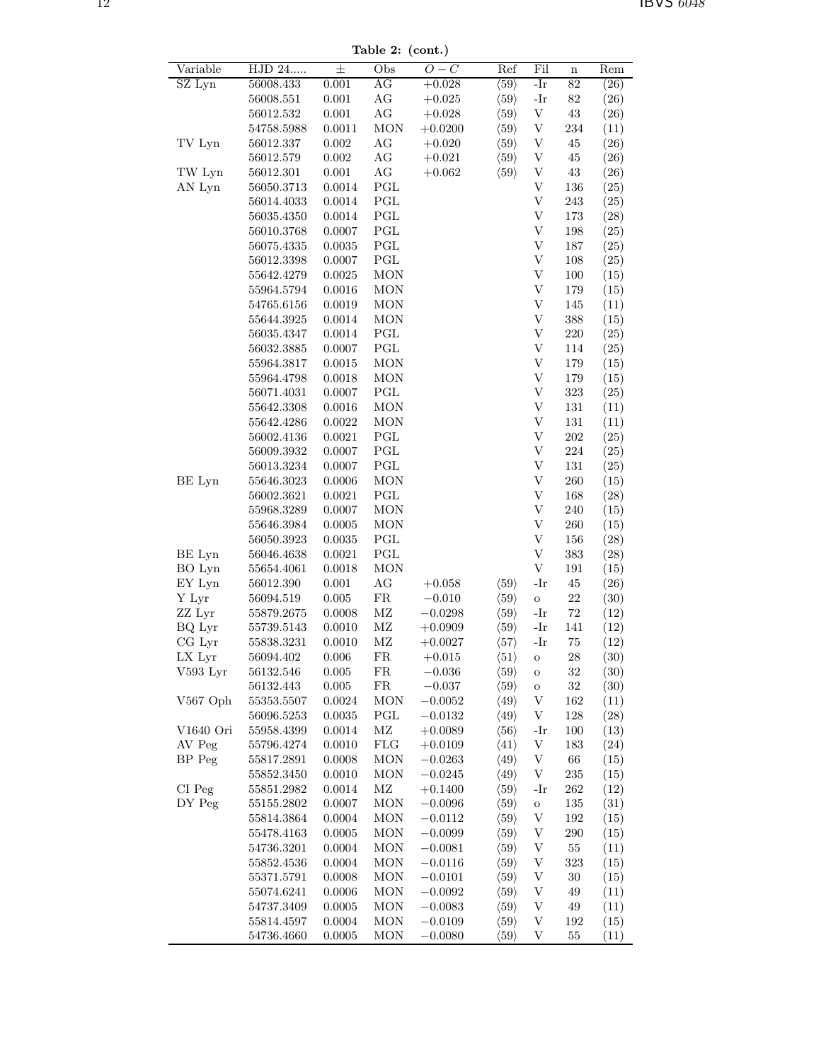Table 2: (cont.)

|            |                |           | rapie $\boldsymbol{z}$ . (com.) |            |                      |                           |             |      |
|------------|----------------|-----------|---------------------------------|------------|----------------------|---------------------------|-------------|------|
| Variable   | HJD 24         | 士         | Obs                             | $O-C$      | Ref                  | Fil                       | $\mathbf n$ | Rem  |
| SZ Lyn     | 56008.433      | 0.001     | AG                              | $+0.028$   | $\langle 59 \rangle$ | $-Ir$                     | 82          | (26) |
|            | 56008.551      | 0.001     | AG                              | $+0.025$   | $\langle 59 \rangle$ | $-Ir$                     | 82          | (26) |
|            | 56012.532      | 0.001     | AG                              | $+0.028$   | $\langle 59 \rangle$ | $\ensuremath{\mathbf{V}}$ | $43\,$      | (26) |
|            | 54758.5988     | 0.0011    | <b>MON</b>                      | $+0.0200$  | $\langle 59 \rangle$ | V                         | 234         | (11) |
| TV Lyn     | 56012.337      | 0.002     | AG                              | $+0.020$   | $\langle 59 \rangle$ | V                         | 45          | (26) |
|            | 56012.579      | 0.002     | AG                              | $+0.021$   | $\langle 59 \rangle$ | V                         | $45\,$      | (26) |
| TW Lyn     | 56012.301      | 0.001     | $\rm{AG}$                       | $+0.062$   | $\langle 59 \rangle$ | $\ensuremath{\mathbf{V}}$ | $43\,$      | (26) |
| AN Lyn     | 56050.3713     | 0.0014    | PGL                             |            |                      | V                         | 136         | (25) |
|            | 56014.4033     | 0.0014    | $\operatorname{PGL}$            |            |                      | V                         | 243         | (25) |
|            | $56035.4350\,$ | 0.0014    | $\operatorname{PGL}$            |            |                      | $\ensuremath{\mathbf{V}}$ | 173         | (28) |
|            | 56010.3768     | 0.0007    | PGL                             |            |                      | V                         | 198         | (25) |
|            | 56075.4335     | 0.0035    | PGL                             |            |                      | V                         | 187         | (25) |
|            | 56012.3398     | 0.0007    | $\operatorname{PGL}$            |            |                      | V                         | 108         | (25) |
|            | 55642.4279     | 0.0025    | <b>MON</b>                      |            |                      | V                         | 100         | (15) |
|            | 55964.5794     | 0.0016    | MON                             |            |                      | V                         | 179         | (15) |
|            | $54765.6156\,$ | 0.0019    | <b>MON</b>                      |            |                      | V                         | 145         | (11) |
|            | 55644.3925     | 0.0014    | <b>MON</b>                      |            |                      | V                         | 388         | (15) |
|            | 56035.4347     | 0.0014    | PGL                             |            |                      | V                         | $220\,$     | (25) |
|            | 56032.3885     | 0.0007    | $\operatorname{PGL}$            |            |                      | V                         | 114         | (25) |
|            | 55964.3817     | 0.0015    | <b>MON</b>                      |            |                      | V                         | 179         | (15) |
|            | 55964.4798     | 0.0018    | MON                             |            |                      | $\ensuremath{\mathbf{V}}$ | 179         | (15) |
|            | 56071.4031     | 0.0007    | PGL                             |            |                      | $\ensuremath{\mathbf{V}}$ | 323         | (25) |
|            | 55642.3308     | 0.0016    | <b>MON</b>                      |            |                      | V                         | $131\,$     | (11) |
|            | 55642.4286     | 0.0022    | <b>MON</b>                      |            |                      | $\ensuremath{\mathbf{V}}$ | $131\,$     | (11) |
|            | 56002.4136     | 0.0021    | PGL                             |            |                      | V                         | 202         | (25) |
|            | 56009.3932     | 0.0007    | PGL                             |            |                      | V                         | 224         | (25) |
|            | 56013.3234     | 0.0007    | PGL                             |            |                      | V                         | 131         | (25) |
| BE Lyn     | 55646.3023     | 0.0006    | <b>MON</b>                      |            |                      | V                         | 260         | (15) |
|            | 56002.3621     | 0.0021    | PGL                             |            |                      | $\ensuremath{\mathbf{V}}$ | 168         | (28) |
|            | 55968.3289     | 0.0007    | <b>MON</b>                      |            |                      | V                         | $240\,$     | (15) |
|            | 55646.3984     | 0.0005    | <b>MON</b>                      |            |                      | V                         | 260         | (15) |
|            | 56050.3923     | 0.0035    | PGL                             |            |                      | V                         | 156         | (28) |
| BE Lyn     | 56046.4638     | 0.0021    | $\operatorname{PGL}$            |            |                      | $\ensuremath{\mathbf{V}}$ | 383         | (28) |
| BO Lyn     | 55654.4061     | 0.0018    | <b>MON</b>                      |            |                      | $\ensuremath{\mathbf{V}}$ | 191         | (15) |
| EY Lyn     | 56012.390      | 0.001     | AG                              | $+0.058$   | $\langle 59 \rangle$ | $-Ir$                     | $45\,$      | (26) |
| Y Lyr      | 56094.519      | 0.005     | ${\rm FR}$                      | $-0.010$   | $\langle 59 \rangle$ | $\circ$                   | 22          | (30) |
| ZZ Lyr     | 55879.2675     | 0.0008    | $\rm MZ$                        | $-0.0298$  | $\langle 59 \rangle$ | -Ir                       | $72\,$      | (12) |
| BQ Lyr     | 55739.5143     | 0.0010    | $\rm MZ$                        | $+0.0909$  | $\langle 59 \rangle$ | -Ir                       | 141         | (12) |
| $CG$ Lyr   | 55838.3231     | 0.0010    | $\rm MZ$                        | $+0.0027$  | $\langle 57 \rangle$ | -Ir                       | $75\,$      | (12) |
| LX Lyr     | 56094.402      | 0.006     | FR                              | $+0.015$   | $\langle 51 \rangle$ | O                         | 28          | (30) |
| V593 Lyr   | 56132.546      | 0.005     | ${\rm FR}$                      | $-0.036$   | $\langle 59 \rangle$ | $\mathbf O$               | $32\,$      | (30) |
|            | 56132.443      | $0.005\,$ | ${\rm FR}$                      | $-0.037\,$ | $\langle 59 \rangle$ | O                         | $32\,$      | (30) |
| $V567$ Oph | 55353.5507     | 0.0024    | MON                             | $-0.0052$  | $\langle 49 \rangle$ | $\ensuremath{\mathbf{V}}$ | 162         | (11) |
|            | 56096.5253     | 0.0035    | PGL                             | $-0.0132$  | $\langle 49 \rangle$ | V                         | 128         | (28) |
| V1640 Ori  | 55958.4399     | 0.0014    | ΜZ                              | $+0.0089$  | $\langle 56 \rangle$ | -Ir                       | 100         | (13) |
| AV Peg     | 55796.4274     | 0.0010    | ${\rm FLG}$                     | $+0.0109$  | $\langle 41 \rangle$ | $\ensuremath{\mathbf{V}}$ | 183         | (24) |
| BP Peg     | 55817.2891     | 0.0008    | MON                             | $-0.0263$  | $\langle 49 \rangle$ | $\ensuremath{\mathbf{V}}$ | $66\,$      | (15) |
|            | 55852.3450     | 0.0010    | <b>MON</b>                      | $-0.0245$  | $\langle 49 \rangle$ | $\ensuremath{\mathbf{V}}$ | $\bf 235$   | (15) |
| CI Peg     | 55851.2982     | 0.0014    | $\rm MZ$                        | $+0.1400$  | $\langle 59 \rangle$ | $-Ir$                     | 262         | (12) |
| DY Peg     | 55155.2802     | 0.0007    | <b>MON</b>                      | $-0.0096$  | $\langle 59 \rangle$ | $\rm{O}$                  | 135         | (31) |
|            | 55814.3864     | 0.0004    | $\rm{MON}$                      | $-0.0112$  | $\langle 59 \rangle$ | V                         | 192         | (15) |
|            | 55478.4163     | 0.0005    | MON                             | $-0.0099$  | $\langle 59 \rangle$ | V                         | 290         | (15) |
|            | 54736.3201     | 0.0004    | <b>MON</b>                      | $-0.0081$  | $\langle 59 \rangle$ | $\ensuremath{\mathbf{V}}$ | $55\,$      | (11) |
|            | 55852.4536     | 0.0004    | MON                             | $-0.0116$  | $\langle 59 \rangle$ | $\ensuremath{\mathbf{V}}$ | 323         | (15) |
|            | 55371.5791     | 0.0008    | <b>MON</b>                      | $-0.0101$  | $\langle 59 \rangle$ | $\ensuremath{\mathbf{V}}$ | 30          | (15) |
|            | 55074.6241     | 0.0006    | MON                             | $-0.0092$  | $\langle 59 \rangle$ | V                         | 49          | (11) |
|            | 54737.3409     | 0.0005    | <b>MON</b>                      | $-0.0083$  | $\langle 59 \rangle$ | V                         | 49          | (11) |
|            | 55814.4597     | 0.0004    | <b>MON</b>                      | $-0.0109$  | $\langle 59 \rangle$ | V                         | 192         | (15) |
|            | 54736.4660     | 0.0005    | <b>MON</b>                      | $-0.0080$  | $\langle 59 \rangle$ | $\ensuremath{\mathbf{V}}$ | $55\,$      | (11) |
|            |                |           |                                 |            |                      |                           |             |      |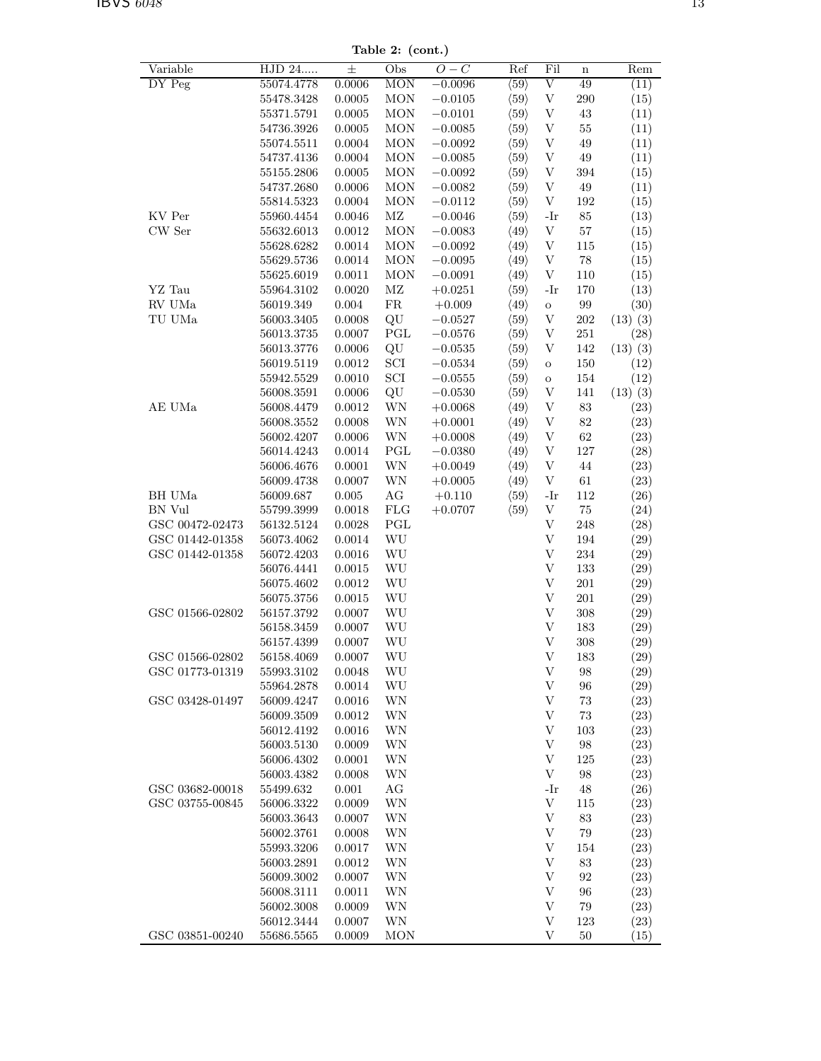Table 2: (cont.)

| Variable        | HJD 24     | 士            | Obs                             | $\overline{O}-\overline{C}$ | Ref                  | Fil                       | $\mathbf n$       | Rem          |
|-----------------|------------|--------------|---------------------------------|-----------------------------|----------------------|---------------------------|-------------------|--------------|
| DY Peg          | 55074.4778 | 0.0006       | <b>MON</b>                      | $-0.0096$                   | $\langle 59 \rangle$ | $\overline{\mathrm{V}}$   | 49                | (11)         |
|                 | 55478.3428 | 0.0005       | <b>MON</b>                      | $-0.0105$                   | $\langle 59 \rangle$ | $\ensuremath{\mathbf{V}}$ | 290               | (15)         |
|                 | 55371.5791 | $0.0005\,$   | <b>MON</b>                      | $-0.0101$                   | $\langle 59 \rangle$ | V                         | $\rm 43$          | (11)         |
|                 |            |              |                                 |                             |                      |                           |                   |              |
|                 | 54736.3926 | $0.0005\,$   | <b>MON</b>                      | $-0.0085$                   | $\langle 59 \rangle$ | $\ensuremath{\mathbf{V}}$ | $55\,$            | (11)         |
|                 | 55074.5511 | 0.0004       | <b>MON</b>                      | $-0.0092$                   | $\langle 59 \rangle$ | $\ensuremath{\mathbf{V}}$ | 49                | (11)         |
|                 | 54737.4136 | 0.0004       | <b>MON</b>                      | $-0.0085$                   | $\langle 59 \rangle$ | $\ensuremath{\mathbf{V}}$ | 49                | (11)         |
|                 | 55155.2806 | $0.0005\,$   | MON                             | $-0.0092$                   | $\langle 59 \rangle$ | $\ensuremath{\mathbf{V}}$ | $394\,$           | (15)         |
|                 |            |              |                                 |                             |                      |                           |                   |              |
|                 | 54737.2680 | 0.0006       | MON                             | $-0.0082$                   | $\langle 59 \rangle$ | $\ensuremath{\mathbf{V}}$ | 49                | (11)         |
|                 | 55814.5323 | 0.0004       | <b>MON</b>                      | $-0.0112$                   | $\langle 59 \rangle$ | $\mathbf{V}$              | $192\,$           | (15)         |
| KV Per          | 55960.4454 | 0.0046       | $\rm MZ$                        | $-0.0046$                   | $\langle 59 \rangle$ | $-Ir$                     | $85\,$            | (13)         |
| CW Ser          | 55632.6013 | 0.0012       | <b>MON</b>                      | $-0.0083$                   | $\langle 49 \rangle$ | $\mathbf{V}$              | $57\,$            | (15)         |
|                 |            |              |                                 |                             |                      |                           |                   |              |
|                 | 55628.6282 | $0.0014\,$   | MON                             | $-0.0092$                   | $\langle 49 \rangle$ | V                         | 115               | (15)         |
|                 | 55629.5736 | 0.0014       | <b>MON</b>                      | $-0.0095$                   | $\langle 49 \rangle$ | $\ensuremath{\mathbf{V}}$ | 78                | (15)         |
|                 | 55625.6019 | 0.0011       | <b>MON</b>                      | $-0.0091$                   | $\langle 49 \rangle$ | $\ensuremath{\mathbf{V}}$ | 110               | (15)         |
| YZ Tau          | 55964.3102 | 0.0020       | $\rm MZ$                        | $+0.0251$                   | $\langle 59 \rangle$ | $-Ir$                     | 170               | (13)         |
|                 |            |              |                                 |                             |                      |                           |                   |              |
| ${\rm RV}$ UMa  | 56019.349  | $\,0.004\,$  | ${\rm FR}$                      | $+0.009$                    | $\langle 49 \rangle$ | $\mathbf O$               | $\boldsymbol{99}$ | (30)         |
| TU UMa          | 56003.3405 | 0.0008       | $\rm QU$                        | $-0.0527$                   | $\langle 59 \rangle$ | $\ensuremath{\mathbf{V}}$ | $202\,$           | $(13)$ $(3)$ |
|                 | 56013.3735 | 0.0007       | $\operatorname{PGL}$            | $-0.0576$                   | $\langle 59 \rangle$ | $\ensuremath{\mathbf{V}}$ | 251               | (28)         |
|                 | 56013.3776 | 0.0006       | QU                              | $-0.0535$                   | $\langle 59 \rangle$ | V                         | 142               | (13)(3)      |
|                 |            |              |                                 |                             |                      |                           |                   |              |
|                 | 56019.5119 | 0.0012       | $\rm{SCI}$                      | $-0.0534$                   | $\langle 59 \rangle$ | $\mathbf O$               | 150               | (12)         |
|                 | 55942.5529 | 0.0010       | $\ensuremath{\mathrm{SCI}}$     | $-0.0555$                   | $\langle 59 \rangle$ | $\mathbf O$               | $154\,$           | (12)         |
|                 | 56008.3591 | 0.0006       | QU                              | $-0.0530$                   | $\langle 59 \rangle$ | V                         | 141               | $(13)$ $(3)$ |
| AE UMa          | 56008.4479 | 0.0012       | WN                              | $+0.0068$                   | $\langle 49 \rangle$ | V                         | $\bf 83$          | (23)         |
|                 |            |              |                                 |                             |                      |                           |                   |              |
|                 | 56008.3552 | 0.0008       | WN                              | $+0.0001$                   | $\langle 49 \rangle$ | $\ensuremath{\mathbf{V}}$ | $82\,$            | (23)         |
|                 | 56002.4207 | 0.0006       | WN                              | $+0.0008$                   | $\langle 49 \rangle$ | $\ensuremath{\mathbf{V}}$ | 62                | (23)         |
|                 | 56014.4243 | 0.0014       | $\operatorname{PGL}$            | $-0.0380$                   | $\langle 49 \rangle$ | V                         | 127               | (28)         |
|                 | 56006.4676 | 0.0001       | $\ensuremath{\text{WN}}\xspace$ | $+0.0049$                   | $\langle 49 \rangle$ | $\ensuremath{\mathbf{V}}$ | $\rm 44$          | (23)         |
|                 |            |              |                                 |                             |                      | $\ensuremath{\mathbf{V}}$ | 61                |              |
|                 | 56009.4738 | 0.0007       | WN                              | $+0.0005$                   | $\langle 49 \rangle$ |                           |                   | (23)         |
| BH UMa          | 56009.687  | 0.005        | $\rm{AG}$                       | $+0.110$                    | $\langle 59 \rangle$ | $-Ir$                     | $112\,$           | (26)         |
| BN Vul          | 55799.3999 | 0.0018       | ${\rm FLG}$                     | $+0.0707$                   | $\langle 59 \rangle$ | $\ensuremath{\mathbf{V}}$ | $75\,$            | (24)         |
| GSC 00472-02473 | 56132.5124 | 0.0028       | $\operatorname{PGL}$            |                             |                      | $\ensuremath{\mathbf{V}}$ | 248               | (28)         |
|                 |            |              | $\mathbf{W}\mathbf{U}$          |                             |                      | $\ensuremath{\mathbf{V}}$ |                   |              |
| GSC 01442-01358 | 56073.4062 | 0.0014       |                                 |                             |                      |                           | 194               | (29)         |
| GSC 01442-01358 | 56072.4203 | 0.0016       | WU                              |                             |                      | V                         | 234               | (29)         |
|                 | 56076.4441 | $\,0.0015\,$ | WU                              |                             |                      | $\ensuremath{\mathbf{V}}$ | 133               | (29)         |
|                 | 56075.4602 | 0.0012       | WU                              |                             |                      | $\ensuremath{\mathbf{V}}$ | 201               | (29)         |
|                 |            |              |                                 |                             |                      | $\ensuremath{\mathbf{V}}$ |                   |              |
|                 | 56075.3756 | 0.0015       | WU                              |                             |                      |                           | 201               | (29)         |
| GSC 01566-02802 | 56157.3792 | 0.0007       | WU                              |                             |                      | $\ensuremath{\mathbf{V}}$ | 308               | (29)         |
|                 | 56158.3459 | 0.0007       | WU                              |                             |                      | V                         | 183               | (29)         |
|                 | 56157.4399 | 0.0007       | WU                              |                             |                      | $\ensuremath{\mathbf{V}}$ | 308               | (29)         |
| GSC 01566-02802 | 56158.4069 | 0.0007       | WU                              |                             |                      | V                         | 183               | (29)         |
|                 |            |              |                                 |                             |                      |                           |                   |              |
| GSC 01773-01319 | 55993.3102 | 0.0048       | WU                              |                             |                      | V                         | 98                | (29)         |
|                 | 55964.2878 | 0.0014       | WU                              |                             |                      | V                         | 96                | (29)         |
| GSC 03428-01497 | 56009.4247 | 0.0016       | WN                              |                             |                      | V                         | $73\,$            | (23)         |
|                 | 56009.3509 | 0.0012       | WN                              |                             |                      | $\ensuremath{\mathbf{V}}$ | $73\,$            | (23)         |
|                 |            |              |                                 |                             |                      |                           |                   |              |
|                 | 56012.4192 | 0.0016       | WN                              |                             |                      | $\ensuremath{\mathbf{V}}$ | 103               | (23)         |
|                 | 56003.5130 | 0.0009       | WN                              |                             |                      | V                         | 98                | (23)         |
|                 | 56006.4302 | $0.0001\,$   | WN                              |                             |                      | V                         | 125               | (23)         |
|                 | 56003.4382 | 0.0008       | WN                              |                             |                      | V                         | 98                | (23)         |
| GSC 03682-00018 |            |              |                                 |                             |                      |                           |                   |              |
|                 | 55499.632  | $0.001\,$    | AG                              |                             |                      | $-Ir$                     | 48                | (26)         |
| GSC 03755-00845 | 56006.3322 | 0.0009       | WN                              |                             |                      | $\mathbf{V}$              | 115               | (23)         |
|                 | 56003.3643 | 0.0007       | WΝ                              |                             |                      | $\mathbf{V}$              | 83                | (23)         |
|                 | 56002.3761 | 0.0008       | WN                              |                             |                      | V                         | 79                | (23)         |
|                 | 55993.3206 | 0.0017       | WN                              |                             |                      | V                         | 154               | (23)         |
|                 |            |              |                                 |                             |                      |                           |                   |              |
|                 | 56003.2891 | 0.0012       | WN                              |                             |                      | V                         | 83                | (23)         |
|                 | 56009.3002 | 0.0007       | WN                              |                             |                      | V                         | 92                | (23)         |
|                 | 56008.3111 | 0.0011       | WN                              |                             |                      | $\mathbf{V}$              | 96                | (23)         |
|                 | 56002.3008 | 0.0009       | WN                              |                             |                      | $\mathbf{V}$              | 79                | (23)         |
|                 |            |              |                                 |                             |                      |                           |                   |              |
|                 | 56012.3444 | 0.0007       | WN                              |                             |                      | V                         | 123               | (23)         |
| GSC 03851-00240 | 55686.5565 | 0.0009       | <b>MON</b>                      |                             |                      | V                         | 50                | (15)         |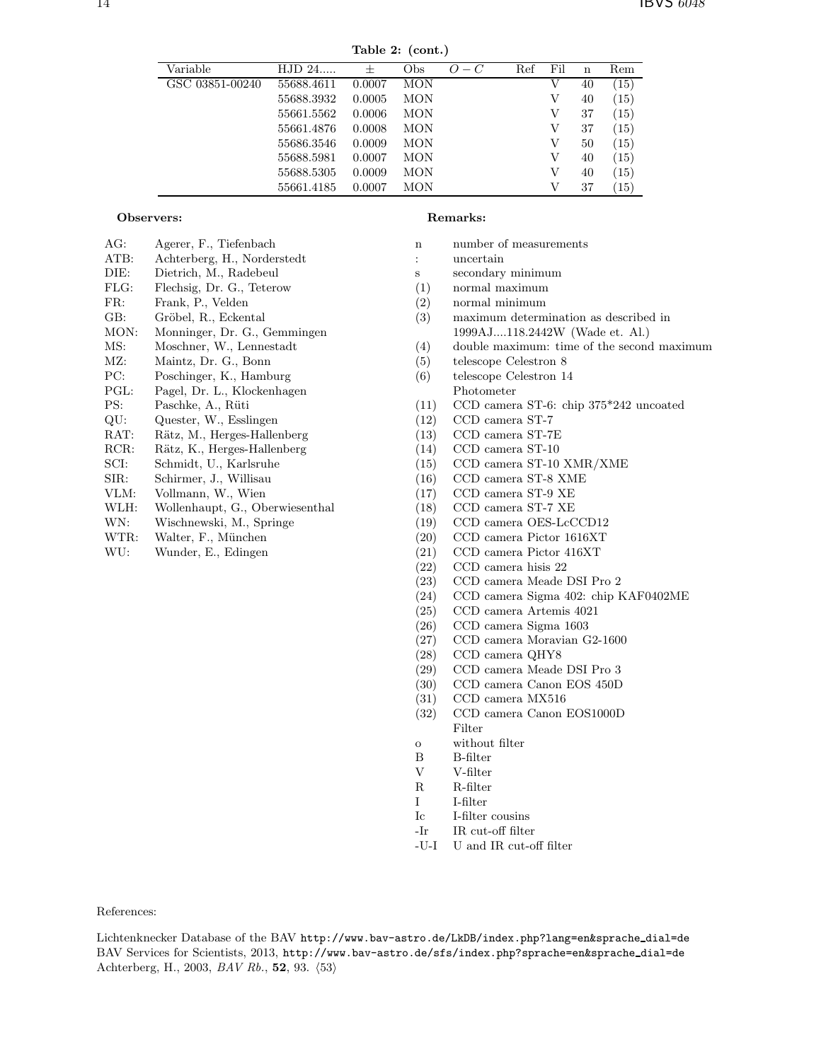Table 2: (cont.)

| Variable        | $HJD 24$   | $^{+}$ | Obs        | $O-C$ | Ref | Fil | n  | Rem  |
|-----------------|------------|--------|------------|-------|-----|-----|----|------|
| GSC 03851-00240 | 55688.4611 | 0.0007 | <b>MON</b> |       |     | V   | 40 | (15) |
|                 | 55688.3932 | 0.0005 | <b>MON</b> |       |     | V   | 40 | (15) |
|                 | 55661.5562 | 0.0006 | <b>MON</b> |       |     | V   | 37 | (15) |
|                 | 55661.4876 | 0.0008 | <b>MON</b> |       |     | V   | 37 | (15) |
|                 | 55686.3546 | 0.0009 | <b>MON</b> |       |     | V   | 50 | (15) |
|                 | 55688.5981 | 0.0007 | <b>MON</b> |       |     | V   | 40 | (15) |
|                 | 55688.5305 | 0.0009 | <b>MON</b> |       |     | V   | 40 | (15) |
|                 | 55661.4185 | 0.0007 | <b>MON</b> |       |     | V   | 37 | (15) |

|      | Observers:                      |
|------|---------------------------------|
| AG:  | Agerer, F., Tiefenbach          |
| ATB: | Achterberg, H., Norderstedt     |
| DIE: | Dietrich, M., Radebeul          |
| FLG: | Flechsig, Dr. G., Teterow       |
| FR:  | Frank, P., Velden               |
| GB:  | Gröbel, R., Eckental            |
| MON: | Monninger, Dr. G., Gemmingen    |
| MS:  | Moschner, W., Lennestadt        |
| MZ:  | Maintz, Dr. G., Bonn            |
| PC:  | Poschinger, K., Hamburg         |
| PGL: | Pagel, Dr. L., Klockenhagen     |
| PS:  | Paschke, A., Rüti               |
| QU:  | Quester, W., Esslingen          |
| RAT: | Rätz, M., Herges-Hallenberg     |
| RCR: | Rätz, K., Herges-Hallenberg     |
| SCI: | Schmidt, U., Karlsruhe          |
| SIR: | Schirmer, J., Willisau          |
| VLM: | Vollmann, W., Wien              |
| WLH: | Wollenhaupt, G., Oberwiesenthal |
| WN:  | Wischnewski, M., Springe        |
| WTR: | Walter, F., München             |
| WU:  | Wunder, E., Edingen             |
|      |                                 |
|      |                                 |

#### Remarks:

- n number of measurements
- : uncertain
- s secondary minimum
- (1) normal maximum
- (2) normal minimum
- (3) maximum determination as described in 1999AJ....118.2442W (Wade et. Al.)
- (4) double maximum: time of the second maximum
- (5) telescope Celestron 8
- (6) telescope Celestron 14 Photometer
- (11) CCD camera ST-6: chip 375\*242 uncoated
- (12) CCD camera ST-7
- (13) CCD camera ST-7E
- (14) CCD camera ST-10
- (15) CCD camera ST-10 XMR/XME
- (16) CCD camera ST-8 XME
- (17) CCD camera ST-9 XE
- (18) CCD camera ST-7 XE
- (19) CCD camera OES-LcCCD12
- (20) CCD camera Pictor 1616XT
- (21) CCD camera Pictor 416XT
- (22) CCD camera hisis 22
- (23) CCD camera Meade DSI Pro 2
- (24) CCD camera Sigma 402: chip KAF0402ME
- (25) CCD camera Artemis 4021
- (26) CCD camera Sigma 1603
- (27) CCD camera Moravian G2-1600
- (28) CCD camera QHY8
- (29) CCD camera Meade DSI Pro 3
- (30) CCD camera Canon EOS 450D
- (31) CCD camera MX516
- (32) CCD camera Canon EOS1000D Filter
- o without filter
- B B-filter<br>V V-filter
- V V-filter
- R R-filter
- I I-filter
- Ic I-filter cousins
- -Ir IR cut-off filter
- -U-I U and IR cut-off filter

References:

Lichtenknecker Database of the BAV http://www.bav-astro.de/LkDB/index.php?lang=en&sprache dial=de BAV Services for Scientists, 2013, http://www.bav-astro.de/sfs/index.php?sprache=en&sprache dial=de Achterberg, H., 2003, *BAV Rb.*, 52, 93.  $\langle 53 \rangle$